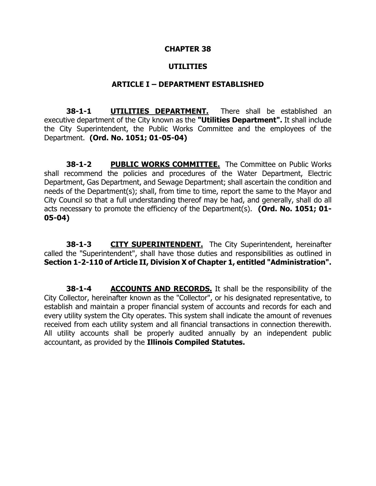#### **CHAPTER 38**

#### **UTILITIES**

#### **ARTICLE I – DEPARTMENT ESTABLISHED**

**38-1-1 UTILITIES DEPARTMENT.** There shall be established an executive department of the City known as the **"Utilities Department".** It shall include the City Superintendent, the Public Works Committee and the employees of the Department. **(Ord. No. 1051; 01-05-04)**

**38-1-2 PUBLIC WORKS COMMITTEE.** The Committee on Public Works shall recommend the policies and procedures of the Water Department, Electric Department, Gas Department, and Sewage Department; shall ascertain the condition and needs of the Department(s); shall, from time to time, report the same to the Mayor and City Council so that a full understanding thereof may be had, and generally, shall do all acts necessary to promote the efficiency of the Department(s). **(Ord. No. 1051; 01- 05-04)**

**38-1-3 CITY SUPERINTENDENT.** The City Superintendent, hereinafter called the "Superintendent", shall have those duties and responsibilities as outlined in **Section 1-2-110 of Article II, Division X of Chapter 1, entitled "Administration".**

**38-1-4 ACCOUNTS AND RECORDS.** It shall be the responsibility of the City Collector, hereinafter known as the "Collector", or his designated representative, to establish and maintain a proper financial system of accounts and records for each and every utility system the City operates. This system shall indicate the amount of revenues received from each utility system and all financial transactions in connection therewith. All utility accounts shall be properly audited annually by an independent public accountant, as provided by the **Illinois Compiled Statutes.**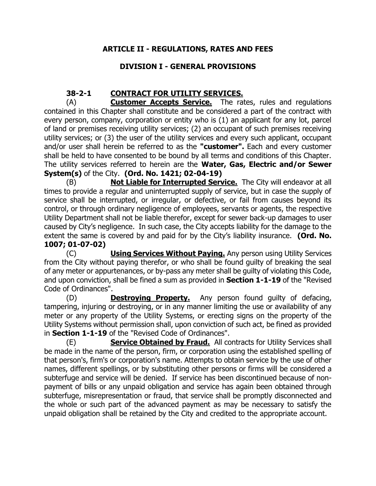## **ARTICLE II - REGULATIONS, RATES AND FEES**

## **DIVISION I - GENERAL PROVISIONS**

## **38-2-1 CONTRACT FOR UTILITY SERVICES.**

(A) **Customer Accepts Service.** The rates, rules and regulations contained in this Chapter shall constitute and be considered a part of the contract with every person, company, corporation or entity who is (1) an applicant for any lot, parcel of land or premises receiving utility services; (2) an occupant of such premises receiving utility services; or (3) the user of the utility services and every such applicant, occupant and/or user shall herein be referred to as the **"customer".** Each and every customer shall be held to have consented to be bound by all terms and conditions of this Chapter. The utility services referred to herein are the **Water, Gas, Electric and/or Sewer System(s)** of the City. **(Ord. No. 1421; 02-04-19)**

(B) **Not Liable for Interrupted Service.** The City will endeavor at all times to provide a regular and uninterrupted supply of service, but in case the supply of service shall be interrupted, or irregular, or defective, or fail from causes beyond its control, or through ordinary negligence of employees, servants or agents, the respective Utility Department shall not be liable therefor, except for sewer back-up damages to user caused by City's negligence. In such case, the City accepts liability for the damage to the extent the same is covered by and paid for by the City's liability insurance. **(Ord. No. 1007; 01-07-02)**

(C) **Using Services Without Paying.** Any person using Utility Services from the City without paying therefor, or who shall be found guilty of breaking the seal of any meter or appurtenances, or by-pass any meter shall be guilty of violating this Code, and upon conviction, shall be fined a sum as provided in **Section 1-1-19** of the "Revised Code of Ordinances".

(D) **Destroying Property.** Any person found guilty of defacing, tampering, injuring or destroying, or in any manner limiting the use or availability of any meter or any property of the Utility Systems, or erecting signs on the property of the Utility Systems without permission shall, upon conviction of such act, be fined as provided in **Section 1-1-19** of the "Revised Code of Ordinances".

(E) **Service Obtained by Fraud.** All contracts for Utility Services shall be made in the name of the person, firm, or corporation using the established spelling of that person's, firm's or corporation's name. Attempts to obtain service by the use of other names, different spellings, or by substituting other persons or firms will be considered a subterfuge and service will be denied. If service has been discontinued because of nonpayment of bills or any unpaid obligation and service has again been obtained through subterfuge, misrepresentation or fraud, that service shall be promptly disconnected and the whole or such part of the advanced payment as may be necessary to satisfy the unpaid obligation shall be retained by the City and credited to the appropriate account.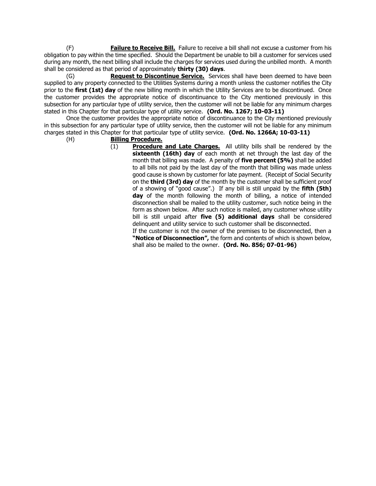(F) **Failure to Receive Bill.** Failure to receive a bill shall not excuse a customer from his obligation to pay within the time specified. Should the Department be unable to bill a customer for services used during any month, the next billing shall include the charges for services used during the unbilled month. A month shall be considered as that period of approximately **thirty (30) days**.

(G) **Request to Discontinue Service.** Services shall have been deemed to have been supplied to any property connected to the Utilities Systems during a month unless the customer notifies the City prior to the **first (1st) day** of the new billing month in which the Utility Services are to be discontinued. Once the customer provides the appropriate notice of discontinuance to the City mentioned previously in this subsection for any particular type of utility service, then the customer will not be liable for any minimum charges stated in this Chapter for that particular type of utility service. **(Ord. No. 1267; 10-03-11)**

Once the customer provides the appropriate notice of discontinuance to the City mentioned previously in this subsection for any particular type of utility service, then the customer will not be liable for any minimum charges stated in this Chapter for that particular type of utility service. **(Ord. No. 1266A; 10-03-11)**

#### (H) **Billing Procedure.**

(1) **Procedure and Late Charges.** All utility bills shall be rendered by the **sixteenth (16th) day** of each month at net through the last day of the month that billing was made. A penalty of **five percent (5%)** shall be added to all bills not paid by the last day of the month that billing was made unless good cause is shown by customer for late payment. (Receipt of Social Security on the **third (3rd) day** of the month by the customer shall be sufficient proof of a showing of "good cause".) If any bill is still unpaid by the **fifth (5th) day** of the month following the month of billing, a notice of intended disconnection shall be mailed to the utility customer, such notice being in the form as shown below. After such notice is mailed, any customer whose utility bill is still unpaid after **five (5) additional days** shall be considered delinquent and utility service to such customer shall be disconnected.

If the customer is not the owner of the premises to be disconnected, then a **"Notice of Disconnection",** the form and contents of which is shown below, shall also be mailed to the owner. **(Ord. No. 856; 07-01-96)**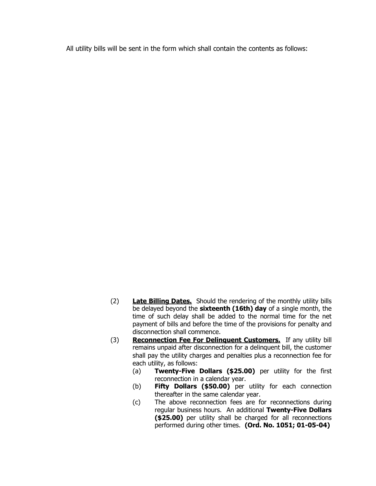All utility bills will be sent in the form which shall contain the contents as follows:

- (2) **Late Billing Dates.** Should the rendering of the monthly utility bills be delayed beyond the **sixteenth (16th) day** of a single month, the time of such delay shall be added to the normal time for the net payment of bills and before the time of the provisions for penalty and disconnection shall commence.
- (3) **Reconnection Fee For Delinquent Customers.** If any utility bill remains unpaid after disconnection for a delinquent bill, the customer shall pay the utility charges and penalties plus a reconnection fee for each utility, as follows:
	- (a) **Twenty-Five Dollars (\$25.00)** per utility for the first reconnection in a calendar year.
	- (b) **Fifty Dollars (\$50.00)** per utility for each connection thereafter in the same calendar year.
	- (c) The above reconnection fees are for reconnections during regular business hours. An additional **Twenty-Five Dollars (\$25.00)** per utility shall be charged for all reconnections performed during other times. **(Ord. No. 1051; 01-05-04)**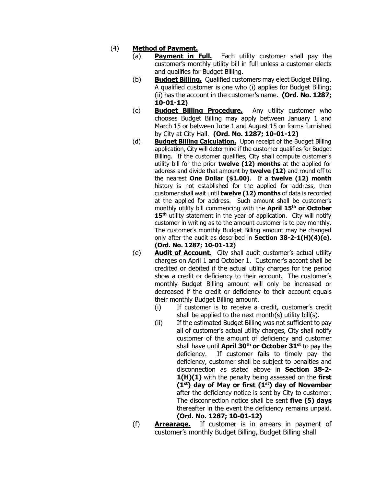#### (4) **Method of Payment.**

- (a) **Payment in Full.** Each utility customer shall pay the customer's monthly utility bill in full unless a customer elects and qualifies for Budget Billing.
- (b) **Budget Billing.** Qualified customers may elect Budget Billing. A qualified customer is one who (i) applies for Budget Billing; (ii) has the account in the customer's name. **(Ord. No. 1287; 10-01-12)**
- (c) **Budget Billing Procedure.** Any utility customer who chooses Budget Billing may apply between January 1 and March 15 or between June 1 and August 15 on forms furnished by City at City Hall. **(Ord. No. 1287; 10-01-12)**
- (d) **Budget Billing Calculation.** Upon receipt of the Budget Billing application, City will determine if the customer qualifies for Budget Billing. If the customer qualifies, City shall compute customer's utility bill for the prior **twelve (12) months** at the applied for address and divide that amount by **twelve (12)** and round off to the nearest **One Dollar (\$1.00)**. If a **twelve (12) month**  history is not established for the applied for address, then customer shall wait until **twelve (12) months** of data is recorded at the applied for address. Such amount shall be customer's monthly utility bill commencing with the **April 15th or October 15th** utility statement in the year of application. City will notify customer in writing as to the amount customer is to pay monthly. The customer's monthly Budget Billing amount may be changed only after the audit as described in **Section 38-2-1(H)(4)(e)**. **(Ord. No. 1287; 10-01-12)**
- (e) **Audit of Account.** City shall audit customer's actual utility charges on April 1 and October 1. Customer's accont shall be credited or debited if the actual utility charges for the period show a credit or deficiency to their account. The customer's monthly Budget Billing amount will only be increased or decreased if the credit or deficiency to their account equals their monthly Budget Billing amount.
	- (i) If customer is to receive a credit, customer's credit shall be applied to the next month(s) utility bill(s).
	- (ii) If the estimated Budget Billing was not sufficient to pay all of customer's actual utility charges, City shall notify customer of the amount of deficiency and customer shall have until **April 30th or October 31st** to pay the deficiency. If customer fails to timely pay the deficiency, customer shall be subject to penalties and disconnection as stated above in **Section 38-2- 1(H)(1)** with the penalty being assessed on the **first (1st) day of May or first (1st) day of November** after the deficiency notice is sent by City to customer. The disconnection notice shall be sent **five (5) days** thereafter in the event the deficiency remains unpaid. **(Ord. No. 1287; 10-01-12)**
- (f) **Arrearage.** If customer is in arrears in payment of customer's monthly Budget Billing, Budget Billing shall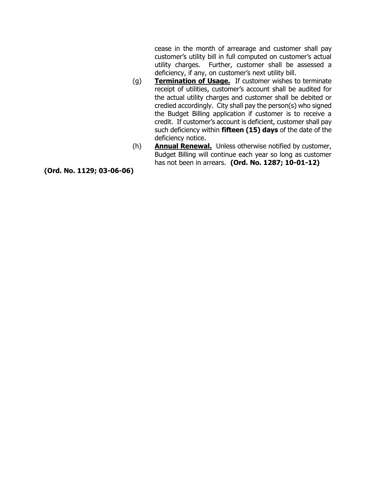cease in the month of arrearage and customer shall pay customer's utility bill in full computed on customer's actual utility charges. Further, customer shall be assessed a deficiency, if any, on customer's next utility bill.

- (g) **Termination of Usage.** If customer wishes to terminate receipt of utilities, customer's account shall be audited for the actual utility charges and customer shall be debited or credied accordingly. City shall pay the person(s) who signed the Budget Billing application if customer is to receive a credit. If customer's account is deficient, customer shall pay such deficiency within **fifteen (15) days** of the date of the deficiency notice.
- (h) **Annual Renewal.** Unless otherwise notified by customer, Budget Billing will continue each year so long as customer has not been in arrears. **(Ord. No. 1287; 10-01-12)**

**(Ord. No. 1129; 03-06-06)**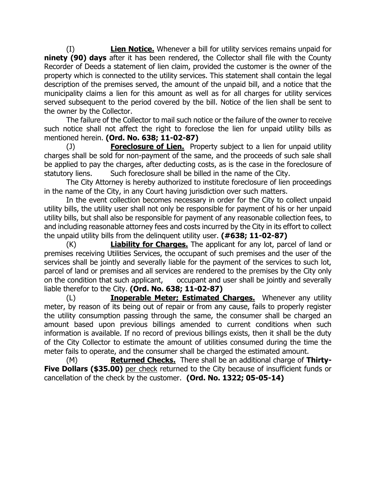(I) **Lien Notice.** Whenever a bill for utility services remains unpaid for **ninety (90) days** after it has been rendered, the Collector shall file with the County Recorder of Deeds a statement of lien claim, provided the customer is the owner of the property which is connected to the utility services. This statement shall contain the legal description of the premises served, the amount of the unpaid bill, and a notice that the municipality claims a lien for this amount as well as for all charges for utility services served subsequent to the period covered by the bill. Notice of the lien shall be sent to the owner by the Collector.

The failure of the Collector to mail such notice or the failure of the owner to receive such notice shall not affect the right to foreclose the lien for unpaid utility bills as mentioned herein. **(Ord. No. 638; 11-02-87)**

(J) **Foreclosure of Lien.** Property subject to a lien for unpaid utility charges shall be sold for non-payment of the same, and the proceeds of such sale shall be applied to pay the charges, after deducting costs, as is the case in the foreclosure of statutory liens. Such foreclosure shall be billed in the name of the City.

The City Attorney is hereby authorized to institute foreclosure of lien proceedings in the name of the City, in any Court having jurisdiction over such matters.

In the event collection becomes necessary in order for the City to collect unpaid utility bills, the utility user shall not only be responsible for payment of his or her unpaid utility bills, but shall also be responsible for payment of any reasonable collection fees, to and including reasonable attorney fees and costs incurred by the City in its effort to collect the unpaid utility bills from the delinquent utility user. **(#638; 11-02-87)**

(K) **Liability for Charges.** The applicant for any lot, parcel of land or premises receiving Utilities Services, the occupant of such premises and the user of the services shall be jointly and severally liable for the payment of the services to such lot, parcel of land or premises and all services are rendered to the premises by the City only on the condition that such applicant, occupant and user shall be jointly and severally liable therefor to the City. **(Ord. No. 638; 11-02-87)**

(L) **Inoperable Meter; Estimated Charges.** Whenever any utility meter, by reason of its being out of repair or from any cause, fails to properly register the utility consumption passing through the same, the consumer shall be charged an amount based upon previous billings amended to current conditions when such information is available. If no record of previous billings exists, then it shall be the duty of the City Collector to estimate the amount of utilities consumed during the time the meter fails to operate, and the consumer shall be charged the estimated amount.

(M) **Returned Checks.** There shall be an additional charge of **Thirty-Five Dollars (\$35.00)** per check returned to the City because of insufficient funds or cancellation of the check by the customer. **(Ord. No. 1322; 05-05-14)**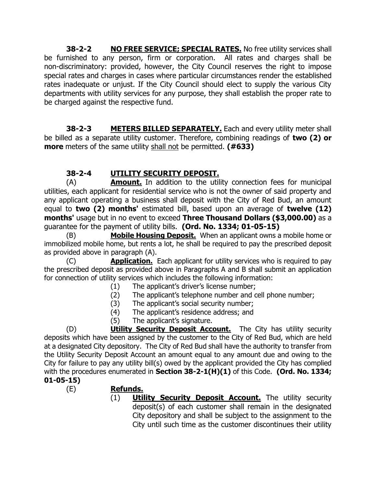**38-2-2 NO FREE SERVICE; SPECIAL RATES.** No free utility services shall be furnished to any person, firm or corporation. All rates and charges shall be non-discriminatory: provided, however, the City Council reserves the right to impose special rates and charges in cases where particular circumstances render the established rates inadequate or unjust. If the City Council should elect to supply the various City departments with utility services for any purpose, they shall establish the proper rate to be charged against the respective fund.

**38-2-3 METERS BILLED SEPARATELY.** Each and every utility meter shall be billed as a separate utility customer. Therefore, combining readings of **two (2) or more** meters of the same utility shall not be permitted. **(#633)**

## **38-2-4 UTILITY SECURITY DEPOSIT.**

(A) **Amount.** In addition to the utility connection fees for municipal utilities, each applicant for residential service who is not the owner of said property and any applicant operating a business shall deposit with the City of Red Bud, an amount equal to **two (2) months'** estimated bill, based upon an average of **twelve (12) months'** usage but in no event to exceed **Three Thousand Dollars (\$3,000.00)** as a guarantee for the payment of utility bills. **(Ord. No. 1334; 01-05-15)**

(B) **Mobile Housing Deposit.** When an applicant owns a mobile home or immobilized mobile home, but rents a lot, he shall be required to pay the prescribed deposit as provided above in paragraph (A).

(C) **Application.** Each applicant for utility services who is required to pay the prescribed deposit as provided above in Paragraphs A and B shall submit an application for connection of utility services which includes the following information:

- (1) The applicant's driver's license number;
- (2) The applicant's telephone number and cell phone number;
- (3) The applicant's social security number;
- (4) The applicant's residence address; and
- (5) The applicant's signature.

(D) **Utility Security Deposit Account.** The City has utility security deposits which have been assigned by the customer to the City of Red Bud, which are held at a designated City depository. The City of Red Bud shall have the authority to transfer from the Utility Security Deposit Account an amount equal to any amount due and owing to the City for failure to pay any utility bill(s) owed by the applicant provided the City has complied with the procedures enumerated in **Section 38-2-1(H)(1)** of this Code. **(Ord. No. 1334;** 

## **01-05-15)**

- (E) **Refunds.**
	- (1) **Utility Security Deposit Account.** The utility security deposit(s) of each customer shall remain in the designated City depository and shall be subject to the assignment to the City until such time as the customer discontinues their utility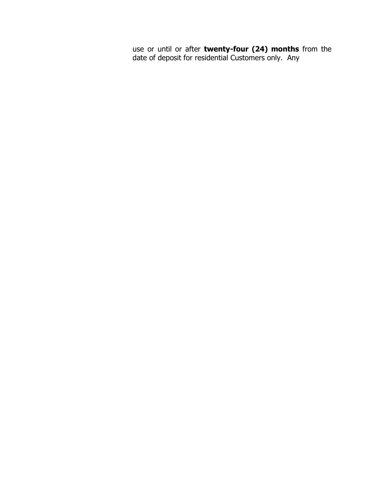use or until or after **twenty-four (24) months** from the date of deposit for residential Customers only. Any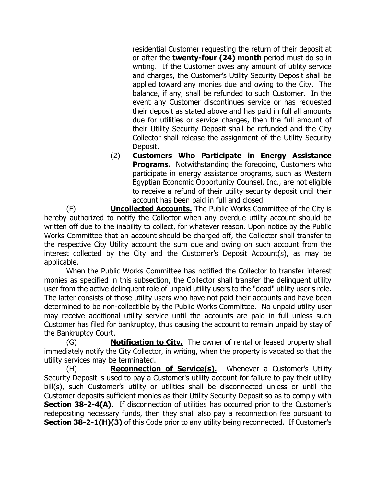residential Customer requesting the return of their deposit at or after the **twenty-four (24) month** period must do so in writing. If the Customer owes any amount of utility service and charges, the Customer's Utility Security Deposit shall be applied toward any monies due and owing to the City. The balance, if any, shall be refunded to such Customer. In the event any Customer discontinues service or has requested their deposit as stated above and has paid in full all amounts due for utilities or service charges, then the full amount of their Utility Security Deposit shall be refunded and the City Collector shall release the assignment of the Utility Security Deposit.

(2) **Customers Who Participate in Energy Assistance Programs.** Notwithstanding the foregoing, Customers who participate in energy assistance programs, such as Western Egyptian Economic Opportunity Counsel, Inc., are not eligible to receive a refund of their utility security deposit until their account has been paid in full and closed.

(F) **Uncollected Accounts.** The Public Works Committee of the City is hereby authorized to notify the Collector when any overdue utility account should be written off due to the inability to collect, for whatever reason. Upon notice by the Public Works Committee that an account should be charged off, the Collector shall transfer to the respective City Utility account the sum due and owing on such account from the interest collected by the City and the Customer's Deposit Account(s), as may be applicable.

When the Public Works Committee has notified the Collector to transfer interest monies as specified in this subsection, the Collector shall transfer the delinquent utility user from the active delinquent role of unpaid utility users to the "dead" utility user's role. The latter consists of those utility users who have not paid their accounts and have been determined to be non-collectible by the Public Works Committee. No unpaid utility user may receive additional utility service until the accounts are paid in full unless such Customer has filed for bankruptcy, thus causing the account to remain unpaid by stay of the Bankruptcy Court.

(G) **Notification to City.** The owner of rental or leased property shall immediately notify the City Collector, in writing, when the property is vacated so that the utility services may be terminated.

(H) **Reconnection of Service(s).** Whenever a Customer's Utility Security Deposit is used to pay a Customer's utility account for failure to pay their utility bill(s), such Customer's utility or utilities shall be disconnected unless or until the Customer deposits sufficient monies as their Utility Security Deposit so as to comply with **Section 38-2-4(A).** If disconnection of utilities has occurred prior to the Customer's redepositing necessary funds, then they shall also pay a reconnection fee pursuant to **Section 38-2-1(H)(3)** of this Code prior to any utility being reconnected. If Customer's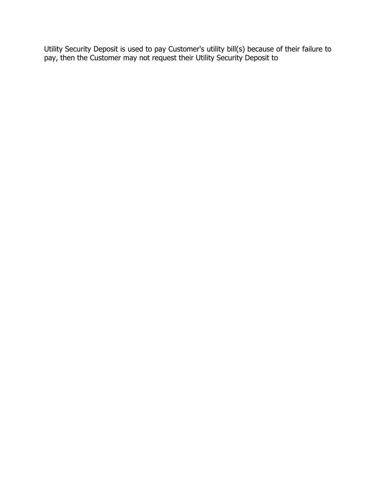Utility Security Deposit is used to pay Customer's utility bill(s) because of their failure to pay, then the Customer may not request their Utility Security Deposit to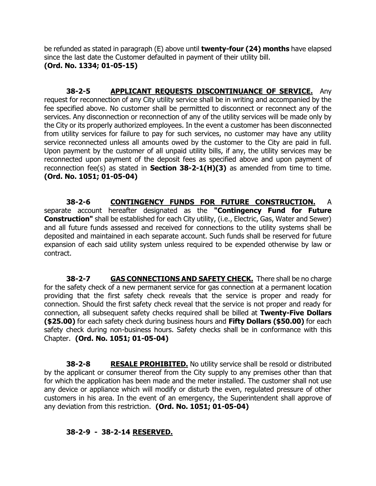be refunded as stated in paragraph (E) above until **twenty-four (24) months** have elapsed since the last date the Customer defaulted in payment of their utility bill. **(Ord. No. 1334; 01-05-15)**

**38-2-5 APPLICANT REQUESTS DISCONTINUANCE OF SERVICE.** Any request for reconnection of any City utility service shall be in writing and accompanied by the fee specified above. No customer shall be permitted to disconnect or reconnect any of the services. Any disconnection or reconnection of any of the utility services will be made only by the City or its properly authorized employees. In the event a customer has been disconnected from utility services for failure to pay for such services, no customer may have any utility service reconnected unless all amounts owed by the customer to the City are paid in full. Upon payment by the customer of all unpaid utility bills, if any, the utility services may be reconnected upon payment of the deposit fees as specified above and upon payment of reconnection fee(s) as stated in **Section 38-2-1(H)(3)** as amended from time to time. **(Ord. No. 1051; 01-05-04)**

**38-2-6 CONTINGENCY FUNDS FOR FUTURE CONSTRUCTION.** A separate account hereafter designated as the **"Contingency Fund for Future Construction"** shall be established for each City utility, (i.e., Electric, Gas, Water and Sewer) and all future funds assessed and received for connections to the utility systems shall be deposited and maintained in each separate account. Such funds shall be reserved for future expansion of each said utility system unless required to be expended otherwise by law or contract.

**38-2-7** GAS CONNECTIONS AND SAFETY CHECK. There shall be no charge for the safety check of a new permanent service for gas connection at a permanent location providing that the first safety check reveals that the service is proper and ready for connection. Should the first safety check reveal that the service is not proper and ready for connection, all subsequent safety checks required shall be billed at **Twenty-Five Dollars (\$25.00)** for each safety check during business hours and **Fifty Dollars (\$50.00)** for each safety check during non-business hours. Safety checks shall be in conformance with this Chapter. **(Ord. No. 1051; 01-05-04)**

**38-2-8 RESALE PROHIBITED.** No utility service shall be resold or distributed by the applicant or consumer thereof from the City supply to any premises other than that for which the application has been made and the meter installed. The customer shall not use any device or appliance which will modify or disturb the even, regulated pressure of other customers in his area. In the event of an emergency, the Superintendent shall approve of any deviation from this restriction. **(Ord. No. 1051; 01-05-04)**

### **38-2-9 - 38-2-14 RESERVED.**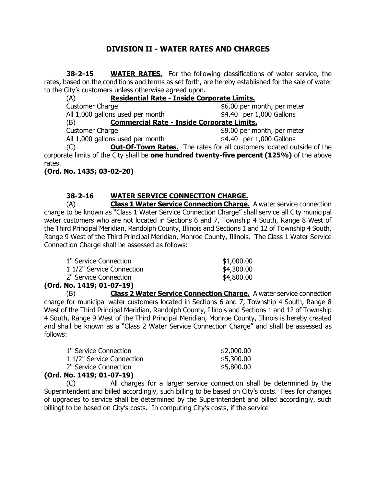## **DIVISION II - WATER RATES AND CHARGES**

**38-2-15 WATER RATES.** For the following classifications of water service, the rates, based on the conditions and terms as set forth, are hereby established for the sale of water to the City's customers unless otherwise agreed upon.

| (A)                              | Residential Rate - Inside Corporate Limits.                                                                                                                                                                                                                                                                                                                                          |
|----------------------------------|--------------------------------------------------------------------------------------------------------------------------------------------------------------------------------------------------------------------------------------------------------------------------------------------------------------------------------------------------------------------------------------|
| <b>Customer Charge</b>           | \$6.00 per month, per meter                                                                                                                                                                                                                                                                                                                                                          |
| All 1,000 gallons used per month | \$4.40 per 1,000 Gallons                                                                                                                                                                                                                                                                                                                                                             |
| (B)                              | <b>Commercial Rate - Inside Corporate Limits.</b>                                                                                                                                                                                                                                                                                                                                    |
| <b>Customer Charge</b>           | \$9.00 per month, per meter                                                                                                                                                                                                                                                                                                                                                          |
| All 1,000 gallons used per month | \$4.40 per 1,000 Gallons                                                                                                                                                                                                                                                                                                                                                             |
|                                  | $\overline{C}$ $\overline{O}$ $\overline{O}$ $\overline{O}$ $\overline{O}$ $\overline{I}$ $\overline{O}$ $\overline{I}$ $\overline{O}$ $\overline{O}$ $\overline{O}$ $\overline{O}$ $\overline{O}$ $\overline{O}$ $\overline{O}$ $\overline{O}$ $\overline{O}$ $\overline{O}$ $\overline{O}$ $\overline{O}$ $\overline{O}$ $\overline{O}$ $\overline{O}$ $\overline{O}$ $\overline{$ |

(C) **Out-Of-Town Rates.** The rates for all customers located outside of the corporate limits of the City shall be **one hundred twenty-five percent (125%)** of the above rates.

**(Ord. No. 1435; 03-02-20)**

#### **38-2-16 WATER SERVICE CONNECTION CHARGE.**

(A) **Class 1 Water Service Connection Charge.** A water service connection charge to be known as "Class 1 Water Service Connection Charge" shall service all City municipal water customers who are not located in Sections 6 and 7, Township 4 South, Range 8 West of the Third Principal Meridian, Randolph County, Illinois and Sections 1 and 12 of Township 4 South, Range 9 West of the Third Principal Meridian, Monroe County, Illinois. The Class 1 Water Service Connection Charge shall be assessed as follows:

| 1" Service Connection     | \$1,000.00 |
|---------------------------|------------|
| 1 1/2" Service Connection | \$4,300.00 |
| 2" Service Connection     | \$4,800.00 |
| <b>NI. 4440.04.07.40)</b> |            |

**(Ord. No. 1419; 01-07-19)**

(B) **Class 2 Water Service Connection Charge.** A water service connection charge for municipal water customers located in Sections 6 and 7, Township 4 South, Range 8 West of the Third Principal Meridian, Randolph County, Illinois and Sections 1 and 12 of Township 4 South, Range 9 West of the Third Principal Meridian, Monroe County, Illinois is hereby created and shall be known as a "Class 2 Water Service Connection Charge" and shall be assessed as follows:

| 1" Service Connection     | \$2,000.00 |
|---------------------------|------------|
| 1 1/2" Service Connection | \$5,300.00 |
| 2" Service Connection     | \$5,800.00 |
| .                         |            |

#### **(Ord. No. 1419; 01-07-19)**

(C) All charges for a larger service connection shall be determined by the Superintendent and billed accordingly, such billing to be based on City's costs. Fees for changes of upgrades to service shall be determined by the Superintendent and billed accordingly, such billingt to be based on City's costs. In computing City's costs, if the service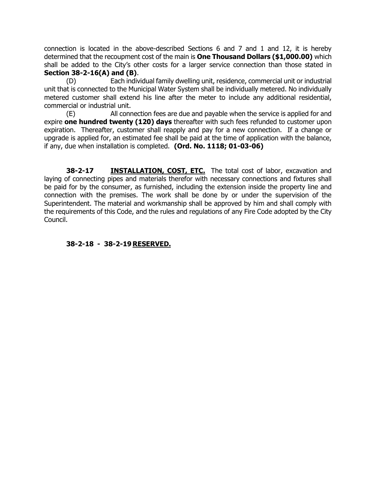connection is located in the above-described Sections 6 and 7 and 1 and 12, it is hereby determined that the recoupment cost of the main is **One Thousand Dollars (\$1,000.00)** which shall be added to the City's other costs for a larger service connection than those stated in **Section 38-2-16(A) and (B)**.

(D) Each individual family dwelling unit, residence, commercial unit or industrial unit that is connected to the Municipal Water System shall be individually metered. No individually metered customer shall extend his line after the meter to include any additional residential, commercial or industrial unit.

(E) All connection fees are due and payable when the service is applied for and expire **one hundred twenty (120) days** thereafter with such fees refunded to customer upon expiration. Thereafter, customer shall reapply and pay for a new connection. If a change or upgrade is applied for, an estimated fee shall be paid at the time of application with the balance, if any, due when installation is completed. **(Ord. No. 1118; 01-03-06)**

**38-2-17 INSTALLATION, COST, ETC.** The total cost of labor, excavation and laying of connecting pipes and materials therefor with necessary connections and fixtures shall be paid for by the consumer, as furnished, including the extension inside the property line and connection with the premises. The work shall be done by or under the supervision of the Superintendent. The material and workmanship shall be approved by him and shall comply with the requirements of this Code, and the rules and regulations of any Fire Code adopted by the City Council.

**38-2-18 - 38-2-19 RESERVED.**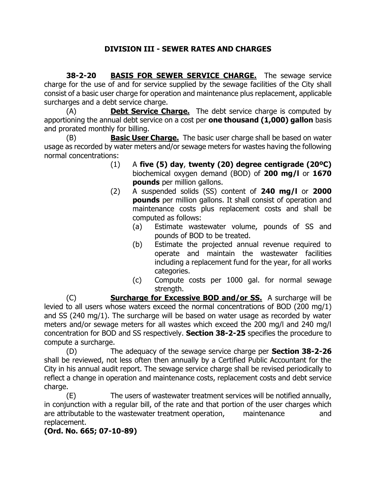## **DIVISION III - SEWER RATES AND CHARGES**

**38-2-20 BASIS FOR SEWER SERVICE CHARGE.** The sewage service charge for the use of and for service supplied by the sewage facilities of the City shall consist of a basic user charge for operation and maintenance plus replacement, applicable surcharges and a debt service charge.

(A) **Debt Service Charge.** The debt service charge is computed by apportioning the annual debt service on a cost per **one thousand (1,000) gallon** basis and prorated monthly for billing.

(B) **Basic User Charge.** The basic user charge shall be based on water usage as recorded by water meters and/or sewage meters for wastes having the following normal concentrations:

- (1) A **five (5) day**, **twenty (20) degree centigrade (20ºC)** biochemical oxygen demand (BOD) of **200 mg/l** or **1670 pounds** per million gallons.
- (2) A suspended solids (SS) content of **240 mg/l** or **2000 pounds** per million gallons. It shall consist of operation and maintenance costs plus replacement costs and shall be computed as follows:
	- (a) Estimate wastewater volume, pounds of SS and pounds of BOD to be treated.
	- (b) Estimate the projected annual revenue required to operate and maintain the wastewater facilities including a replacement fund for the year, for all works categories.
	- (c) Compute costs per 1000 gal. for normal sewage strength.

(C) **Surcharge for Excessive BOD and/or SS.** A surcharge will be levied to all users whose waters exceed the normal concentrations of BOD (200 mg/1) and SS (240 mg/1). The surcharge will be based on water usage as recorded by water meters and/or sewage meters for all wastes which exceed the 200 mg/l and 240 mg/l concentration for BOD and SS respectively. **Section 38-2-25** specifies the procedure to compute a surcharge.

(D) The adequacy of the sewage service charge per **Section 38-2-26** shall be reviewed, not less often then annually by a Certified Public Accountant for the City in his annual audit report. The sewage service charge shall be revised periodically to reflect a change in operation and maintenance costs, replacement costs and debt service charge.

(E) The users of wastewater treatment services will be notified annually, in conjunction with a regular bill, of the rate and that portion of the user charges which are attributable to the wastewater treatment operation, maintenance and replacement.

### **(Ord. No. 665; 07-10-89)**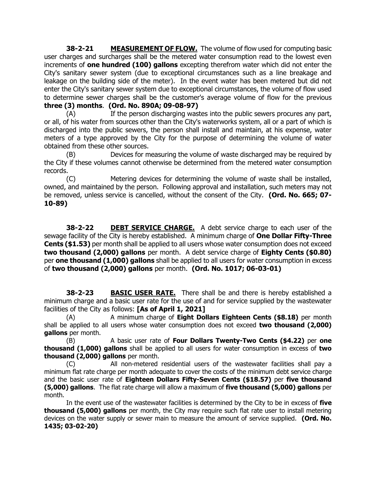**38-2-21 MEASUREMENT OF FLOW.** The volume of flow used for computing basic user charges and surcharges shall be the metered water consumption read to the lowest even increments of **one hundred (100) gallons** excepting therefrom water which did not enter the City's sanitary sewer system (due to exceptional circumstances such as a line breakage and leakage on the building side of the meter). In the event water has been metered but did not enter the City's sanitary sewer system due to exceptional circumstances, the volume of flow used to determine sewer charges shall be the customer's average volume of flow for the previous **three (3) months**. **(Ord. No. 890A; 09-08-97)**

(A) If the person discharging wastes into the public sewers procures any part, or all, of his water from sources other than the City's waterworks system, all or a part of which is discharged into the public sewers, the person shall install and maintain, at his expense, water meters of a type approved by the City for the purpose of determining the volume of water obtained from these other sources.

(B) Devices for measuring the volume of waste discharged may be required by the City if these volumes cannot otherwise be determined from the metered water consumption records.

(C) Metering devices for determining the volume of waste shall be installed, owned, and maintained by the person. Following approval and installation, such meters may not be removed, unless service is cancelled, without the consent of the City. **(Ord. No. 665; 07- 10-89)**

**38-2-22 DEBT SERVICE CHARGE.** A debt service charge to each user of the sewage facility of the City is hereby established. A minimum charge of **One Dollar Fifty-Three Cents (\$1.53)** per month shall be applied to all users whose water consumption does not exceed **two thousand (2,000) gallons** per month. A debt service charge of **Eighty Cents (\$0.80)** per **one thousand (1,000) gallons** shall be applied to all users for water consumption in excess of **two thousand (2,000) gallons** per month. **(Ord. No. 1017; 06-03-01)**

**38-2-23 BASIC USER RATE.** There shall be and there is hereby established a minimum charge and a basic user rate for the use of and for service supplied by the wastewater facilities of the City as follows: **[As of April 1, 2021]**

(A) A minimum charge of **Eight Dollars Eighteen Cents (\$8.18)** per month shall be applied to all users whose water consumption does not exceed **two thousand (2,000) gallons** per month.

(B) A basic user rate of **Four Dollars Twenty-Two Cents (\$4.22)** per **one thousand (1,000) gallons** shall be applied to all users for water consumption in excess of **two thousand (2,000) gallons** per month.

(C) All non-metered residential users of the wastewater facilities shall pay a minimum flat rate charge per month adequate to cover the costs of the minimum debt service charge and the basic user rate of **Eighteen Dollars Fifty-Seven Cents (\$18.57)** per **five thousand (5,000) gallons**. The flat rate charge will allow a maximum of **five thousand (5,000) gallons** per month.

In the event use of the wastewater facilities is determined by the City to be in excess of **five thousand (5,000) gallons** per month, the City may require such flat rate user to install metering devices on the water supply or sewer main to measure the amount of service supplied. **(Ord. No. 1435; 03-02-20)**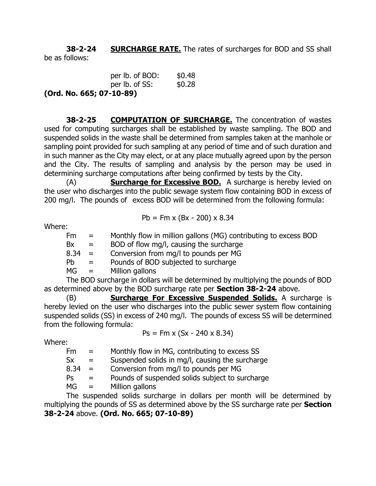**38-2-24 SURCHARGE RATE.** The rates of surcharges for BOD and SS shall be as follows:

| per lb. of BOD:          | \$0.48 |  |  |  |
|--------------------------|--------|--|--|--|
| per lb. of SS:           | \$0.28 |  |  |  |
| (Ord. No. 665; 07-10-89) |        |  |  |  |

**38-2-25 COMPUTATION OF SURCHARGE.** The concentration of wastes used for computing surcharges shall be established by waste sampling. The BOD and suspended solids in the waste shall be determined from samples taken at the manhole or

sampling point provided for such sampling at any period of time and of such duration and in such manner as the City may elect, or at any place mutually agreed upon by the person and the City. The results of sampling and analysis by the person may be used in determining surcharge computations after being confirmed by tests by the City.

(A) **Surcharge for Excessive BOD.** A surcharge is hereby levied on the user who discharges into the public sewage system flow containing BOD in excess of 200 mg/l. The pounds of excess BOD will be determined from the following formula:

$$
Pb = Fm \times (Bx - 200) \times 8.34
$$

Where:

| Fm       | $=$      | Monthly flow in million gallons (MG) contributing to excess BOD |
|----------|----------|-----------------------------------------------------------------|
| Bx       | $=$      | BOD of flow mg/l, causing the surcharge                         |
| $8.34 =$ |          | Conversion from mg/l to pounds per MG                           |
| Pb.      | $=$      | Pounds of BOD subjected to surcharge                            |
| MG       | $\equiv$ | Million gallons                                                 |

The BOD surcharge in dollars will be determined by multiplying the pounds of BOD as determined above by the BOD surcharge rate per **Section 38-2-24** above.

(B) **Surcharge For Excessive Suspended Solids.** A surcharge is hereby levied on the user who discharges into the public sewer system flow containing suspended solids (SS) in excess of 240 mg/l. The pounds of excess SS will be determined from the following formula:

$$
Ps = Fm \times (Sx - 240 \times 8.34)
$$

Where:

 $Fm =$  Monthly flow in MG, contributing to excess SS

 $Sx =$  Suspended solids in mg/l, causing the surcharge

 $8.34 =$  Conversion from mg/l to pounds per MG

 $Ps =$  Pounds of suspended solids subject to surcharge

 $MG =$  Million gallons

The suspended solids surcharge in dollars per month will be determined by multiplying the pounds of SS as determined above by the SS surcharge rate per **Section 38-2-24** above. **(Ord. No. 665; 07-10-89)**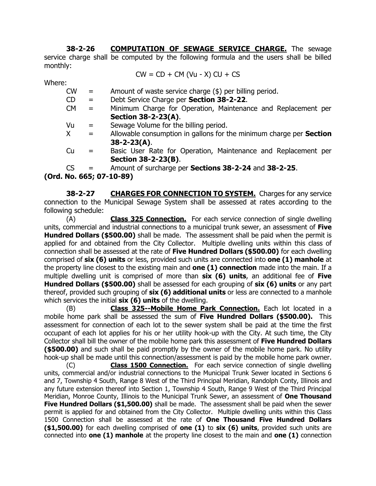**38-2-26 COMPUTATION OF SEWAGE SERVICE CHARGE.** The sewage service charge shall be computed by the following formula and the users shall be billed monthly:

$$
CW = CD + CM (Vu - X) CU + CS
$$

Where:

- $CW =$  Amount of waste service charge  $(\$)$  per billing period.
- CD = Debt Service Charge per **Section 38-2-22**.
- CM = Minimum Charge for Operation, Maintenance and Replacement per **Section 38-2-23(A)**.
- $Vu =$  Sewage Volume for the billing period.
- X = Allowable consumption in gallons for the minimum charge per **Section 38-2-23(A)**.
- Cu = Basic User Rate for Operation, Maintenance and Replacement per **Section 38-2-23(B)**.
- CS = Amount of surcharge per **Sections 38-2-24** and **38-2-25**.

**(Ord. No. 665; 07-10-89)**

**38-2-27 CHARGES FOR CONNECTION TO SYSTEM.** Charges for any service connection to the Municipal Sewage System shall be assessed at rates according to the following schedule:

(A) **Class 325 Connection.** For each service connection of single dwelling units, commercial and industrial connections to a municipal trunk sewer, an assessment of **Five Hundred Dollars (\$500.00)** shall be made. The assessment shall be paid when the permit is applied for and obtained from the City Collector. Multiple dwelling units within this class of connection shall be assessed at the rate of **Five Hundred Dollars (\$500.00)** for each dwelling comprised of **six (6) units** or less, provided such units are connected into **one (1) manhole** at the property line closest to the existing main and **one (1) connection** made into the main. If a multiple dwelling unit is comprised of more than **six (6) units**, an additional fee of **Five Hundred Dollars (\$500.00)** shall be assessed for each grouping of **six (6) units** or any part thereof, provided such grouping of **six (6) additional units** or less are connected to a manhole which services the initial **six (6) units** of the dwelling.

(B) **Class 325--Mobile Home Park Connection.** Each lot located in a mobile home park shall be assessed the sum of **Five Hundred Dollars (\$500.00).** This assessment for connection of each lot to the sewer system shall be paid at the time the first occupant of each lot applies for his or her utility hook-up with the City. At such time, the City Collector shall bill the owner of the mobile home park this assessment of **Five Hundred Dollars (\$500.00)** and such shall be paid promptly by the owner of the mobile home park. No utility hook-up shall be made until this connection/assessment is paid by the mobile home park owner.

(C) **Class 1500 Connection.** For each service connection of single dwelling units, commercial and/or industrial connections to the Municipal Trunk Sewer located in Sections 6 and 7, Township 4 South, Range 8 West of the Third Principal Meridian, Randolph Conty, Illinois and any future extension thereof into Section 1, Township 4 South, Range 9 West of the Third Principal Meridian, Monroe County, Illinois to the Municipal Trunk Sewer, an assessment of **One Thousand Five Hundred Dollars (\$1,500.00)** shall be made. The assessment shall be paid when the sewer permit is applied for and obtained from the City Collector. Multiple dwelling units within this Class 1500 Connection shall be assessed at the rate of **One Thousand Five Hundred Dollars (\$1,500.00)** for each dwelling comprised of **one (1)** to **six (6) units**, provided such units are connected into **one (1) manhole** at the property line closest to the main and **one (1)** connection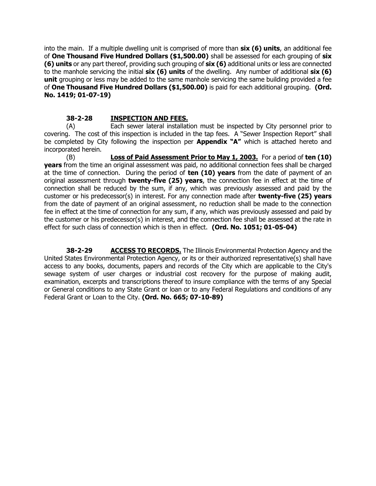into the main. If a multiple dwelling unit is comprised of more than **six (6) units**, an additional fee of **One Thousand Five Hundred Dollars (\$1,500.00)** shall be assessed for each grouping of **six (6) units** or any part thereof, providing such grouping of **six (6)** additional units or less are connected to the manhole servicing the initial **six (6) units** of the dwelling. Any number of additional **six (6) unit** grouping or less may be added to the same manhole servicing the same building provided a fee of **One Thousand Five Hundred Dollars (\$1,500.00)** is paid for each additional grouping. **(Ord. No. 1419; 01-07-19)**

#### **38-2-28 INSPECTION AND FEES.**

(A) Each sewer lateral installation must be inspected by City personnel prior to covering. The cost of this inspection is included in the tap fees. A "Sewer Inspection Report" shall be completed by City following the inspection per **Appendix "A"** which is attached hereto and incorporated herein.

(B) **Loss of Paid Assessment Prior to May 1, 2003.** For a period of **ten (10) years** from the time an original assessment was paid, no additional connection fees shall be charged at the time of connection. During the period of **ten (10) years** from the date of payment of an original assessment through **twenty-five (25) years**, the connection fee in effect at the time of connection shall be reduced by the sum, if any, which was previously assessed and paid by the customer or his predecessor(s) in interest. For any connection made after **twenty-five (25) years** from the date of payment of an original assessment, no reduction shall be made to the connection fee in effect at the time of connection for any sum, if any, which was previously assessed and paid by the customer or his predecessor(s) in interest, and the connection fee shall be assessed at the rate in effect for such class of connection which is then in effect. **(Ord. No. 1051; 01-05-04)**

**38-2-29 ACCESS TO RECORDS.** The Illinois Environmental Protection Agency and the United States Environmental Protection Agency, or its or their authorized representative(s) shall have access to any books, documents, papers and records of the City which are applicable to the City's sewage system of user charges or industrial cost recovery for the purpose of making audit, examination, excerpts and transcriptions thereof to insure compliance with the terms of any Special or General conditions to any State Grant or loan or to any Federal Regulations and conditions of any Federal Grant or Loan to the City. **(Ord. No. 665; 07-10-89)**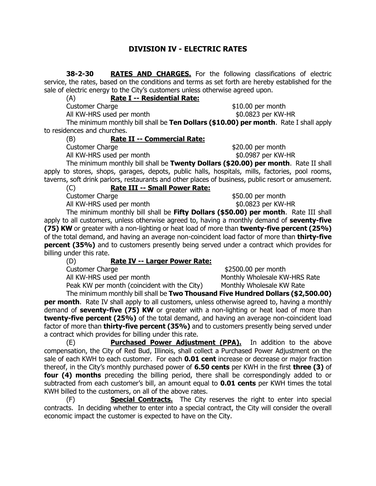#### **DIVISION IV - ELECTRIC RATES**

**38-2-30 RATES AND CHARGES.** For the following classifications of electric service, the rates, based on the conditions and terms as set forth are hereby established for the sale of electric energy to the City's customers unless otherwise agreed upon.

(A) **Rate I -- Residential Rate:**

All KW-HRS used per month  $$0.0823$  per KW-HR

Customer Charge  $$10.00$  per month

The minimum monthly bill shall be **Ten Dollars (\$10.00) per month**.Rate I shall apply to residences and churches.

(B) **Rate II -- Commercial Rate:**

Customer Charge **\$20.00** per month

All KW-HRS used per month  $$0.0987$  per KW-HR

The minimum monthly bill shall be **Twenty Dollars (\$20.00) per month**.Rate II shall apply to stores, shops, garages, depots, public halls, hospitals, mills, factories, pool rooms, taverns, soft drink parlors, restaurants and other places of business, public resort or amusement.

(C) **Rate III -- Small Power Rate:**

All KW-HRS used per month  $$0.0823$  per KW-HR

Customer Charge  $$50.00$  per month

The minimum monthly bill shall be **Fifty Dollars (\$50.00) per month**.Rate III shall apply to all customers, unless otherwise agreed to, having a monthly demand of **seventy-five (75) KW** or greater with a non-lighting or heat load of more than **twenty-five percent (25%)** of the total demand, and having an average non-coincident load factor of more than **thirty-five percent (35%)** and to customers presently being served under a contract which provides for billing under this rate.

#### (D) **Rate IV -- Larger Power Rate:**

Customer Charge **\$2500.00** per month All KW-HRS used per month Monthly Wholesale KW-HRS Rate Peak KW per month (coincident with the City) Monthly Wholesale KW Rate

The minimum monthly bill shall be **Two Thousand Five Hundred Dollars (\$2,500.00) per month.** Rate IV shall apply to all customers, unless otherwise agreed to, having a monthly demand of **seventy-five (75) KW** or greater with a non-lighting or heat load of more than **twenty-five percent (25%)** of the total demand, and having an average non-coincident load factor of more than **thirty-five percent (35%)** and to customers presently being served under a contract which provides for billing under this rate.

(E) **Purchased Power Adjustment (PPA).** In addition to the above compensation, the City of Red Bud, Illinois, shall collect a Purchased Power Adjustment on the sale of each KWH to each customer. For each **0.01 cent** increase or decrease or major fraction thereof, in the City's monthly purchased power of **6.50 cents** per KWH in the first **three (3)** of **four (4) months** preceding the billing period, there shall be correspondingly added to or subtracted from each customer's bill, an amount equal to **0.01 cents** per KWH times the total KWH billed to the customers, on all of the above rates.

(F) **Special Contracts.** The City reserves the right to enter into special contracts. In deciding whether to enter into a special contract, the City will consider the overall economic impact the customer is expected to have on the City.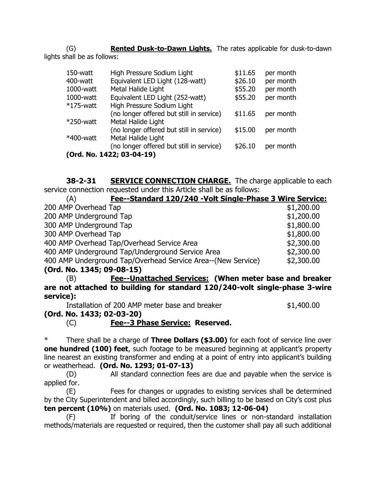(G) **Rented Dusk-to-Dawn Lights.** The rates applicable for dusk-to-dawn lights shall be as follows:

| 150-watt                  | High Pressure Sodium Light               | \$11.65 | per month |
|---------------------------|------------------------------------------|---------|-----------|
| 400-watt                  | Equivalent LED Light (128-watt)          | \$26.10 | per month |
| 1000-watt                 | Metal Halide Light                       | \$55.20 | per month |
| 1000-watt                 | Equivalent LED Light (252-watt)          | \$55.20 | per month |
| $*175$ -watt              | High Pressure Sodium Light               |         |           |
|                           | (no longer offered but still in service) | \$11.65 | per month |
| $*250$ -watt              | Metal Halide Light                       |         |           |
|                           | (no longer offered but still in service) | \$15.00 | per month |
| *400-watt                 | Metal Halide Light                       |         |           |
|                           | (no longer offered but still in service) | \$26.10 | per month |
| (Ord. No. 1422; 03-04-19) |                                          |         |           |

**38-2-31 SERVICE CONNECTION CHARGE.** The charge applicable to each service connection requested under this Article shall be as follows:

| Fee--Standard 120/240 - Volt Single-Phase 3 Wire Service:<br>(A) |            |
|------------------------------------------------------------------|------------|
| 200 AMP Overhead Tap                                             | \$1,200.00 |
| 200 AMP Underground Tap                                          | \$1,200.00 |
| 300 AMP Underground Tap                                          | \$1,800.00 |
| 300 AMP Overhead Tap                                             | \$1,800.00 |
| 400 AMP Overhead Tap/Overhead Service Area                       | \$2,300.00 |
| 400 AMP Underground Tap/Underground Service Area                 | \$2,300.00 |
| 400 AMP Underground Tap/Overhead Service Area--(New Service)     | \$2,300.00 |
| $(0, 1, 1)$ No. 1245, $00, 00, 15$                               |            |

**(Ord. No. 1345; 09-08-15)**

(B) **Fee--Unattached Services: (When meter base and breaker are not attached to building for standard 120/240-volt single-phase 3-wire service):**

Installation of 200 AMP meter base and breaker  $$1,400.00$ 

**(Ord. No. 1433; 02-03-20)**

(C) **Fee--3 Phase Service: Reserved.**

There shall be a charge of Three Dollars (\$3.00) for each foot of service line over **one hundred (100) feet**, such footage to be measured beginning at applicant's property line nearest an existing transformer and ending at a point of entry into applicant's building or weatherhead. **(Ord. No. 1293; 01-07-13)**

(D) All standard connection fees are due and payable when the service is applied for.

(E) Fees for changes or upgrades to existing services shall be determined by the City Superintendent and billed accordingly, such billing to be based on City's cost plus **ten percent (10%)** on materials used. **(Ord. No. 1083; 12-06-04)**

(F) If boring of the conduit/service lines or non-standard installation methods/materials are requested or required, then the customer shall pay all such additional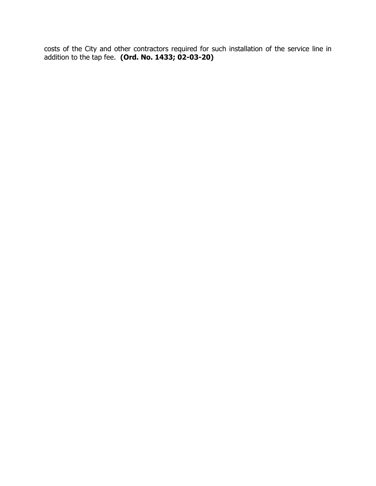costs of the City and other contractors required for such installation of the service line in addition to the tap fee. **(Ord. No. 1433; 02-03-20)**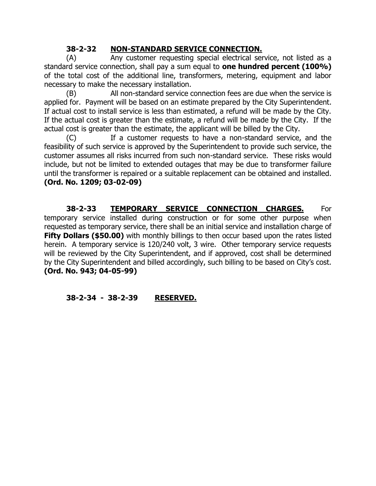## **38-2-32 NON-STANDARD SERVICE CONNECTION.**

(A) Any customer requesting special electrical service, not listed as a standard service connection, shall pay a sum equal to **one hundred percent (100%)** of the total cost of the additional line, transformers, metering, equipment and labor necessary to make the necessary installation.

(B) All non-standard service connection fees are due when the service is applied for. Payment will be based on an estimate prepared by the City Superintendent. If actual cost to install service is less than estimated, a refund will be made by the City. If the actual cost is greater than the estimate, a refund will be made by the City. If the actual cost is greater than the estimate, the applicant will be billed by the City.

(C) If a customer requests to have a non-standard service, and the feasibility of such service is approved by the Superintendent to provide such service, the customer assumes all risks incurred from such non-standard service. These risks would include, but not be limited to extended outages that may be due to transformer failure until the transformer is repaired or a suitable replacement can be obtained and installed. **(Ord. No. 1209; 03-02-09)**

**38-2-33 TEMPORARY SERVICE CONNECTION CHARGES.** For temporary service installed during construction or for some other purpose when requested as temporary service, there shall be an initial service and installation charge of **Fifty Dollars (\$50.00)** with monthly billings to then occur based upon the rates listed herein. A temporary service is 120/240 volt, 3 wire. Other temporary service requests will be reviewed by the City Superintendent, and if approved, cost shall be determined by the City Superintendent and billed accordingly, such billing to be based on City's cost. **(Ord. No. 943; 04-05-99)**

## **38-2-34 - 38-2-39 RESERVED.**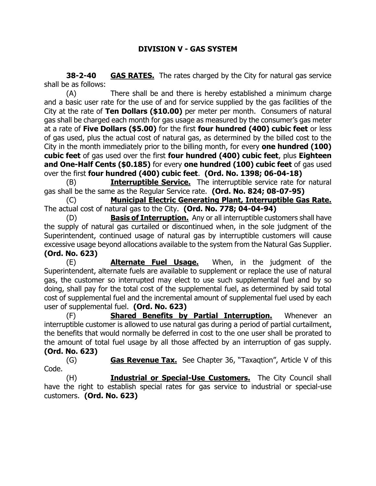**38-2-40 GAS RATES.** The rates charged by the City for natural gas service shall be as follows:

(A) There shall be and there is hereby established a minimum charge and a basic user rate for the use of and for service supplied by the gas facilities of the City at the rate of **Ten Dollars (\$10.00)** per meter per month. Consumers of natural gas shall be charged each month for gas usage as measured by the consumer's gas meter at a rate of **Five Dollars (\$5.00)** for the first **four hundred (400) cubic feet** or less of gas used, plus the actual cost of natural gas, as determined by the billed cost to the City in the month immediately prior to the billing month, for every **one hundred (100) cubic feet** of gas used over the first **four hundred (400) cubic feet**, plus **Eighteen and One-Half Cents (\$0.185)** for every **one hundred (100) cubic feet** of gas used over the first **four hundred (400) cubic feet**. **(Ord. No. 1398; 06-04-18)**

(B) **Interruptible Service.** The interruptible service rate for natural gas shall be the same as the Regular Service rate. **(Ord. No. 824; 08-07-95)**

(C) **Municipal Electric Generating Plant, Interruptible Gas Rate.** The actual cost of natural gas to the City. **(Ord. No. 778; 04-04-94)**

(D) **Basis of Interruption.** Any or all interruptible customers shall have the supply of natural gas curtailed or discontinued when, in the sole judgment of the Superintendent, continued usage of natural gas by interruptible customers will cause excessive usage beyond allocations available to the system from the Natural Gas Supplier. **(Ord. No. 623)**

(E) **Alternate Fuel Usage.** When, in the judgment of the Superintendent, alternate fuels are available to supplement or replace the use of natural gas, the customer so interrupted may elect to use such supplemental fuel and by so doing, shall pay for the total cost of the supplemental fuel, as determined by said total cost of supplemental fuel and the incremental amount of supplemental fuel used by each user of supplemental fuel. **(Ord. No. 623)**

(F) **Shared Benefits by Partial Interruption.** Whenever an interruptible customer is allowed to use natural gas during a period of partial curtailment, the benefits that would normally be deferred in cost to the one user shall be prorated to the amount of total fuel usage by all those affected by an interruption of gas supply. **(Ord. No. 623)**

(G) **Gas Revenue Tax.** See Chapter 36, "Taxaqtion", Article V of this Code.

(H) **Industrial or Special-Use Customers.** The City Council shall have the right to establish special rates for gas service to industrial or special-use customers. **(Ord. No. 623)**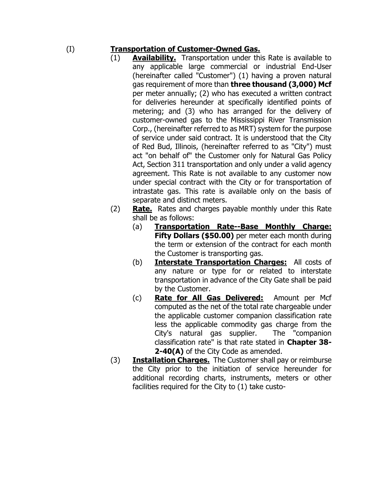## (I) **Transportation of Customer-Owned Gas.**

- (1) **Availability.** Transportation under this Rate is available to any applicable large commercial or industrial End-User (hereinafter called "Customer") (1) having a proven natural gas requirement of more than **three thousand (3,000) Mcf** per meter annually; (2) who has executed a written contract for deliveries hereunder at specifically identified points of metering; and (3) who has arranged for the delivery of customer-owned gas to the Mississippi River Transmission Corp., (hereinafter referred to as MRT) system for the purpose of service under said contract. It is understood that the City of Red Bud, Illinois, (hereinafter referred to as "City") must act "on behalf of" the Customer only for Natural Gas Policy Act, Section 311 transportation and only under a valid agency agreement. This Rate is not available to any customer now under special contract with the City or for transportation of intrastate gas. This rate is available only on the basis of separate and distinct meters.
- (2) **Rate.** Rates and charges payable monthly under this Rate shall be as follows:
	- (a) **Transportation Rate--Base Monthly Charge: Fifty Dollars (\$50.00)** per meter each month during the term or extension of the contract for each month the Customer is transporting gas.
	- (b) **Interstate Transportation Charges:** All costs of any nature or type for or related to interstate transportation in advance of the City Gate shall be paid by the Customer.
	- (c) **Rate for All Gas Delivered:** Amount per Mcf computed as the net of the total rate chargeable under the applicable customer companion classification rate less the applicable commodity gas charge from the City's natural gas supplier. The "companion classification rate" is that rate stated in **Chapter 38- 2-40(A)** of the City Code as amended.
- (3) **Installation Charges.** The Customer shall pay or reimburse the City prior to the initiation of service hereunder for additional recording charts, instruments, meters or other facilities required for the City to (1) take custo-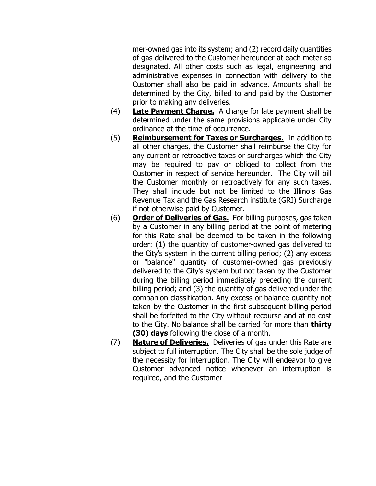mer-owned gas into its system; and (2) record daily quantities of gas delivered to the Customer hereunder at each meter so designated. All other costs such as legal, engineering and administrative expenses in connection with delivery to the Customer shall also be paid in advance. Amounts shall be determined by the City, billed to and paid by the Customer prior to making any deliveries.

- (4) **Late Payment Charge.** A charge for late payment shall be determined under the same provisions applicable under City ordinance at the time of occurrence.
- (5) **Reimbursement for Taxes or Surcharges.** In addition to all other charges, the Customer shall reimburse the City for any current or retroactive taxes or surcharges which the City may be required to pay or obliged to collect from the Customer in respect of service hereunder. The City will bill the Customer monthly or retroactively for any such taxes. They shall include but not be limited to the Illinois Gas Revenue Tax and the Gas Research institute (GRI) Surcharge if not otherwise paid by Customer.
- (6) **Order of Deliveries of Gas.** For billing purposes, gas taken by a Customer in any billing period at the point of metering for this Rate shall be deemed to be taken in the following order: (1) the quantity of customer-owned gas delivered to the City's system in the current billing period; (2) any excess or "balance" quantity of customer-owned gas previously delivered to the City's system but not taken by the Customer during the billing period immediately preceding the current billing period; and (3) the quantity of gas delivered under the companion classification. Any excess or balance quantity not taken by the Customer in the first subsequent billing period shall be forfeited to the City without recourse and at no cost to the City. No balance shall be carried for more than **thirty (30) days** following the close of a month.
- (7) **Nature of Deliveries.** Deliveries of gas under this Rate are subject to full interruption. The City shall be the sole judge of the necessity for interruption. The City will endeavor to give Customer advanced notice whenever an interruption is required, and the Customer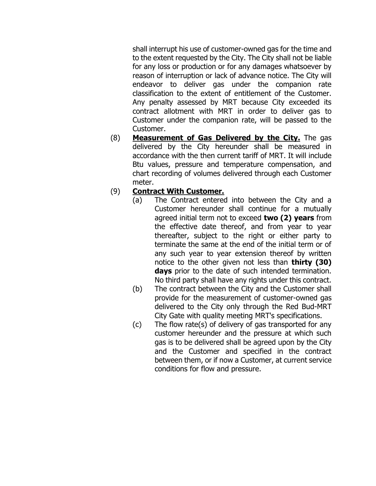shall interrupt his use of customer-owned gas for the time and to the extent requested by the City. The City shall not be liable for any loss or production or for any damages whatsoever by reason of interruption or lack of advance notice. The City will endeavor to deliver gas under the companion rate classification to the extent of entitlement of the Customer. Any penalty assessed by MRT because City exceeded its contract allotment with MRT in order to deliver gas to Customer under the companion rate, will be passed to the Customer.

(8) **Measurement of Gas Delivered by the City.** The gas delivered by the City hereunder shall be measured in accordance with the then current tariff of MRT. It will include Btu values, pressure and temperature compensation, and chart recording of volumes delivered through each Customer meter.

### (9) **Contract With Customer.**

- (a) The Contract entered into between the City and a Customer hereunder shall continue for a mutually agreed initial term not to exceed **two (2) years** from the effective date thereof, and from year to year thereafter, subject to the right or either party to terminate the same at the end of the initial term or of any such year to year extension thereof by written notice to the other given not less than **thirty (30) days** prior to the date of such intended termination. No third party shall have any rights under this contract.
- (b) The contract between the City and the Customer shall provide for the measurement of customer-owned gas delivered to the City only through the Red Bud-MRT City Gate with quality meeting MRT's specifications.
- (c) The flow rate(s) of delivery of gas transported for any customer hereunder and the pressure at which such gas is to be delivered shall be agreed upon by the City and the Customer and specified in the contract between them, or if now a Customer, at current service conditions for flow and pressure.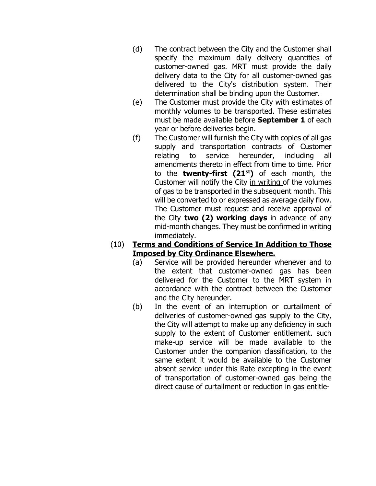- (d) The contract between the City and the Customer shall specify the maximum daily delivery quantities of customer-owned gas. MRT must provide the daily delivery data to the City for all customer-owned gas delivered to the City's distribution system. Their determination shall be binding upon the Customer.
- (e) The Customer must provide the City with estimates of monthly volumes to be transported. These estimates must be made available before **September 1** of each year or before deliveries begin.
- (f) The Customer will furnish the City with copies of all gas supply and transportation contracts of Customer relating to service hereunder, including all amendments thereto in effect from time to time. Prior to the **twenty-first (21 st)** of each month, the Customer will notify the City in writing of the volumes of gas to be transported in the subsequent month. This will be converted to or expressed as average daily flow. The Customer must request and receive approval of the City **two (2) working days** in advance of any mid-month changes. They must be confirmed in writing immediately.

### (10) **Terms and Conditions of Service In Addition to Those Imposed by City Ordinance Elsewhere.**

- (a) Service will be provided hereunder whenever and to the extent that customer-owned gas has been delivered for the Customer to the MRT system in accordance with the contract between the Customer and the City hereunder.
- (b) In the event of an interruption or curtailment of deliveries of customer-owned gas supply to the City, the City will attempt to make up any deficiency in such supply to the extent of Customer entitlement. such make-up service will be made available to the Customer under the companion classification, to the same extent it would be available to the Customer absent service under this Rate excepting in the event of transportation of customer-owned gas being the direct cause of curtailment or reduction in gas entitle-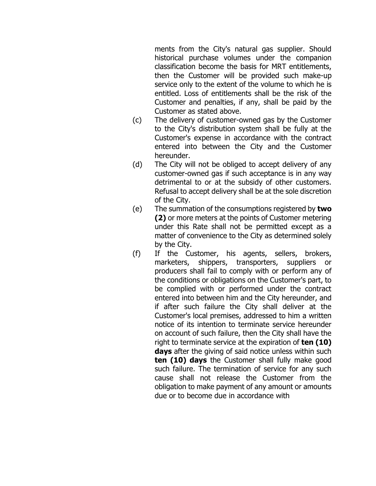ments from the City's natural gas supplier. Should historical purchase volumes under the companion classification become the basis for MRT entitlements, then the Customer will be provided such make-up service only to the extent of the volume to which he is entitled. Loss of entitlements shall be the risk of the Customer and penalties, if any, shall be paid by the Customer as stated above.

- (c) The delivery of customer-owned gas by the Customer to the City's distribution system shall be fully at the Customer's expense in accordance with the contract entered into between the City and the Customer hereunder.
- (d) The City will not be obliged to accept delivery of any customer-owned gas if such acceptance is in any way detrimental to or at the subsidy of other customers. Refusal to accept delivery shall be at the sole discretion of the City.
- (e) The summation of the consumptions registered by **two (2)** or more meters at the points of Customer metering under this Rate shall not be permitted except as a matter of convenience to the City as determined solely by the City.
- (f) If the Customer, his agents, sellers, brokers, marketers, shippers, transporters, suppliers or producers shall fail to comply with or perform any of the conditions or obligations on the Customer's part, to be complied with or performed under the contract entered into between him and the City hereunder, and if after such failure the City shall deliver at the Customer's local premises, addressed to him a written notice of its intention to terminate service hereunder on account of such failure, then the City shall have the right to terminate service at the expiration of **ten (10) days** after the giving of said notice unless within such **ten (10) days** the Customer shall fully make good such failure. The termination of service for any such cause shall not release the Customer from the obligation to make payment of any amount or amounts due or to become due in accordance with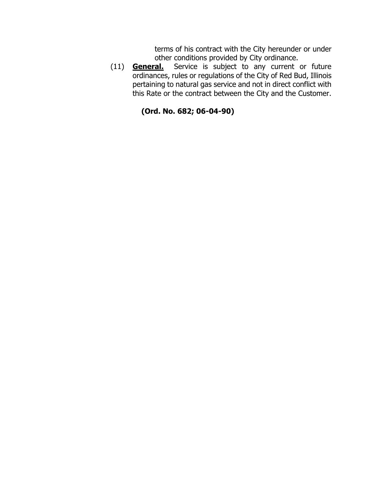terms of his contract with the City hereunder or under other conditions provided by City ordinance.

(11) **General.** Service is subject to any current or future ordinances, rules or regulations of the City of Red Bud, Illinois pertaining to natural gas service and not in direct conflict with this Rate or the contract between the City and the Customer.

## **(Ord. No. 682; 06-04-90)**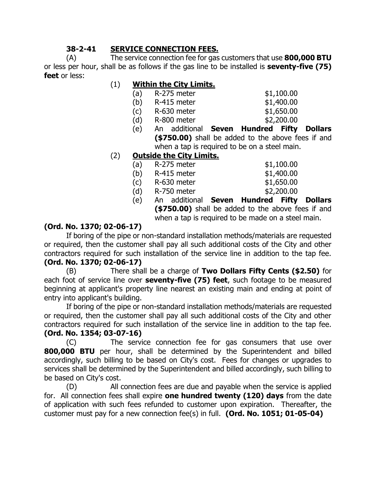## **38-2-41 SERVICE CONNECTION FEES.**

(A) The service connection fee for gas customers that use **800,000 BTU** or less per hour, shall be as follows if the gas line to be installed is **seventy-five (75) feet** or less:

## (1) **Within the City Limits.**

| (a) | R-275 meter         | \$1,100.00       |
|-----|---------------------|------------------|
|     | $(h)$ $D-415$ motor | <b>41 400 00</b> |

- (b) R-415 meter \$1,400.00 (c) R-630 meter \$1,650.00
- 
- (d) R-800 meter \$2,200.00 (e) An additional **Seven Hundred Fifty Dollars (\$750.00)** shall be added to the above fees if and

when a tap is required to be on a steel main.

## (2) **Outside the City Limits.**

|     | <b>∕⊥==^ ^^`</b> │ ││ │ ││ │ ││ │ │ <i>│</i> |  |            |
|-----|----------------------------------------------|--|------------|
| (e) | An additional Seven Hundred Fifty            |  |            |
| (d) | R-750 meter                                  |  | \$2,200.00 |
| (c) | R-630 meter                                  |  | \$1,650.00 |
| (b) | R-415 meter                                  |  | \$1,400.00 |
| (a) | R-275 meter                                  |  | \$1,100.00 |
|     |                                              |  |            |

**Dollars (\$750.00)** shall be added to the above fees if and when a tap is required to be made on a steel main.

## **(Ord. No. 1370; 02-06-17)**

If boring of the pipe or non-standard installation methods/materials are requested or required, then the customer shall pay all such additional costs of the City and other contractors required for such installation of the service line in addition to the tap fee.

# **(Ord. No. 1370; 02-06-17)**

(B) There shall be a charge of **Two Dollars Fifty Cents (\$2.50)** for each foot of service line over **seventy-five (75) feet**, such footage to be measured beginning at applicant's property line nearest an existing main and ending at point of entry into applicant's building.

If boring of the pipe or non-standard installation methods/materials are requested or required, then the customer shall pay all such additional costs of the City and other contractors required for such installation of the service line in addition to the tap fee. **(Ord. No. 1354; 03-07-16)**

(C) The service connection fee for gas consumers that use over **800,000 BTU** per hour, shall be determined by the Superintendent and billed accordingly, such billing to be based on City's cost. Fees for changes or upgrades to services shall be determined by the Superintendent and billed accordingly, such billing to be based on City's cost.

(D) All connection fees are due and payable when the service is applied for. All connection fees shall expire **one hundred twenty (120) days** from the date of application with such fees refunded to customer upon expiration. Thereafter, the customer must pay for a new connection fee(s) in full. **(Ord. No. 1051; 01-05-04)**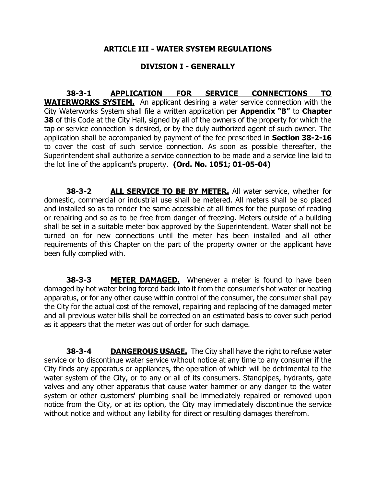#### **ARTICLE III - WATER SYSTEM REGULATIONS**

### **DIVISION I - GENERALLY**

**38-3-1 APPLICATION FOR SERVICE CONNECTIONS TO WATERWORKS SYSTEM.** An applicant desiring a water service connection with the City Waterworks System shall file a written application per **Appendix "B"** to **Chapter 38** of this Code at the City Hall, signed by all of the owners of the property for which the tap or service connection is desired, or by the duly authorized agent of such owner. The application shall be accompanied by payment of the fee prescribed in **Section 38-2-16**  to cover the cost of such service connection. As soon as possible thereafter, the Superintendent shall authorize a service connection to be made and a service line laid to the lot line of the applicant's property. **(Ord. No. 1051; 01-05-04)**

**38-3-2 ALL SERVICE TO BE BY METER.** All water service, whether for domestic, commercial or industrial use shall be metered. All meters shall be so placed and installed so as to render the same accessible at all times for the purpose of reading or repairing and so as to be free from danger of freezing. Meters outside of a building shall be set in a suitable meter box approved by the Superintendent. Water shall not be turned on for new connections until the meter has been installed and all other requirements of this Chapter on the part of the property owner or the applicant have been fully complied with.

**38-3-3 METER DAMAGED.** Whenever a meter is found to have been damaged by hot water being forced back into it from the consumer's hot water or heating apparatus, or for any other cause within control of the consumer, the consumer shall pay the City for the actual cost of the removal, repairing and replacing of the damaged meter and all previous water bills shall be corrected on an estimated basis to cover such period as it appears that the meter was out of order for such damage.

**38-3-4 DANGEROUS USAGE.** The City shall have the right to refuse water service or to discontinue water service without notice at any time to any consumer if the City finds any apparatus or appliances, the operation of which will be detrimental to the water system of the City, or to any or all of its consumers. Standpipes, hydrants, gate valves and any other apparatus that cause water hammer or any danger to the water system or other customers' plumbing shall be immediately repaired or removed upon notice from the City, or at its option, the City may immediately discontinue the service without notice and without any liability for direct or resulting damages therefrom.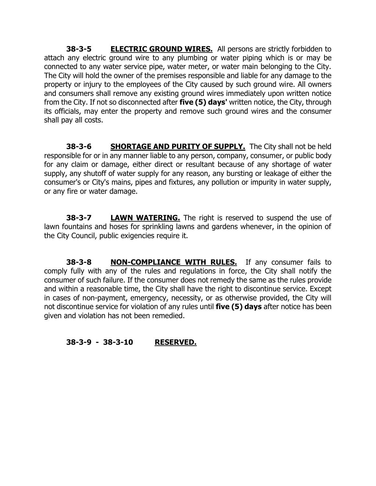**38-3-5 ELECTRIC GROUND WIRES.** All persons are strictly forbidden to attach any electric ground wire to any plumbing or water piping which is or may be connected to any water service pipe, water meter, or water main belonging to the City. The City will hold the owner of the premises responsible and liable for any damage to the property or injury to the employees of the City caused by such ground wire. All owners and consumers shall remove any existing ground wires immediately upon written notice from the City. If not so disconnected after **five (5) days'** written notice, the City, through its officials, may enter the property and remove such ground wires and the consumer shall pay all costs.

**38-3-6 SHORTAGE AND PURITY OF SUPPLY.** The City shall not be held responsible for or in any manner liable to any person, company, consumer, or public body for any claim or damage, either direct or resultant because of any shortage of water supply, any shutoff of water supply for any reason, any bursting or leakage of either the consumer's or City's mains, pipes and fixtures, any pollution or impurity in water supply, or any fire or water damage.

**38-3-7 LAWN WATERING.** The right is reserved to suspend the use of lawn fountains and hoses for sprinkling lawns and gardens whenever, in the opinion of the City Council, public exigencies require it.

**38-3-8 NON-COMPLIANCE WITH RULES.** If any consumer fails to comply fully with any of the rules and regulations in force, the City shall notify the consumer of such failure. If the consumer does not remedy the same as the rules provide and within a reasonable time, the City shall have the right to discontinue service. Except in cases of non-payment, emergency, necessity, or as otherwise provided, the City will not discontinue service for violation of any rules until **five (5) days** after notice has been given and violation has not been remedied.

## **38-3-9 - 38-3-10 RESERVED.**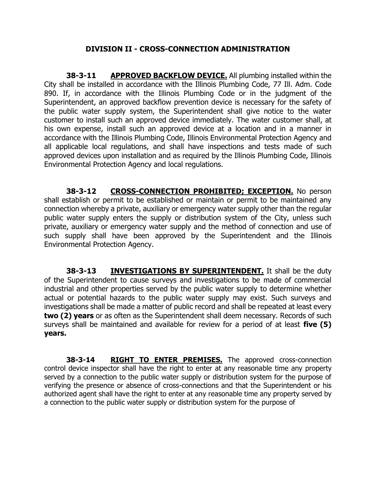### **DIVISION II - CROSS-CONNECTION ADMINISTRATION**

**38-3-11 APPROVED BACKFLOW DEVICE.** All plumbing installed within the City shall be installed in accordance with the Illinois Plumbing Code, 77 Ill. Adm. Code 890. If, in accordance with the Illinois Plumbing Code or in the judgment of the Superintendent, an approved backflow prevention device is necessary for the safety of the public water supply system, the Superintendent shall give notice to the water customer to install such an approved device immediately. The water customer shall, at his own expense, install such an approved device at a location and in a manner in accordance with the Illinois Plumbing Code, Illinois Environmental Protection Agency and all applicable local regulations, and shall have inspections and tests made of such approved devices upon installation and as required by the Illinois Plumbing Code, Illinois Environmental Protection Agency and local regulations.

**38-3-12 CROSS-CONNECTION PROHIBITED; EXCEPTION.** No person shall establish or permit to be established or maintain or permit to be maintained any connection whereby a private, auxiliary or emergency water supply other than the regular public water supply enters the supply or distribution system of the City, unless such private, auxiliary or emergency water supply and the method of connection and use of such supply shall have been approved by the Superintendent and the Illinois Environmental Protection Agency.

**38-3-13 INVESTIGATIONS BY SUPERINTENDENT.** It shall be the duty of the Superintendent to cause surveys and investigations to be made of commercial industrial and other properties served by the public water supply to determine whether actual or potential hazards to the public water supply may exist. Such surveys and investigations shall be made a matter of public record and shall be repeated at least every **two (2) years** or as often as the Superintendent shall deem necessary. Records of such surveys shall be maintained and available for review for a period of at least **five (5) years.**

**38-3-14 RIGHT TO ENTER PREMISES.** The approved cross-connection control device inspector shall have the right to enter at any reasonable time any property served by a connection to the public water supply or distribution system for the purpose of verifying the presence or absence of cross-connections and that the Superintendent or his authorized agent shall have the right to enter at any reasonable time any property served by a connection to the public water supply or distribution system for the purpose of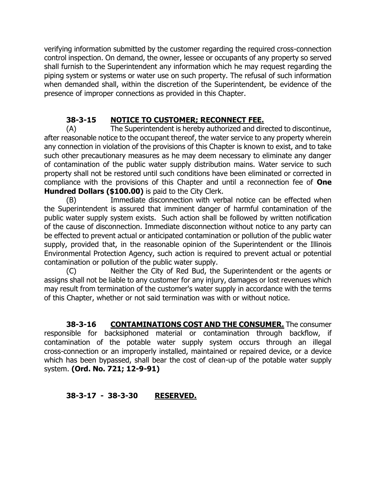verifying information submitted by the customer regarding the required cross-connection control inspection. On demand, the owner, lessee or occupants of any property so served shall furnish to the Superintendent any information which he may request regarding the piping system or systems or water use on such property. The refusal of such information when demanded shall, within the discretion of the Superintendent, be evidence of the presence of improper connections as provided in this Chapter.

## **38-3-15 NOTICE TO CUSTOMER; RECONNECT FEE.**

(A) The Superintendent is hereby authorized and directed to discontinue, after reasonable notice to the occupant thereof, the water service to any property wherein any connection in violation of the provisions of this Chapter is known to exist, and to take such other precautionary measures as he may deem necessary to eliminate any danger of contamination of the public water supply distribution mains. Water service to such property shall not be restored until such conditions have been eliminated or corrected in compliance with the provisions of this Chapter and until a reconnection fee of **One Hundred Dollars (\$100.00)** is paid to the City Clerk.

(B) Immediate disconnection with verbal notice can be effected when the Superintendent is assured that imminent danger of harmful contamination of the public water supply system exists. Such action shall be followed by written notification of the cause of disconnection. Immediate disconnection without notice to any party can be effected to prevent actual or anticipated contamination or pollution of the public water supply, provided that, in the reasonable opinion of the Superintendent or the Illinois Environmental Protection Agency, such action is required to prevent actual or potential contamination or pollution of the public water supply.

(C) Neither the City of Red Bud, the Superintendent or the agents or assigns shall not be liable to any customer for any injury, damages or lost revenues which may result from termination of the customer's water supply in accordance with the terms of this Chapter, whether or not said termination was with or without notice.

**38-3-16 CONTAMINATIONS COST AND THE CONSUMER.** The consumer responsible for backsiphoned material or contamination through backflow, if contamination of the potable water supply system occurs through an illegal cross-connection or an improperly installed, maintained or repaired device, or a device which has been bypassed, shall bear the cost of clean-up of the potable water supply system. **(Ord. No. 721; 12-9-91)**

## **38-3-17 - 38-3-30 RESERVED.**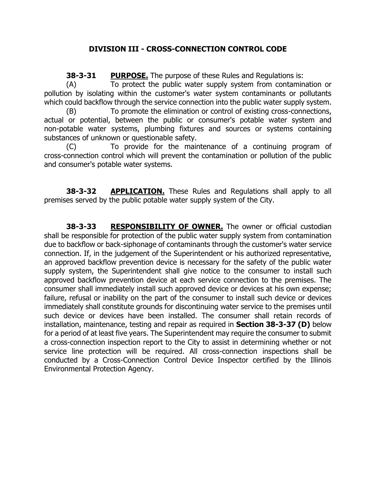## **DIVISION III - CROSS-CONNECTION CONTROL CODE**

**38-3-31 PURPOSE.** The purpose of these Rules and Regulations is:

(A) To protect the public water supply system from contamination or pollution by isolating within the customer's water system contaminants or pollutants which could backflow through the service connection into the public water supply system.

(B) To promote the elimination or control of existing cross-connections, actual or potential, between the public or consumer's potable water system and non-potable water systems, plumbing fixtures and sources or systems containing substances of unknown or questionable safety.

(C) To provide for the maintenance of a continuing program of cross-connection control which will prevent the contamination or pollution of the public and consumer's potable water systems.

**38-3-32 APPLICATION.** These Rules and Regulations shall apply to all premises served by the public potable water supply system of the City.

**38-3-33 RESPONSIBILITY OF OWNER.** The owner or official custodian shall be responsible for protection of the public water supply system from contamination due to backflow or back-siphonage of contaminants through the customer's water service connection. If, in the judgement of the Superintendent or his authorized representative, an approved backflow prevention device is necessary for the safety of the public water supply system, the Superintendent shall give notice to the consumer to install such approved backflow prevention device at each service connection to the premises. The consumer shall immediately install such approved device or devices at his own expense; failure, refusal or inability on the part of the consumer to install such device or devices immediately shall constitute grounds for discontinuing water service to the premises until such device or devices have been installed. The consumer shall retain records of installation, maintenance, testing and repair as required in **Section 38-3-37 (D)** below for a period of at least five years. The Superintendent may require the consumer to submit a cross-connection inspection report to the City to assist in determining whether or not service line protection will be required. All cross-connection inspections shall be conducted by a Cross-Connection Control Device Inspector certified by the Illinois Environmental Protection Agency.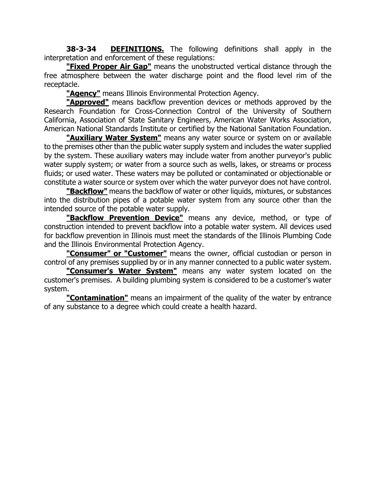**38-3-34 DEFINITIONS.** The following definitions shall apply in the interpretation and enforcement of these regulations:

**"Fixed Proper Air Gap"** means the unobstructed vertical distance through the free atmosphere between the water discharge point and the flood level rim of the receptacle.

**"Agency"** means Illinois Environmental Protection Agency.

**"Approved"** means backflow prevention devices or methods approved by the Research Foundation for Cross-Connection Control of the University of Southern California, Association of State Sanitary Engineers, American Water Works Association, American National Standards Institute or certified by the National Sanitation Foundation.

**"Auxiliary Water System"** means any water source or system on or available to the premises other than the public water supply system and includes the water supplied by the system. These auxiliary waters may include water from another purveyor's public water supply system; or water from a source such as wells, lakes, or streams or process fluids; or used water. These waters may be polluted or contaminated or objectionable or constitute a water source or system over which the water purveyor does not have control.

**"Backflow"** means the backflow of water or other liquids, mixtures, or substances into the distribution pipes of a potable water system from any source other than the intended source of the potable water supply.

**"Backflow Prevention Device"** means any device, method, or type of construction intended to prevent backflow into a potable water system. All devices used for backflow prevention in Illinois must meet the standards of the Illinois Plumbing Code and the Illinois Environmental Protection Agency.

**"Consumer" or "Customer"** means the owner, official custodian or person in control of any premises supplied by or in any manner connected to a public water system.

**"Consumer's Water System"** means any water system located on the customer's premises. A building plumbing system is considered to be a customer's water system.

**"Contamination"** means an impairment of the quality of the water by entrance of any substance to a degree which could create a health hazard.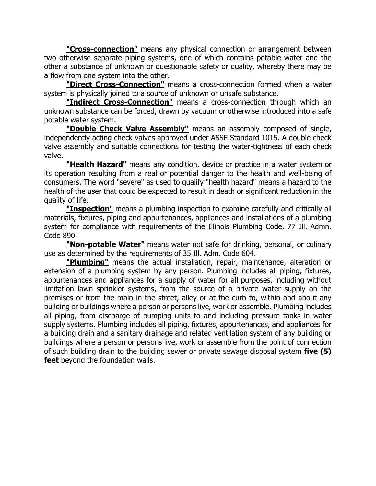**"Cross-connection"** means any physical connection or arrangement between two otherwise separate piping systems, one of which contains potable water and the other a substance of unknown or questionable safety or quality, whereby there may be a flow from one system into the other.

**"Direct Cross-Connection"** means a cross-connection formed when a water system is physically joined to a source of unknown or unsafe substance.

**"Indirect Cross-Connection"** means a cross-connection through which an unknown substance can be forced, drawn by vacuum or otherwise introduced into a safe potable water system.

**"Double Check Valve Assembly"** means an assembly composed of single, independently acting check valves approved under ASSE Standard 1015. A double check valve assembly and suitable connections for testing the water-tightness of each check valve.

**"Health Hazard"** means any condition, device or practice in a water system or its operation resulting from a real or potential danger to the health and well-being of consumers. The word "severe" as used to qualify "health hazard" means a hazard to the health of the user that could be expected to result in death or significant reduction in the quality of life.

**"Inspection"** means a plumbing inspection to examine carefully and critically all materials, fixtures, piping and appurtenances, appliances and installations of a plumbing system for compliance with requirements of the Illinois Plumbing Code, 77 Ill. Admn. Code 890.

**"Non-potable Water"** means water not safe for drinking, personal, or culinary use as determined by the requirements of 35 Ill. Adm. Code 604.

**"Plumbing"** means the actual installation, repair, maintenance, alteration or extension of a plumbing system by any person. Plumbing includes all piping, fixtures, appurtenances and appliances for a supply of water for all purposes, including without limitation lawn sprinkler systems, from the source of a private water supply on the premises or from the main in the street, alley or at the curb to, within and about any building or buildings where a person or persons live, work or assemble. Plumbing includes all piping, from discharge of pumping units to and including pressure tanks in water supply systems. Plumbing includes all piping, fixtures, appurtenances, and appliances for a building drain and a sanitary drainage and related ventilation system of any building or buildings where a person or persons live, work or assemble from the point of connection of such building drain to the building sewer or private sewage disposal system **five (5) feet** beyond the foundation walls.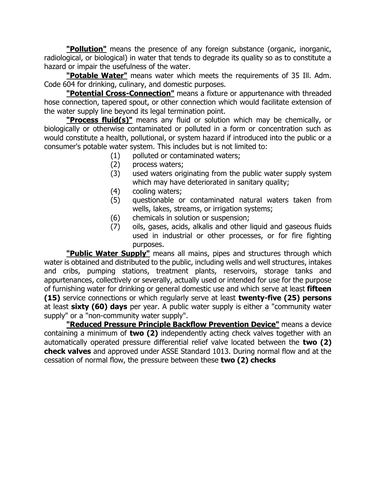**"Pollution"** means the presence of any foreign substance (organic, inorganic, radiological, or biological) in water that tends to degrade its quality so as to constitute a hazard or impair the usefulness of the water.

**"Potable Water"** means water which meets the requirements of 35 Ill. Adm. Code 604 for drinking, culinary, and domestic purposes.

**"Potential Cross-Connection"** means a fixture or appurtenance with threaded hose connection, tapered spout, or other connection which would facilitate extension of the water supply line beyond its legal termination point.

**"Process fluid(s)"** means any fluid or solution which may be chemically, or biologically or otherwise contaminated or polluted in a form or concentration such as would constitute a health, pollutional, or system hazard if introduced into the public or a consumer's potable water system. This includes but is not limited to:

- (1) polluted or contaminated waters;
- (2) process waters;
- (3) used waters originating from the public water supply system which may have deteriorated in sanitary quality;
- (4) cooling waters;
- (5) questionable or contaminated natural waters taken from wells, lakes, streams, or irrigation systems;
- (6) chemicals in solution or suspension;
- (7) oils, gases, acids, alkalis and other liquid and gaseous fluids used in industrial or other processes, or for fire fighting purposes.

**"Public Water Supply"** means all mains, pipes and structures through which water is obtained and distributed to the public, including wells and well structures, intakes and cribs, pumping stations, treatment plants, reservoirs, storage tanks and appurtenances, collectively or severally, actually used or intended for use for the purpose of furnishing water for drinking or general domestic use and which serve at least **fifteen (15)** service connections or which regularly serve at least **twenty-five (25) persons** at least **sixty (60) days** per year. A public water supply is either a "community water supply" or a "non-community water supply".

**"Reduced Pressure Principle Backflow Prevention Device"** means a device containing a minimum of **two (2)** independently acting check valves together with an automatically operated pressure differential relief valve located between the **two (2) check valves** and approved under ASSE Standard 1013. During normal flow and at the cessation of normal flow, the pressure between these **two (2) checks**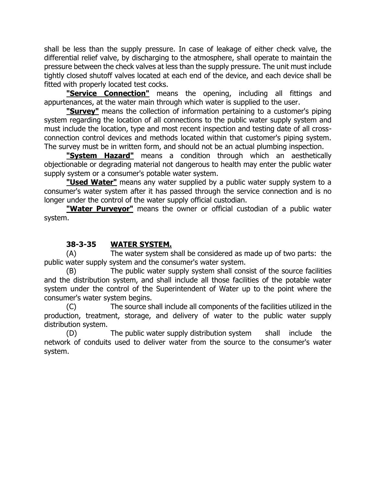shall be less than the supply pressure. In case of leakage of either check valve, the differential relief valve, by discharging to the atmosphere, shall operate to maintain the pressure between the check valves at less than the supply pressure. The unit must include tightly closed shutoff valves located at each end of the device, and each device shall be fitted with properly located test cocks.

**"Service Connection"** means the opening, including all fittings and appurtenances, at the water main through which water is supplied to the user.

**"Survey"** means the collection of information pertaining to a customer's piping system regarding the location of all connections to the public water supply system and must include the location, type and most recent inspection and testing date of all crossconnection control devices and methods located within that customer's piping system. The survey must be in written form, and should not be an actual plumbing inspection.

**"System Hazard"** means a condition through which an aesthetically objectionable or degrading material not dangerous to health may enter the public water supply system or a consumer's potable water system.

**"Used Water"** means any water supplied by a public water supply system to a consumer's water system after it has passed through the service connection and is no longer under the control of the water supply official custodian.

**"Water Purveyor"** means the owner or official custodian of a public water system.

## **38-3-35 WATER SYSTEM.**

(A) The water system shall be considered as made up of two parts: the public water supply system and the consumer's water system.

(B) The public water supply system shall consist of the source facilities and the distribution system, and shall include all those facilities of the potable water system under the control of the Superintendent of Water up to the point where the consumer's water system begins.

(C) The source shall include all components of the facilities utilized in the production, treatment, storage, and delivery of water to the public water supply distribution system.

(D) The public water supply distribution system shall include the network of conduits used to deliver water from the source to the consumer's water system.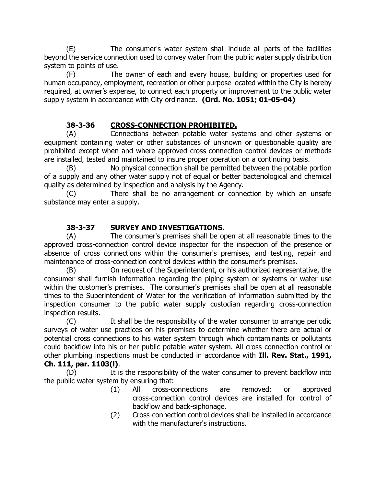(E) The consumer's water system shall include all parts of the facilities beyond the service connection used to convey water from the public water supply distribution system to points of use.

(F) The owner of each and every house, building or properties used for human occupancy, employment, recreation or other purpose located within the City is hereby required, at owner's expense, to connect each property or improvement to the public water supply system in accordance with City ordinance. **(Ord. No. 1051; 01-05-04)**

## **38-3-36 CROSS-CONNECTION PROHIBITED.**

(A) Connections between potable water systems and other systems or equipment containing water or other substances of unknown or questionable quality are prohibited except when and where approved cross-connection control devices or methods are installed, tested and maintained to insure proper operation on a continuing basis.

(B) No physical connection shall be permitted between the potable portion of a supply and any other water supply not of equal or better bacteriological and chemical quality as determined by inspection and analysis by the Agency.

(C) There shall be no arrangement or connection by which an unsafe substance may enter a supply.

## **38-3-37 SURVEY AND INVESTIGATIONS.**

(A) The consumer's premises shall be open at all reasonable times to the approved cross-connection control device inspector for the inspection of the presence or absence of cross connections within the consumer's premises, and testing, repair and maintenance of cross-connection control devices within the consumer's premises.

(B) On request of the Superintendent, or his authorized representative, the consumer shall furnish information regarding the piping system or systems or water use within the customer's premises. The consumer's premises shall be open at all reasonable times to the Superintendent of Water for the verification of information submitted by the inspection consumer to the public water supply custodian regarding cross-connection inspection results.

(C) It shall be the responsibility of the water consumer to arrange periodic surveys of water use practices on his premises to determine whether there are actual or potential cross connections to his water system through which contaminants or pollutants could backflow into his or her public potable water system. All cross-connection control or other plumbing inspections must be conducted in accordance with **Ill. Rev. Stat., 1991, Ch. 111, par. 1103(l)**.

(D) It is the responsibility of the water consumer to prevent backflow into the public water system by ensuring that:

- (1) All cross-connections are removed; or approved cross-connection control devices are installed for control of backflow and back-siphonage.
- (2) Cross-connection control devices shall be installed in accordance with the manufacturer's instructions.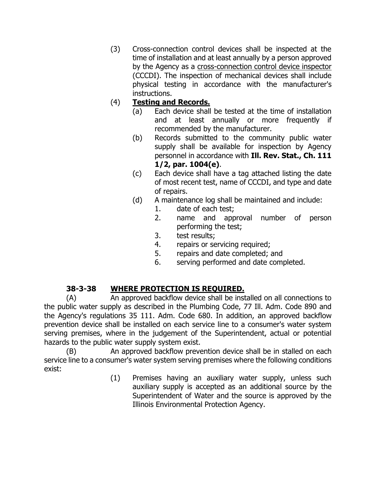(3) Cross-connection control devices shall be inspected at the time of installation and at least annually by a person approved by the Agency as a cross-connection control device inspector (CCCDI). The inspection of mechanical devices shall include physical testing in accordance with the manufacturer's instructions.

# (4) **Testing and Records.**

- (a) Each device shall be tested at the time of installation and at least annually or more frequently if recommended by the manufacturer.
- (b) Records submitted to the community public water supply shall be available for inspection by Agency personnel in accordance with **Ill. Rev. Stat., Ch. 111 1/2, par. 1004(e)**.
- (c) Each device shall have a tag attached listing the date of most recent test, name of CCCDI, and type and date of repairs.
- (d) A maintenance log shall be maintained and include:
	- 1. date of each test;
	- 2. name and approval number of person performing the test;
	- 3. test results;
	- 4. repairs or servicing required;
	- 5. repairs and date completed; and
	- 6. serving performed and date completed.

# **38-3-38 WHERE PROTECTION IS REQUIRED.**

(A) An approved backflow device shall be installed on all connections to the public water supply as described in the Plumbing Code, 77 Ill. Adm. Code 890 and the Agency's regulations 35 111. Adm. Code 680. In addition, an approved backflow prevention device shall be installed on each service line to a consumer's water system serving premises, where in the judgement of the Superintendent, actual or potential hazards to the public water supply system exist.

(B) An approved backflow prevention device shall be in stalled on each service line to a consumer's water system serving premises where the following conditions exist:

(1) Premises having an auxiliary water supply, unless such auxiliary supply is accepted as an additional source by the Superintendent of Water and the source is approved by the Illinois Environmental Protection Agency.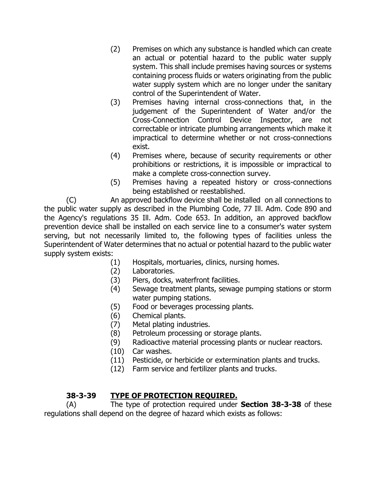- (2) Premises on which any substance is handled which can create an actual or potential hazard to the public water supply system. This shall include premises having sources or systems containing process fluids or waters originating from the public water supply system which are no longer under the sanitary control of the Superintendent of Water.
- (3) Premises having internal cross-connections that, in the judgement of the Superintendent of Water and/or the Cross-Connection Control Device Inspector, are not correctable or intricate plumbing arrangements which make it impractical to determine whether or not cross-connections exist.
- (4) Premises where, because of security requirements or other prohibitions or restrictions, it is impossible or impractical to make a complete cross-connection survey.
- (5) Premises having a repeated history or cross-connections being established or reestablished.

(C) An approved backflow device shall be installed on all connections to the public water supply as described in the Plumbing Code, 77 Ill. Adm. Code 890 and the Agency's regulations 35 Ill. Adm. Code 653. In addition, an approved backflow prevention device shall be installed on each service line to a consumer's water system serving, but not necessarily limited to, the following types of facilities unless the Superintendent of Water determines that no actual or potential hazard to the public water supply system exists:

- (1) Hospitals, mortuaries, clinics, nursing homes.
- (2) Laboratories.
- (3) Piers, docks, waterfront facilities.
- (4) Sewage treatment plants, sewage pumping stations or storm water pumping stations.
- (5) Food or beverages processing plants.
- (6) Chemical plants.
- (7) Metal plating industries.
- (8) Petroleum processing or storage plants.
- (9) Radioactive material processing plants or nuclear reactors.
- (10) Car washes.
- (11) Pesticide, or herbicide or extermination plants and trucks.
- (12) Farm service and fertilizer plants and trucks.

## **38-3-39 TYPE OF PROTECTION REQUIRED.**

(A) The type of protection required under **Section 38-3-38** of these regulations shall depend on the degree of hazard which exists as follows: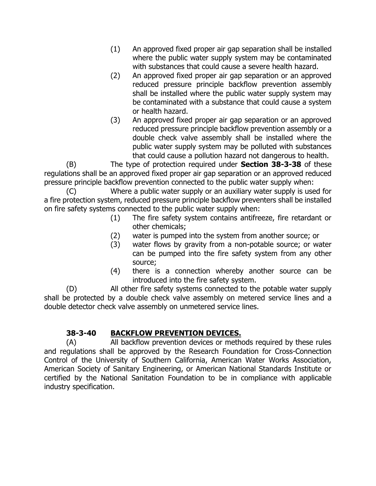- (1) An approved fixed proper air gap separation shall be installed where the public water supply system may be contaminated with substances that could cause a severe health hazard.
- (2) An approved fixed proper air gap separation or an approved reduced pressure principle backflow prevention assembly shall be installed where the public water supply system may be contaminated with a substance that could cause a system or health hazard.
- (3) An approved fixed proper air gap separation or an approved reduced pressure principle backflow prevention assembly or a double check valve assembly shall be installed where the public water supply system may be polluted with substances that could cause a pollution hazard not dangerous to health.

(B) The type of protection required under **Section 38-3-38** of these regulations shall be an approved fixed proper air gap separation or an approved reduced pressure principle backflow prevention connected to the public water supply when:

(C) Where a public water supply or an auxiliary water supply is used for a fire protection system, reduced pressure principle backflow preventers shall be installed on fire safety systems connected to the public water supply when:

- (1) The fire safety system contains antifreeze, fire retardant or other chemicals;
- (2) water is pumped into the system from another source; or
- (3) water flows by gravity from a non-potable source; or water can be pumped into the fire safety system from any other source;
- (4) there is a connection whereby another source can be introduced into the fire safety system.

(D) All other fire safety systems connected to the potable water supply shall be protected by a double check valve assembly on metered service lines and a double detector check valve assembly on unmetered service lines.

# **38-3-40 BACKFLOW PREVENTION DEVICES.**

(A) All backflow prevention devices or methods required by these rules and regulations shall be approved by the Research Foundation for Cross-Connection Control of the University of Southern California, American Water Works Association, American Society of Sanitary Engineering, or American National Standards Institute or certified by the National Sanitation Foundation to be in compliance with applicable industry specification.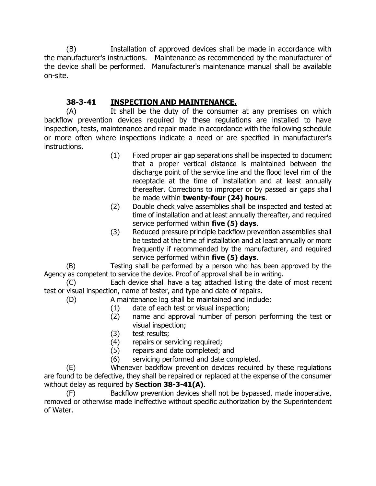(B) Installation of approved devices shall be made in accordance with the manufacturer's instructions. Maintenance as recommended by the manufacturer of the device shall be performed. Manufacturer's maintenance manual shall be available on-site.

# **38-3-41 INSPECTION AND MAINTENANCE.**

(A) It shall be the duty of the consumer at any premises on which backflow prevention devices required by these regulations are installed to have inspection, tests, maintenance and repair made in accordance with the following schedule or more often where inspections indicate a need or are specified in manufacturer's instructions.

- (1) Fixed proper air gap separations shall be inspected to document that a proper vertical distance is maintained between the discharge point of the service line and the flood level rim of the receptacle at the time of installation and at least annually thereafter. Corrections to improper or by passed air gaps shall be made within **twenty-four (24) hours**.
- (2) Double check valve assemblies shall be inspected and tested at time of installation and at least annually thereafter, and required service performed within **five (5) days**.
- (3) Reduced pressure principle backflow prevention assemblies shall be tested at the time of installation and at least annually or more frequently if recommended by the manufacturer, and required service performed within **five (5) days**.

(B) Testing shall be performed by a person who has been approved by the Agency as competent to service the device. Proof of approval shall be in writing.

(C) Each device shall have a tag attached listing the date of most recent test or visual inspection, name of tester, and type and date of repairs.

(D) A maintenance log shall be maintained and include:

- (1) date of each test or visual inspection;
- (2) name and approval number of person performing the test or visual inspection;
- (3) test results;
- (4) repairs or servicing required;
- (5) repairs and date completed; and
- (6) servicing performed and date completed.

(E) Whenever backflow prevention devices required by these regulations are found to be defective, they shall be repaired or replaced at the expense of the consumer without delay as required by **Section 38-3-41(A)**.

(F) Backflow prevention devices shall not be bypassed, made inoperative, removed or otherwise made ineffective without specific authorization by the Superintendent of Water.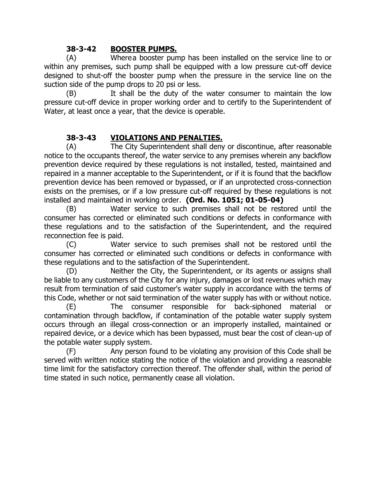## **38-3-42 BOOSTER PUMPS.**

(A) Wherea booster pump has been installed on the service line to or within any premises, such pump shall be equipped with a low pressure cut-off device designed to shut-off the booster pump when the pressure in the service line on the suction side of the pump drops to 20 psi or less.

(B) It shall be the duty of the water consumer to maintain the low pressure cut-off device in proper working order and to certify to the Superintendent of Water, at least once a year, that the device is operable.

## **38-3-43 VIOLATIONS AND PENALTIES.**

(A) The City Superintendent shall deny or discontinue, after reasonable notice to the occupants thereof, the water service to any premises wherein any backflow prevention device required by these regulations is not installed, tested, maintained and repaired in a manner acceptable to the Superintendent, or if it is found that the backflow prevention device has been removed or bypassed, or if an unprotected cross-connection exists on the premises, or if a low pressure cut-off required by these regulations is not installed and maintained in working order. **(Ord. No. 1051; 01-05-04)**

(B) Water service to such premises shall not be restored until the consumer has corrected or eliminated such conditions or defects in conformance with these regulations and to the satisfaction of the Superintendent, and the required reconnection fee is paid.

(C) Water service to such premises shall not be restored until the consumer has corrected or eliminated such conditions or defects in conformance with these regulations and to the satisfaction of the Superintendent.

(D) Neither the City, the Superintendent, or its agents or assigns shall be liable to any customers of the City for any injury, damages or lost revenues which may result from termination of said customer's water supply in accordance with the terms of this Code, whether or not said termination of the water supply has with or without notice.

(E) The consumer responsible for back-siphoned material or contamination through backflow, if contamination of the potable water supply system occurs through an illegal cross-connection or an improperly installed, maintained or repaired device, or a device which has been bypassed, must bear the cost of clean-up of the potable water supply system.

(F) Any person found to be violating any provision of this Code shall be served with written notice stating the notice of the violation and providing a reasonable time limit for the satisfactory correction thereof. The offender shall, within the period of time stated in such notice, permanently cease all violation.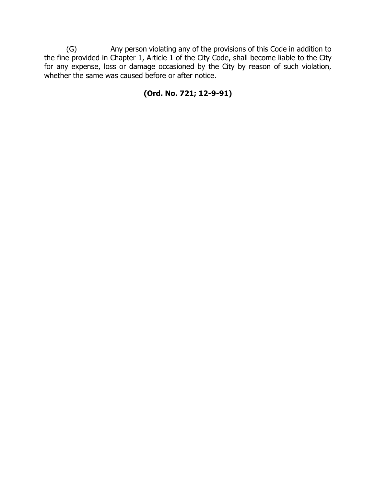(G) Any person violating any of the provisions of this Code in addition to the fine provided in Chapter 1, Article 1 of the City Code, shall become liable to the City for any expense, loss or damage occasioned by the City by reason of such violation, whether the same was caused before or after notice.

# **(Ord. No. 721; 12-9-91)**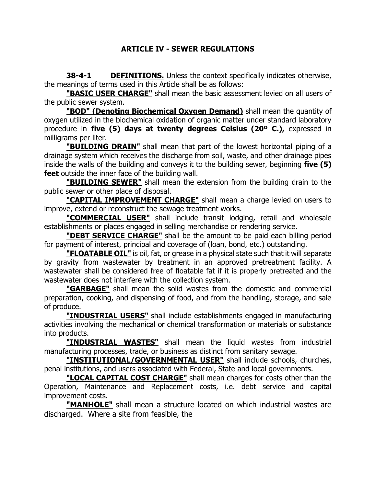## **ARTICLE IV - SEWER REGULATIONS**

**38-4-1 DEFINITIONS.** Unless the context specifically indicates otherwise, the meanings of terms used in this Article shall be as follows:

**"BASIC USER CHARGE"** shall mean the basic assessment levied on all users of the public sewer system.

**"BOD" (Denoting Biochemical Oxygen Demand)** shall mean the quantity of oxygen utilized in the biochemical oxidation of organic matter under standard laboratory procedure in **five (5) days at twenty degrees Celsius (20º C.),** expressed in milligrams per liter.

**"BUILDING DRAIN"** shall mean that part of the lowest horizontal piping of a drainage system which receives the discharge from soil, waste, and other drainage pipes inside the walls of the building and conveys it to the building sewer, beginning **five (5) feet** outside the inner face of the building wall.

**"BUILDING SEWER"** shall mean the extension from the building drain to the public sewer or other place of disposal.

**"CAPITAL IMPROVEMENT CHARGE"** shall mean a charge levied on users to improve, extend or reconstruct the sewage treatment works.

**"COMMERCIAL USER"** shall include transit lodging, retail and wholesale establishments or places engaged in selling merchandise or rendering service.

**"DEBT SERVICE CHARGE"** shall be the amount to be paid each billing period for payment of interest, principal and coverage of (loan, bond, etc.) outstanding.

**"FLOATABLE OIL"** is oil, fat, or grease in a physical state such that it will separate by gravity from wastewater by treatment in an approved pretreatment facility. A wastewater shall be considered free of floatable fat if it is properly pretreated and the wastewater does not interfere with the collection system.

**"GARBAGE"** shall mean the solid wastes from the domestic and commercial preparation, cooking, and dispensing of food, and from the handling, storage, and sale of produce.

**"INDUSTRIAL USERS"** shall include establishments engaged in manufacturing activities involving the mechanical or chemical transformation or materials or substance into products.

**"INDUSTRIAL WASTES"** shall mean the liquid wastes from industrial manufacturing processes, trade, or business as distinct from sanitary sewage.

**"INSTITUTIONAL/GOVERNMENTAL USER"** shall include schools, churches, penal institutions, and users associated with Federal, State and local governments.

**"LOCAL CAPITAL COST CHARGE"** shall mean charges for costs other than the Operation, Maintenance and Replacement costs, i.e. debt service and capital improvement costs.

**"MANHOLE"** shall mean a structure located on which industrial wastes are discharged. Where a site from feasible, the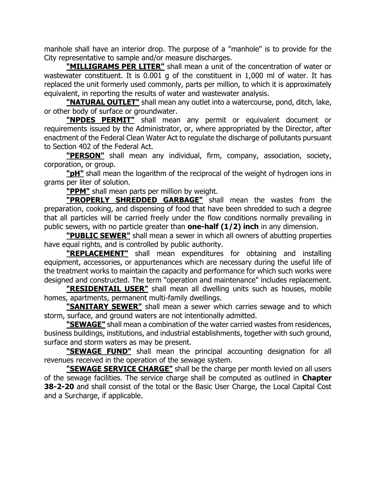manhole shall have an interior drop. The purpose of a "manhole" is to provide for the City representative to sample and/or measure discharges.

**"MILLIGRAMS PER LITER"** shall mean a unit of the concentration of water or wastewater constituent. It is 0.001 g of the constituent in 1,000 ml of water. It has replaced the unit formerly used commonly, parts per million, to which it is approximately equivalent, in reporting the results of water and wastewater analysis.

**"NATURAL OUTLET"** shall mean any outlet into a watercourse, pond, ditch, lake, or other body of surface or groundwater.

**"NPDES PERMIT"** shall mean any permit or equivalent document or requirements issued by the Administrator, or, where appropriated by the Director, after enactment of the Federal Clean Water Act to regulate the discharge of pollutants pursuant to Section 402 of the Federal Act.

**"PERSON"** shall mean any individual, firm, company, association, society, corporation, or group.

**"pH"** shall mean the logarithm of the reciprocal of the weight of hydrogen ions in grams per liter of solution.

**"PPM"** shall mean parts per million by weight.

**"PROPERLY SHREDDED GARBAGE"** shall mean the wastes from the preparation, cooking, and dispensing of food that have been shredded to such a degree that all particles will be carried freely under the flow conditions normally prevailing in public sewers, with no particle greater than **one-half (1/2) inch** in any dimension.

**"PUBLIC SEWER"** shall mean a sewer in which all owners of abutting properties have equal rights, and is controlled by public authority.

**"REPLACEMENT"** shall mean expenditures for obtaining and installing equipment, accessories, or appurtenances which are necessary during the useful life of the treatment works to maintain the capacity and performance for which such works were designed and constructed. The term "operation and maintenance" includes replacement.

**"RESIDENTAIL USER"** shall mean all dwelling units such as houses, mobile homes, apartments, permanent multi-family dwellings.

**"SANITARY SEWER"** shall mean a sewer which carries sewage and to which storm, surface, and ground waters are not intentionally admitted.

**"SEWAGE"** shall mean a combination of the water carried wastes from residences, business buildings, institutions, and industrial establishments, together with such ground, surface and storm waters as may be present.

**"SEWAGE FUND"** shall mean the principal accounting designation for all revenues received in the operation of the sewage system.

**"SEWAGE SERVICE CHARGE"** shall be the charge per month levied on all users of the sewage facilities. The service charge shall be computed as outlined in **Chapter 38-2-20** and shall consist of the total or the Basic User Charge, the Local Capital Cost and a Surcharge, if applicable.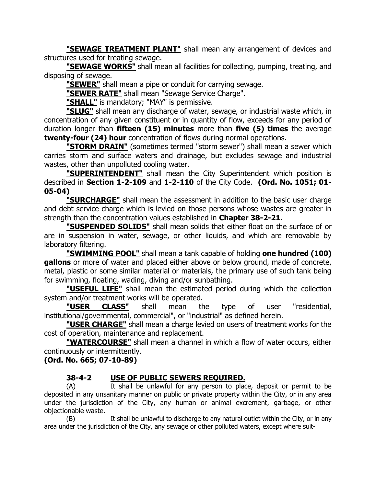**"SEWAGE TREATMENT PLANT"** shall mean any arrangement of devices and structures used for treating sewage.

**"SEWAGE WORKS"** shall mean all facilities for collecting, pumping, treating, and disposing of sewage.

**"SEWER"** shall mean a pipe or conduit for carrying sewage.

**"SEWER RATE"** shall mean "Sewage Service Charge".

**"SHALL"** is mandatory; "MAY" is permissive.

**"SLUG"** shall mean any discharge of water, sewage, or industrial waste which, in concentration of any given constituent or in quantity of flow, exceeds for any period of duration longer than **fifteen (15) minutes** more than **five (5) times** the average **twenty-four (24) hour** concentration of flows during normal operations.

**"STORM DRAIN"** (sometimes termed "storm sewer") shall mean a sewer which carries storm and surface waters and drainage, but excludes sewage and industrial wastes, other than unpolluted cooling water.

**"SUPERINTENDENT"** shall mean the City Superintendent which position is described in **Section 1-2-109** and **1-2-110** of the City Code. **(Ord. No. 1051; 01- 05-04)**

**"SURCHARGE"** shall mean the assessment in addition to the basic user charge and debt service charge which is levied on those persons whose wastes are greater in strength than the concentration values established in **Chapter 38-2-21**.

**"SUSPENDED SOLIDS"** shall mean solids that either float on the surface of or are in suspension in water, sewage, or other liquids, and which are removable by laboratory filtering.

**"SWIMMING POOL"** shall mean a tank capable of holding **one hundred (100) gallons** or more of water and placed either above or below ground, made of concrete, metal, plastic or some similar material or materials, the primary use of such tank being for swimming, floating, wading, diving and/or sunbathing.

**"USEFUL LIFE"** shall mean the estimated period during which the collection system and/or treatment works will be operated.

**"USER CLASS"** shall mean the type of user "residential, institutional/governmental, commercial", or "industrial" as defined herein.

**"USER CHARGE"** shall mean a charge levied on users of treatment works for the cost of operation, maintenance and replacement.

**"WATERCOURSE"** shall mean a channel in which a flow of water occurs, either continuously or intermittently.

## **(Ord. No. 665; 07-10-89)**

## **38-4-2 USE OF PUBLIC SEWERS REQUIRED.**

(A) It shall be unlawful for any person to place, deposit or permit to be deposited in any unsanitary manner on public or private property within the City, or in any area under the jurisdiction of the City, any human or animal excrement, garbage, or other objectionable waste.

(B) It shall be unlawful to discharge to any natural outlet within the City, or in any area under the jurisdiction of the City, any sewage or other polluted waters, except where suit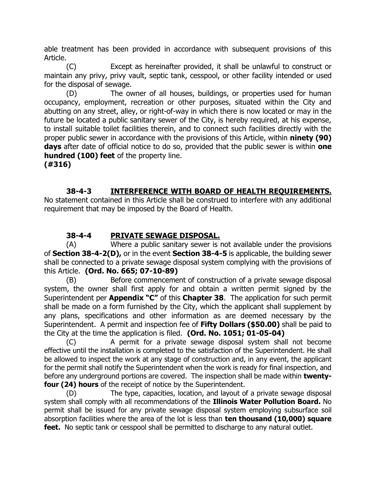able treatment has been provided in accordance with subsequent provisions of this Article.

(C) Except as hereinafter provided, it shall be unlawful to construct or maintain any privy, privy vault, septic tank, cesspool, or other facility intended or used for the disposal of sewage.

(D) The owner of all houses, buildings, or properties used for human occupancy, employment, recreation or other purposes, situated within the City and abutting on any street, alley, or right-of-way in which there is now located or may in the future be located a public sanitary sewer of the City, is hereby required, at his expense, to install suitable toilet facilities therein, and to connect such facilities directly with the proper public sewer in accordance with the provisions of this Article, within **ninety (90) days** after date of official notice to do so, provided that the public sewer is within **one hundred (100) feet** of the property line.

**(#316)**

## **38-4-3 INTERFERENCE WITH BOARD OF HEALTH REQUIREMENTS.**

No statement contained in this Article shall be construed to interfere with any additional requirement that may be imposed by the Board of Health.

## **38-4-4 PRIVATE SEWAGE DISPOSAL.**

(A) Where a public sanitary sewer is not available under the provisions of **Section 38-4-2(D),** or in the event **Section 38-4-5** is applicable, the building sewer shall be connected to a private sewage disposal system complying with the provisions of this Article. **(Ord. No. 665; 07-10-89)**

(B) Before commencement of construction of a private sewage disposal system, the owner shall first apply for and obtain a written permit signed by the Superintendent per **Appendix "C"** of this **Chapter 38**. The application for such permit shall be made on a form furnished by the City, which the applicant shall supplement by any plans, specifications and other information as are deemed necessary by the Superintendent. A permit and inspection fee of **Fifty Dollars (\$50.00)** shall be paid to the City at the time the application is filed. **(Ord. No. 1051; 01-05-04)**

(C) A permit for a private sewage disposal system shall not become effective until the installation is completed to the satisfaction of the Superintendent. He shall be allowed to inspect the work at any stage of construction and, in any event, the applicant for the permit shall notify the Superintendent when the work is ready for final inspection, and before any underground portions are covered. The inspection shall be made within **twentyfour (24) hours** of the receipt of notice by the Superintendent.

(D) The type, capacities, location, and layout of a private sewage disposal system shall comply with all recommendations of the **Illinois Water Pollution Board.** No permit shall be issued for any private sewage disposal system employing subsurface soil absorption facilities where the area of the lot is less than **ten thousand (10,000) square**  feet. No septic tank or cesspool shall be permitted to discharge to any natural outlet.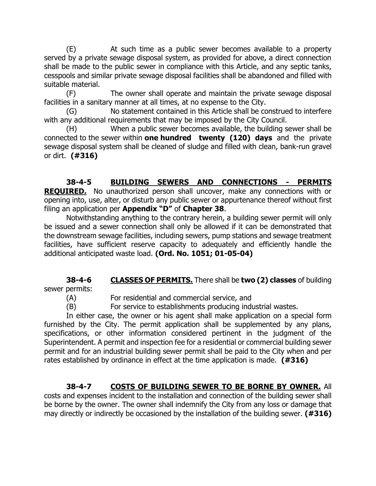(E) At such time as a public sewer becomes available to a property served by a private sewage disposal system, as provided for above, a direct connection shall be made to the public sewer in compliance with this Article, and any septic tanks, cesspools and similar private sewage disposal facilities shall be abandoned and filled with suitable material.

(F) The owner shall operate and maintain the private sewage disposal facilities in a sanitary manner at all times, at no expense to the City.

(G) No statement contained in this Article shall be construed to interfere with any additional requirements that may be imposed by the City Council.

(H) When a public sewer becomes available, the building sewer shall be connected to the sewer within **one hundred twenty (120) days** and the private sewage disposal system shall be cleaned of sludge and filled with clean, bank-run gravel or dirt. **(#316)**

**38-4-5 BUILDING SEWERS AND CONNECTIONS - PERMITS REQUIRED.** No unauthorized person shall uncover, make any connections with or opening into, use, alter, or disturb any public sewer or appurtenance thereof without first filing an application per **Appendix "D"** of **Chapter 38**.

Notwithstanding anything to the contrary herein, a building sewer permit will only be issued and a sewer connection shall only be allowed if it can be demonstrated that the downstream sewage facilities, including sewers, pump stations and sewage treatment facilities, have sufficient reserve capacity to adequately and efficiently handle the additional anticipated waste load. **(Ord. No. 1051; 01-05-04)**

# **38-4-6 CLASSES OF PERMITS.** There shall be **two (2) classes** of building

sewer permits:

(A) For residential and commercial service, and

(B) For service to establishments producing industrial wastes.

In either case, the owner or his agent shall make application on a special form furnished by the City. The permit application shall be supplemented by any plans, specifications, or other information considered pertinent in the judgment of the Superintendent. A permit and inspection fee for a residential or commercial building sewer permit and for an industrial building sewer permit shall be paid to the City when and per rates established by ordinance in effect at the time application is made. **(#316)**

# **38-4-7 COSTS OF BUILDING SEWER TO BE BORNE BY OWNER.** All

costs and expenses incident to the installation and connection of the building sewer shall be borne by the owner. The owner shall indemnify the City from any loss or damage that may directly or indirectly be occasioned by the installation of the building sewer. **(#316)**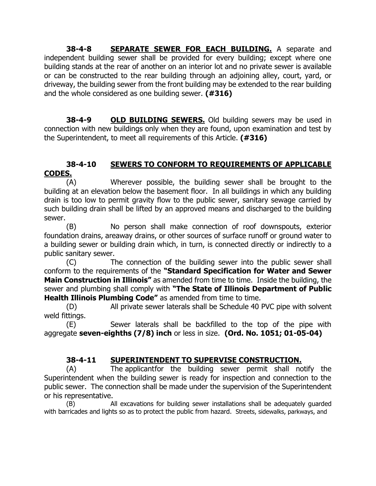**38-4-8 SEPARATE SEWER FOR EACH BUILDING.** A separate and  $independent$  building sewer shall be provided for every building; except where one building stands at the rear of another on an interior lot and no private sewer is available or can be constructed to the rear building through an adjoining alley, court, yard, or driveway, the building sewer from the front building may be extended to the rear building and the whole considered as one building sewer. **(#316)**

**38-4-9 OLD BUILDING SEWERS.** Old building sewers may be used in connection with new buildings only when they are found, upon examination and test by the Superintendent, to meet all requirements of this Article. **(#316)**

## **38-4-10 SEWERS TO CONFORM TO REQUIREMENTS OF APPLICABLE CODES.**

(A) Wherever possible, the building sewer shall be brought to the building at an elevation below the basement floor. In all buildings in which any building drain is too low to permit gravity flow to the public sewer, sanitary sewage carried by such building drain shall be lifted by an approved means and discharged to the building sewer.

(B) No person shall make connection of roof downspouts, exterior foundation drains, areaway drains, or other sources of surface runoff or ground water to a building sewer or building drain which, in turn, is connected directly or indirectly to a public sanitary sewer.

(C) The connection of the building sewer into the public sewer shall conform to the requirements of the **"Standard Specification for Water and Sewer Main Construction in Illinois"** as amended from time to time. Inside the building, the sewer and plumbing shall comply with **"The State of Illinois Department of Public Health Illinois Plumbing Code"** as amended from time to time.

(D) All private sewer laterals shall be Schedule 40 PVC pipe with solvent weld fittings.

(E) Sewer laterals shall be backfilled to the top of the pipe with aggregate **seven-eighths (7/8) inch** or less in size. **(Ord. No. 1051; 01-05-04)**

## **38-4-11 SUPERINTENDENT TO SUPERVISE CONSTRUCTION.**

(A) The applicantfor the building sewer permit shall notify the Superintendent when the building sewer is ready for inspection and connection to the public sewer. The connection shall be made under the supervision of the Superintendent or his representative.

(B) All excavations for building sewer installations shall be adequately guarded with barricades and lights so as to protect the public from hazard. Streets, sidewalks, parkways, and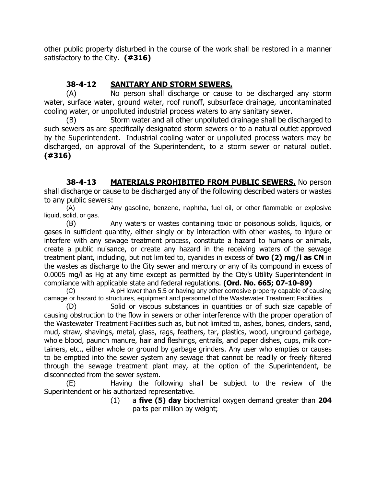other public property disturbed in the course of the work shall be restored in a manner satisfactory to the City. **(#316)**

## **38-4-12 SANITARY AND STORM SEWERS.**

(A) No person shall discharge or cause to be discharged any storm water, surface water, ground water, roof runoff, subsurface drainage, uncontaminated cooling water, or unpolluted industrial process waters to any sanitary sewer.

(B) Storm water and all other unpolluted drainage shall be discharged to such sewers as are specifically designated storm sewers or to a natural outlet approved by the Superintendent. Industrial cooling water or unpolluted process waters may be discharged, on approval of the Superintendent, to a storm sewer or natural outlet. **(#316)**

**38-4-13 MATERIALS PROHIBITED FROM PUBLIC SEWERS.** No person shall discharge or cause to be discharged any of the following described waters or wastes to any public sewers:

(A) Any gasoline, benzene, naphtha, fuel oil, or other flammable or explosive liquid, solid, or gas.

(B) Any waters or wastes containing toxic or poisonous solids, liquids, or gases in sufficient quantity, either singly or by interaction with other wastes, to injure or interfere with any sewage treatment process, constitute a hazard to humans or animals, create a public nuisance, or create any hazard in the receiving waters of the sewage treatment plant, including, but not limited to, cyanides in excess of **two (2) mg/l as CN** in the wastes as discharge to the City sewer and mercury or any of its compound in excess of 0.0005 mg/l as Hg at any time except as permitted by the City's Utility Superintendent in compliance with applicable state and federal regulations. **(Ord. No. 665; 07-10-89)**

(C) A pH lower than 5.5 or having any other corrosive property capable of causing damage or hazard to structures, equipment and personnel of the Wastewater Treatment Facilities.

(D) Solid or viscous substances in quantities or of such size capable of causing obstruction to the flow in sewers or other interference with the proper operation of the Wastewater Treatment Facilities such as, but not limited to, ashes, bones, cinders, sand, mud, straw, shavings, metal, glass, rags, feathers, tar, plastics, wood, unground garbage, whole blood, paunch manure, hair and fleshings, entrails, and paper dishes, cups, milk containers, etc., either whole or ground by garbage grinders. Any user who empties or causes to be emptied into the sewer system any sewage that cannot be readily or freely filtered through the sewage treatment plant may, at the option of the Superintendent, be disconnected from the sewer system.

(E) Having the following shall be subject to the review of the Superintendent or his authorized representative.

(1) a **five (5) day** biochemical oxygen demand greater than **204** parts per million by weight;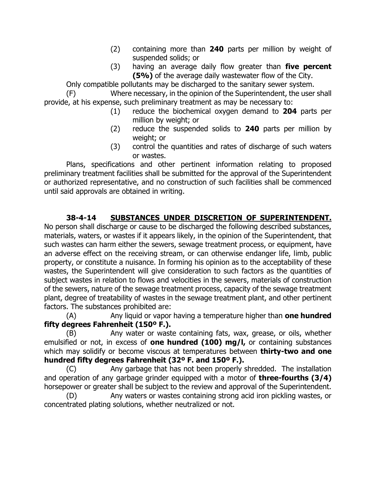- (2) containing more than **240** parts per million by weight of suspended solids; or
- (3) having an average daily flow greater than **five percent (5%)** of the average daily wastewater flow of the City.

Only compatible pollutants may be discharged to the sanitary sewer system.

(F) Where necessary, in the opinion of the Superintendent, the user shall provide, at his expense, such preliminary treatment as may be necessary to:

- (1) reduce the biochemical oxygen demand to **204** parts per million by weight; or
- (2) reduce the suspended solids to **240** parts per million by weight; or
- (3) control the quantities and rates of discharge of such waters or wastes.

Plans, specifications and other pertinent information relating to proposed preliminary treatment facilities shall be submitted for the approval of the Superintendent or authorized representative, and no construction of such facilities shall be commenced until said approvals are obtained in writing.

## **38-4-14 SUBSTANCES UNDER DISCRETION OF SUPERINTENDENT.**

No person shall discharge or cause to be discharged the following described substances, materials, waters, or wastes if it appears likely, in the opinion of the Superintendent, that such wastes can harm either the sewers, sewage treatment process, or equipment, have an adverse effect on the receiving stream, or can otherwise endanger life, limb, public property, or constitute a nuisance. In forming his opinion as to the acceptability of these wastes, the Superintendent will give consideration to such factors as the quantities of subject wastes in relation to flows and velocities in the sewers, materials of construction of the sewers, nature of the sewage treatment process, capacity of the sewage treatment plant, degree of treatability of wastes in the sewage treatment plant, and other pertinent factors. The substances prohibited are:

(A) Any liquid or vapor having a temperature higher than **one hundred fifty degrees Fahrenheit (150º F.).**

(B) Any water or waste containing fats, wax, grease, or oils, whether emulsified or not, in excess of **one hundred (100) mg/l,** or containing substances which may solidify or become viscous at temperatures between **thirty-two and one hundred fifty degrees Fahrenheit (32º F. and 150º F.).**

(C) Any garbage that has not been properly shredded. The installation and operation of any garbage grinder equipped with a motor of **three-fourths (3/4)**  horsepower or greater shall be subject to the review and approval of the Superintendent.

(D) Any waters or wastes containing strong acid iron pickling wastes, or concentrated plating solutions, whether neutralized or not.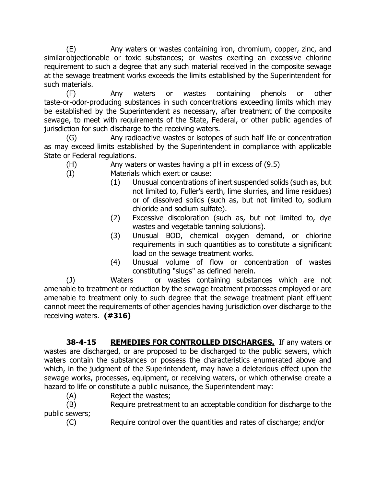(E) Any waters or wastes containing iron, chromium, copper, zinc, and similar objectionable or toxic substances; or wastes exerting an excessive chlorine requirement to such a degree that any such material received in the composite sewage at the sewage treatment works exceeds the limits established by the Superintendent for such materials.

(F) Any waters or wastes containing phenols or other taste-or-odor-producing substances in such concentrations exceeding limits which may be established by the Superintendent as necessary, after treatment of the composite sewage, to meet with requirements of the State, Federal, or other public agencies of jurisdiction for such discharge to the receiving waters.

(G) Any radioactive wastes or isotopes of such half life or concentration as may exceed limits established by the Superintendent in compliance with applicable State or Federal regulations.

(H) Any waters or wastes having a pH in excess of (9.5)

- (I) Materials which exert or cause:
	- (1) Unusual concentrations of inert suspended solids (such as, but not limited to, Fuller's earth, lime slurries, and lime residues) or of dissolved solids (such as, but not limited to, sodium chloride and sodium sulfate).
	- (2) Excessive discoloration (such as, but not limited to, dye wastes and vegetable tanning solutions).
	- (3) Unusual BOD, chemical oxygen demand, or chlorine requirements in such quantities as to constitute a significant load on the sewage treatment works.
	- (4) Unusual volume of flow or concentration of wastes constituting "slugs" as defined herein.

(J) Waters or wastes containing substances which are not amenable to treatment or reduction by the sewage treatment processes employed or are amenable to treatment only to such degree that the sewage treatment plant effluent cannot meet the requirements of other agencies having jurisdiction over discharge to the receiving waters. **(#316)**

**38-4-15 REMEDIES FOR CONTROLLED DISCHARGES.** If any waters or wastes are discharged, or are proposed to be discharged to the public sewers, which waters contain the substances or possess the characteristics enumerated above and which, in the judgment of the Superintendent, may have a deleterious effect upon the sewage works, processes, equipment, or receiving waters, or which otherwise create a hazard to life or constitute a public nuisance, the Superintendent may:

(A) Reject the wastes;

(B) Require pretreatment to an acceptable condition for discharge to the public sewers;

(C) Require control over the quantities and rates of discharge; and/or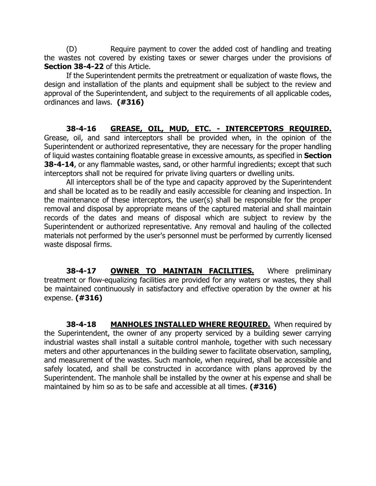(D) Require payment to cover the added cost of handling and treating the wastes not covered by existing taxes or sewer charges under the provisions of **Section 38-4-22** of this Article.

If the Superintendent permits the pretreatment or equalization of waste flows, the design and installation of the plants and equipment shall be subject to the review and approval of the Superintendent, and subject to the requirements of all applicable codes, ordinances and laws. **(#316)**

## **38-4-16 GREASE, OIL, MUD, ETC. - INTERCEPTORS REQUIRED.**

Grease, oil, and sand interceptors shall be provided when, in the opinion of the Superintendent or authorized representative, they are necessary for the proper handling of liquid wastes containing floatable grease in excessive amounts, as specified in **Section 38-4-14**, or any flammable wastes, sand, or other harmful ingredients; except that such interceptors shall not be required for private living quarters or dwelling units.

All interceptors shall be of the type and capacity approved by the Superintendent and shall be located as to be readily and easily accessible for cleaning and inspection. In the maintenance of these interceptors, the user(s) shall be responsible for the proper removal and disposal by appropriate means of the captured material and shall maintain records of the dates and means of disposal which are subject to review by the Superintendent or authorized representative. Any removal and hauling of the collected materials not performed by the user's personnel must be performed by currently licensed waste disposal firms.

**38-4-17 OWNER TO MAINTAIN FACILITIES.** Where preliminary treatment or flow-equalizing facilities are provided for any waters or wastes, they shall be maintained continuously in satisfactory and effective operation by the owner at his expense. **(#316)**

**38-4-18 MANHOLES INSTALLED WHERE REQUIRED.** When required by the Superintendent, the owner of any property serviced by a building sewer carrying industrial wastes shall install a suitable control manhole, together with such necessary meters and other appurtenances in the building sewer to facilitate observation, sampling, and measurement of the wastes. Such manhole, when required, shall be accessible and safely located, and shall be constructed in accordance with plans approved by the Superintendent. The manhole shall be installed by the owner at his expense and shall be maintained by him so as to be safe and accessible at all times. **(#316)**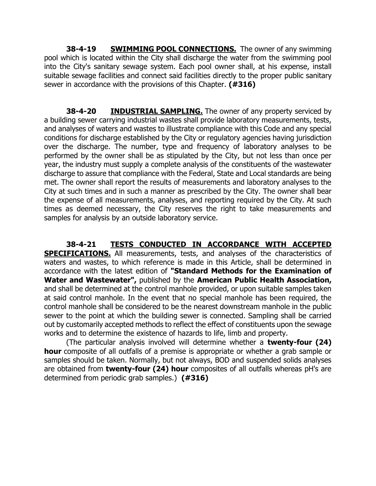**38-4-19 SWIMMING POOL CONNECTIONS.** The owner of any swimming pool which is located within the City shall discharge the water from the swimming pool into the City's sanitary sewage system. Each pool owner shall, at his expense, install suitable sewage facilities and connect said facilities directly to the proper public sanitary sewer in accordance with the provisions of this Chapter. **(#316)**

**38-4-20 <b>INDUSTRIAL SAMPLING.** The owner of any property serviced by a building sewer carrying industrial wastes shall provide laboratory measurements, tests, and analyses of waters and wastes to illustrate compliance with this Code and any special conditions for discharge established by the City or regulatory agencies having jurisdiction over the discharge. The number, type and frequency of laboratory analyses to be performed by the owner shall be as stipulated by the City, but not less than once per year, the industry must supply a complete analysis of the constituents of the wastewater discharge to assure that compliance with the Federal, State and Local standards are being met. The owner shall report the results of measurements and laboratory analyses to the City at such times and in such a manner as prescribed by the City. The owner shall bear the expense of all measurements, analyses, and reporting required by the City. At such times as deemed necessary, the City reserves the right to take measurements and samples for analysis by an outside laboratory service.

**38-4-21 TESTS CONDUCTED IN ACCORDANCE WITH ACCEPTED SPECIFICATIONS.** All measurements, tests, and analyses of the characteristics of waters and wastes, to which reference is made in this Article, shall be determined in accordance with the latest edition of **"Standard Methods for the Examination of Water and Wastewater",** published by the **American Public Health Association,**  and shall be determined at the control manhole provided, or upon suitable samples taken at said control manhole. In the event that no special manhole has been required, the control manhole shall be considered to be the nearest downstream manhole in the public sewer to the point at which the building sewer is connected. Sampling shall be carried out by customarily accepted methods to reflect the effect of constituents upon the sewage works and to determine the existence of hazards to life, limb and property.

(The particular analysis involved will determine whether a **twenty-four (24) hour** composite of all outfalls of a premise is appropriate or whether a grab sample or samples should be taken. Normally, but not always, BOD and suspended solids analyses are obtained from **twenty-four (24) hour** composites of all outfalls whereas pH's are determined from periodic grab samples.) **(#316)**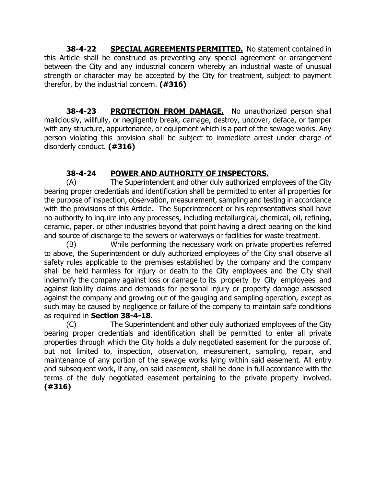**38-4-22 SPECIAL AGREEMENTS PERMITTED.** No statement contained in this Article shall be construed as preventing any special agreement or arrangement between the City and any industrial concern whereby an industrial waste of unusual strength or character may be accepted by the City for treatment, subject to payment therefor, by the industrial concern. **(#316)**

**38-4-23 PROTECTION FROM DAMAGE.** No unauthorized person shall maliciously, willfully, or negligently break, damage, destroy, uncover, deface, or tamper with any structure, appurtenance, or equipment which is a part of the sewage works. Any person violating this provision shall be subject to immediate arrest under charge of disorderly conduct. **(#316)**

# **38-4-24 POWER AND AUTHORITY OF INSPECTORS.**

(A) The Superintendent and other duly authorized employees of the City bearing proper credentials and identification shall be permitted to enter all properties for the purpose of inspection, observation, measurement, sampling and testing in accordance with the provisions of this Article. The Superintendent or his representatives shall have no authority to inquire into any processes, including metallurgical, chemical, oil, refining, ceramic, paper, or other industries beyond that point having a direct bearing on the kind and source of discharge to the sewers or waterways or facilities for waste treatment.

(B) While performing the necessary work on private properties referred to above, the Superintendent or duly authorized employees of the City shall observe all safety rules applicable to the premises established by the company and the company shall be held harmless for injury or death to the City employees and the City shall indemnify the company against loss or damage to its property by City employees and against liability claims and demands for personal injury or property damage assessed against the company and growing out of the gauging and sampling operation, except as such may be caused by negligence or failure of the company to maintain safe conditions as required in **Section 38-4-18**.

(C) The Superintendent and other duly authorized employees of the City bearing proper credentials and identification shall be permitted to enter all private properties through which the City holds a duly negotiated easement for the purpose of, but not limited to, inspection, observation, measurement, sampling, repair, and maintenance of any portion of the sewage works lying within said easement. All entry and subsequent work, if any, on said easement, shall be done in full accordance with the terms of the duly negotiated easement pertaining to the private property involved. **(#316)**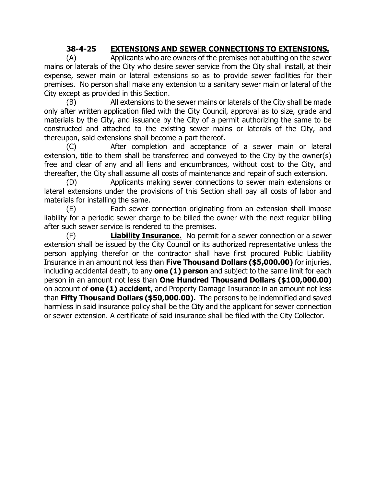## **38-4-25 EXTENSIONS AND SEWER CONNECTIONS TO EXTENSIONS.**

(A) Applicants who are owners of the premises not abutting on the sewer mains or laterals of the City who desire sewer service from the City shall install, at their expense, sewer main or lateral extensions so as to provide sewer facilities for their premises. No person shall make any extension to a sanitary sewer main or lateral of the City except as provided in this Section.

(B) All extensions to the sewer mains or laterals of the City shall be made only after written application filed with the City Council, approval as to size, grade and materials by the City, and issuance by the City of a permit authorizing the same to be constructed and attached to the existing sewer mains or laterals of the City, and thereupon, said extensions shall become a part thereof.

(C) After completion and acceptance of a sewer main or lateral extension, title to them shall be transferred and conveyed to the City by the owner(s) free and clear of any and all liens and encumbrances, without cost to the City, and thereafter, the City shall assume all costs of maintenance and repair of such extension.

(D) Applicants making sewer connections to sewer main extensions or lateral extensions under the provisions of this Section shall pay all costs of labor and materials for installing the same.

(E) Each sewer connection originating from an extension shall impose liability for a periodic sewer charge to be billed the owner with the next regular billing after such sewer service is rendered to the premises.

(F) **Liability Insurance.** No permit for a sewer connection or a sewer extension shall be issued by the City Council or its authorized representative unless the person applying therefor or the contractor shall have first procured Public Liability Insurance in an amount not less than **Five Thousand Dollars (\$5,000.00)** for injuries, including accidental death, to any **one (1) person** and subject to the same limit for each person in an amount not less than **One Hundred Thousand Dollars (\$100,000.00)**  on account of **one (1) accident**, and Property Damage Insurance in an amount not less than **Fifty Thousand Dollars (\$50,000.00).** The persons to be indemnified and saved harmless in said insurance policy shall be the City and the applicant for sewer connection or sewer extension. A certificate of said insurance shall be filed with the City Collector.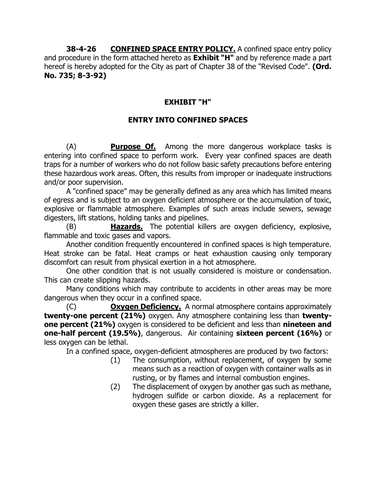**38-4-26** CONFINED SPACE ENTRY POLICY. A confined space entry policy and procedure in the form attached hereto as **Exhibit "H"** and by reference made a part hereof is hereby adopted for the City as part of Chapter 38 of the "Revised Code". **(Ord. No. 735; 8-3-92)**

# **EXHIBIT "H"**

## **ENTRY INTO CONFINED SPACES**

(A) **Purpose Of.** Among the more dangerous workplace tasks is entering into confined space to perform work. Every year confined spaces are death traps for a number of workers who do not follow basic safety precautions before entering these hazardous work areas. Often, this results from improper or inadequate instructions and/or poor supervision.

A "confined space" may be generally defined as any area which has limited means of egress and is subject to an oxygen deficient atmosphere or the accumulation of toxic, explosive or flammable atmosphere. Examples of such areas include sewers, sewage digesters, lift stations, holding tanks and pipelines.

(B) **Hazards.** The potential killers are oxygen deficiency, explosive, flammable and toxic gases and vapors.

Another condition frequently encountered in confined spaces is high temperature. Heat stroke can be fatal. Heat cramps or heat exhaustion causing only temporary discomfort can result from physical exertion in a hot atmosphere.

One other condition that is not usually considered is moisture or condensation. This can create slipping hazards.

Many conditions which may contribute to accidents in other areas may be more dangerous when they occur in a confined space.

(C) **Oxygen Deficiency.** A normal atmosphere contains approximately **twenty-one percent (21%)** oxygen. Any atmosphere containing less than **twentyone percent (21%)** oxygen is considered to be deficient and less than **nineteen and one-half percent (19.5%)**, dangerous. Air containing **sixteen percent (16%)** or less oxygen can be lethal.

In a confined space, oxygen-deficient atmospheres are produced by two factors:

- (1) The consumption, without replacement, of oxygen by some means such as a reaction of oxygen with container walls as in rusting, or by flames and internal combustion engines.
- (2) The displacement of oxygen by another gas such as methane, hydrogen sulfide or carbon dioxide. As a replacement for oxygen these gases are strictly a killer.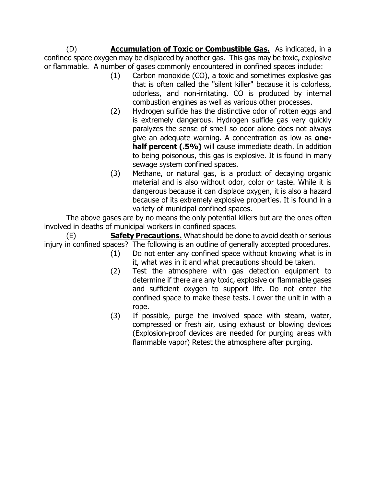(D) **Accumulation of Toxic or Combustible Gas.** As indicated, in a confined space oxygen may be displaced by another gas. This gas may be toxic, explosive or flammable. A number of gases commonly encountered in confined spaces include:

- (1) Carbon monoxide (CO), a toxic and sometimes explosive gas that is often called the "silent killer" because it is colorless, odorless, and non-irritating. CO is produced by internal combustion engines as well as various other processes.
- (2) Hydrogen sulfide has the distinctive odor of rotten eggs and is extremely dangerous. Hydrogen sulfide gas very quickly paralyzes the sense of smell so odor alone does not always give an adequate warning. A concentration as low as **onehalf percent (.5%)** will cause immediate death. In addition to being poisonous, this gas is explosive. It is found in many sewage system confined spaces.
- (3) Methane, or natural gas, is a product of decaying organic material and is also without odor, color or taste. While it is dangerous because it can displace oxygen, it is also a hazard because of its extremely explosive properties. It is found in a variety of municipal confined spaces.

The above gases are by no means the only potential killers but are the ones often involved in deaths of municipal workers in confined spaces.

(E) **Safety Precautions.** What should be done to avoid death or serious injury in confined spaces? The following is an outline of generally accepted procedures.

- (1) Do not enter any confined space without knowing what is in it, what was in it and what precautions should be taken.
- (2) Test the atmosphere with gas detection equipment to determine if there are any toxic, explosive or flammable gases and sufficient oxygen to support life. Do not enter the confined space to make these tests. Lower the unit in with a rope.
- (3) If possible, purge the involved space with steam, water, compressed or fresh air, using exhaust or blowing devices (Explosion-proof devices are needed for purging areas with flammable vapor) Retest the atmosphere after purging.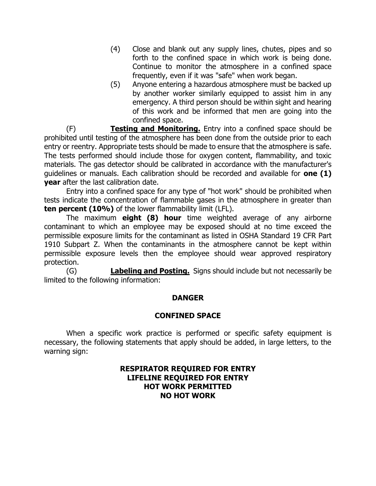- (4) Close and blank out any supply lines, chutes, pipes and so forth to the confined space in which work is being done. Continue to monitor the atmosphere in a confined space frequently, even if it was "safe" when work began.
- (5) Anyone entering a hazardous atmosphere must be backed up by another worker similarly equipped to assist him in any emergency. A third person should be within sight and hearing of this work and be informed that men are going into the confined space.

(F) **Testing and Monitoring.** Entry into a confined space should be prohibited until testing of the atmosphere has been done from the outside prior to each entry or reentry. Appropriate tests should be made to ensure that the atmosphere is safe. The tests performed should include those for oxygen content, flammability, and toxic materials. The gas detector should be calibrated in accordance with the manufacturer's guidelines or manuals. Each calibration should be recorded and available for **one (1) year** after the last calibration date.

Entry into a confined space for any type of "hot work" should be prohibited when tests indicate the concentration of flammable gases in the atmosphere in greater than **ten percent (10%)** of the lower flammability limit (LFL).

The maximum **eight (8) hour** time weighted average of any airborne contaminant to which an employee may be exposed should at no time exceed the permissible exposure limits for the contaminant as listed in OSHA Standard 19 CFR Part 1910 Subpart Z. When the contaminants in the atmosphere cannot be kept within permissible exposure levels then the employee should wear approved respiratory protection.

(G) **Labeling and Posting.** Signs should include but not necessarily be limited to the following information:

## **DANGER**

#### **CONFINED SPACE**

When a specific work practice is performed or specific safety equipment is necessary, the following statements that apply should be added, in large letters, to the warning sign:

#### **RESPIRATOR REQUIRED FOR ENTRY LIFELINE REQUIRED FOR ENTRY HOT WORK PERMITTED NO HOT WORK**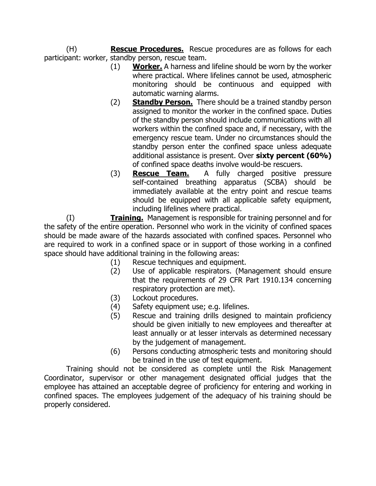(H) **Rescue Procedures.** Rescue procedures are as follows for each participant: worker, standby person, rescue team.

- (1) **Worker.** A harness and lifeline should be worn by the worker where practical. Where lifelines cannot be used, atmospheric monitoring should be continuous and equipped with automatic warning alarms.
- (2) **Standby Person.** There should be a trained standby person assigned to monitor the worker in the confined space. Duties of the standby person should include communications with all workers within the confined space and, if necessary, with the emergency rescue team. Under no circumstances should the standby person enter the confined space unless adequate additional assistance is present. Over **sixty percent (60%)** of confined space deaths involve would-be rescuers.
- (3) **Rescue Team.** A fully charged positive pressure self-contained breathing apparatus (SCBA) should be immediately available at the entry point and rescue teams should be equipped with all applicable safety equipment, including lifelines where practical.

(I) **Training.** Management is responsible for training personnel and for the safety of the entire operation. Personnel who work in the vicinity of confined spaces should be made aware of the hazards associated with confined spaces. Personnel who are required to work in a confined space or in support of those working in a confined space should have additional training in the following areas:

- (1) Rescue techniques and equipment.
- (2) Use of applicable respirators. (Management should ensure that the requirements of 29 CFR Part 1910.134 concerning respiratory protection are met).
- (3) Lockout procedures.
- (4) Safety equipment use; e.g. lifelines.
- (5) Rescue and training drills designed to maintain proficiency should be given initially to new employees and thereafter at least annually or at lesser intervals as determined necessary by the judgement of management.
- (6) Persons conducting atmospheric tests and monitoring should be trained in the use of test equipment.

Training should not be considered as complete until the Risk Management Coordinator, supervisor or other management designated official judges that the employee has attained an acceptable degree of proficiency for entering and working in confined spaces. The employees judgement of the adequacy of his training should be properly considered.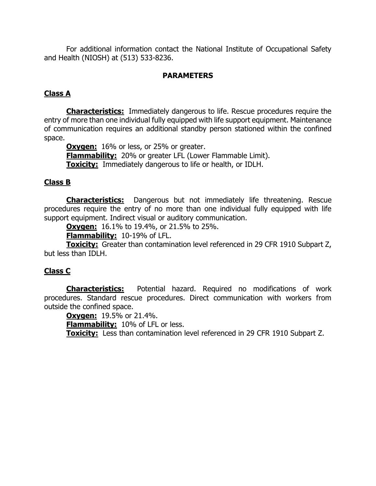For additional information contact the National Institute of Occupational Safety and Health (NIOSH) at (513) 533-8236.

#### **PARAMETERS**

## **Class A**

**Characteristics:** Immediately dangerous to life. Rescue procedures require the entry of more than one individual fully equipped with life support equipment. Maintenance of communication requires an additional standby person stationed within the confined space.

**Oxygen:** 16% or less, or 25% or greater.

**Flammability:** 20% or greater LFL (Lower Flammable Limit).

**Toxicity:** Immediately dangerous to life or health, or IDLH.

#### **Class B**

**Characteristics:** Dangerous but not immediately life threatening. Rescue procedures require the entry of no more than one individual fully equipped with life support equipment. Indirect visual or auditory communication.

**Oxygen:** 16.1% to 19.4%, or 21.5% to 25%.

**Flammability:** 10-19% of LFL.

**Toxicity:** Greater than contamination level referenced in 29 CFR 1910 Subpart Z, but less than IDLH.

## **Class C**

**Characteristics:** Potential hazard. Required no modifications of work procedures. Standard rescue procedures. Direct communication with workers from outside the confined space.

**Oxygen:** 19.5% or 21.4%.

**Flammability:** 10% of LFL or less.

**Toxicity:** Less than contamination level referenced in 29 CFR 1910 Subpart Z.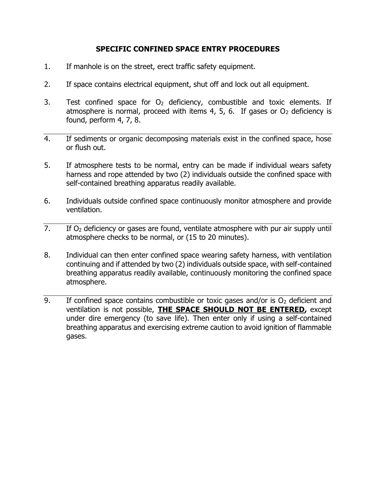## **SPECIFIC CONFINED SPACE ENTRY PROCEDURES**

- 1. If manhole is on the street, erect traffic safety equipment.
- 2. If space contains electrical equipment, shut off and lock out all equipment.
- 3. Test confined space for  $O<sub>2</sub>$  deficiency, combustible and toxic elements. If atmosphere is normal, proceed with items 4, 5, 6. If gases or  $O<sub>2</sub>$  deficiency is found, perform 4, 7, 8.
- 4. If sediments or organic decomposing materials exist in the confined space, hose or flush out.
- 5. If atmosphere tests to be normal, entry can be made if individual wears safety harness and rope attended by two (2) individuals outside the confined space with self-contained breathing apparatus readily available.
- 6. Individuals outside confined space continuously monitor atmosphere and provide ventilation.
- 7. If  $O<sub>2</sub>$  deficiency or gases are found, ventilate atmosphere with pur air supply until atmosphere checks to be normal, or (15 to 20 minutes).
- 8. Individual can then enter confined space wearing safety harness, with ventilation continuing and if attended by two (2) individuals outside space, with self-contained breathing apparatus readily available, continuously monitoring the confined space atmosphere.
- 9. If confined space contains combustible or toxic gases and/or is  $O<sub>2</sub>$  deficient and ventilation is not possible, **THE SPACE SHOULD NOT BE ENTERED,** except under dire emergency (to save life). Then enter only if using a self-contained breathing apparatus and exercising extreme caution to avoid ignition of flammable gases.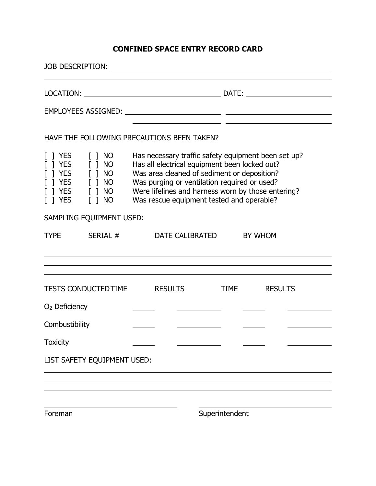# **CONFINED SPACE ENTRY RECORD CARD**

|                                                                                                                                                                                                                                                                                                                                                                                                                                                         | JOB DESCRIPTION: The contract of the contract of the contract of the contract of the contract of the contract of the contract of the contract of the contract of the contract of the contract of the contract of the contract |  |  |                                   |                |  |  |
|---------------------------------------------------------------------------------------------------------------------------------------------------------------------------------------------------------------------------------------------------------------------------------------------------------------------------------------------------------------------------------------------------------------------------------------------------------|-------------------------------------------------------------------------------------------------------------------------------------------------------------------------------------------------------------------------------|--|--|-----------------------------------|----------------|--|--|
|                                                                                                                                                                                                                                                                                                                                                                                                                                                         |                                                                                                                                                                                                                               |  |  |                                   |                |  |  |
|                                                                                                                                                                                                                                                                                                                                                                                                                                                         |                                                                                                                                                                                                                               |  |  |                                   |                |  |  |
|                                                                                                                                                                                                                                                                                                                                                                                                                                                         | HAVE THE FOLLOWING PRECAUTIONS BEEN TAKEN?                                                                                                                                                                                    |  |  |                                   |                |  |  |
| [ ] YES<br>$\lceil$ 1 NO<br>Has necessary traffic safety equipment been set up?<br>Has all electrical equipment been locked out?<br>$[ ]$ YES $[ ]$ NO<br>$\lceil$ $\rceil$ YES<br>$[ ]$ NO<br>Was area cleaned of sediment or deposition?<br>$[ ]$ NO<br>Was purging or ventilation required or used?<br>T YES<br>Were lifelines and harness worn by those entering?<br>Was rescue equipment tested and operable?<br>$[ ]$ NO<br>$\lceil$ $\rceil$ YES |                                                                                                                                                                                                                               |  |  |                                   |                |  |  |
|                                                                                                                                                                                                                                                                                                                                                                                                                                                         | SAMPLING EQUIPMENT USED:                                                                                                                                                                                                      |  |  |                                   |                |  |  |
| <b>TYPE</b>                                                                                                                                                                                                                                                                                                                                                                                                                                             | SERIAL #                                                                                                                                                                                                                      |  |  | DATE CALIBRATED<br><b>BY WHOM</b> |                |  |  |
|                                                                                                                                                                                                                                                                                                                                                                                                                                                         |                                                                                                                                                                                                                               |  |  |                                   |                |  |  |
| TESTS CONDUCTED TIME RESULTS                                                                                                                                                                                                                                                                                                                                                                                                                            |                                                                                                                                                                                                                               |  |  | <b>TIME</b>                       | <b>RESULTS</b> |  |  |
| $O2$ Deficiency                                                                                                                                                                                                                                                                                                                                                                                                                                         |                                                                                                                                                                                                                               |  |  |                                   |                |  |  |
| Combustibility                                                                                                                                                                                                                                                                                                                                                                                                                                          |                                                                                                                                                                                                                               |  |  |                                   |                |  |  |
| <b>Toxicity</b>                                                                                                                                                                                                                                                                                                                                                                                                                                         |                                                                                                                                                                                                                               |  |  |                                   |                |  |  |
|                                                                                                                                                                                                                                                                                                                                                                                                                                                         | LIST SAFETY EQUIPMENT USED:                                                                                                                                                                                                   |  |  |                                   |                |  |  |
|                                                                                                                                                                                                                                                                                                                                                                                                                                                         |                                                                                                                                                                                                                               |  |  |                                   |                |  |  |
|                                                                                                                                                                                                                                                                                                                                                                                                                                                         |                                                                                                                                                                                                                               |  |  |                                   |                |  |  |
| Foreman                                                                                                                                                                                                                                                                                                                                                                                                                                                 |                                                                                                                                                                                                                               |  |  | Superintendent                    |                |  |  |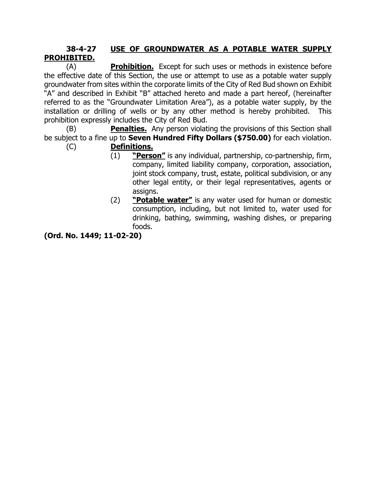## **38-4-27 USE OF GROUNDWATER AS A POTABLE WATER SUPPLY PROHIBITED.**

(A) **Prohibition.** Except for such uses or methods in existence before the effective date of this Section, the use or attempt to use as a potable water supply groundwater from sites within the corporate limits of the City of Red Bud shown on Exhibit "A" and described in Exhibit "B" attached hereto and made a part hereof, (hereinafter referred to as the "Groundwater Limitation Area"), as a potable water supply, by the installation or drilling of wells or by any other method is hereby prohibited. This prohibition expressly includes the City of Red Bud.

(B) **Penalties.** Any person violating the provisions of this Section shall be subject to a fine up to **Seven Hundred Fifty Dollars (\$750.00)** for each violation.

- (C) **Definitions.**
	- (1) **"Person"** is any individual, partnership, co-partnership, firm, company, limited liability company, corporation, association, joint stock company, trust, estate, political subdivision, or any other legal entity, or their legal representatives, agents or assigns.
	- (2) **"Potable water"** is any water used for human or domestic consumption, including, but not limited to, water used for drinking, bathing, swimming, washing dishes, or preparing foods.

**(Ord. No. 1449; 11-02-20)**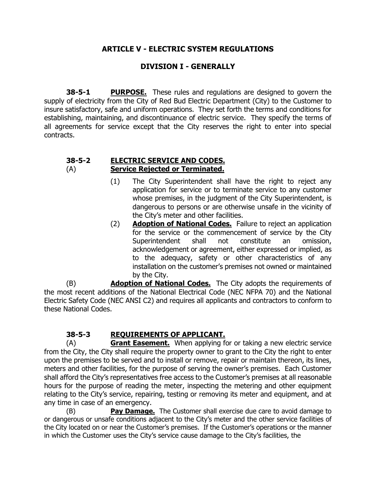## **ARTICLE V - ELECTRIC SYSTEM REGULATIONS**

## **DIVISION I - GENERALLY**

**38-5-1 PURPOSE.** These rules and regulations are designed to govern the supply of electricity from the City of Red Bud Electric Department (City) to the Customer to insure satisfactory, safe and uniform operations. They set forth the terms and conditions for establishing, maintaining, and discontinuance of electric service. They specify the terms of all agreements for service except that the City reserves the right to enter into special contracts.

#### **38-5-2 ELECTRIC SERVICE AND CODES.** (A) **Service Rejected or Terminated.**

- (1) The City Superintendent shall have the right to reject any application for service or to terminate service to any customer whose premises, in the judgment of the City Superintendent, is dangerous to persons or are otherwise unsafe in the vicinity of the City's meter and other facilities.
- (2) **Adoption of National Codes.** Failure to reject an application for the service or the commencement of service by the City Superintendent shall not constitute an omission, acknowledgement or agreement, either expressed or implied, as to the adequacy, safety or other characteristics of any installation on the customer's premises not owned or maintained by the City.

(B) **Adoption of National Codes.** The City adopts the requirements of the most recent additions of the National Electrical Code (NEC NFPA 70) and the National Electric Safety Code (NEC ANSI C2) and requires all applicants and contractors to conform to these National Codes.

## **38-5-3 REQUIREMENTS OF APPLICANT.**

(A) **Grant Easement.** When applying for or taking a new electric service from the City, the City shall require the property owner to grant to the City the right to enter upon the premises to be served and to install or remove, repair or maintain thereon, its lines, meters and other facilities, for the purpose of serving the owner's premises. Each Customer shall afford the City's representatives free access to the Customer's premises at all reasonable hours for the purpose of reading the meter, inspecting the metering and other equipment relating to the City's service, repairing, testing or removing its meter and equipment, and at any time in case of an emergency.

(B) **Pay Damage.** The Customer shall exercise due care to avoid damage to or dangerous or unsafe conditions adjacent to the City's meter and the other service facilities of the City located on or near the Customer's premises. If the Customer's operations or the manner in which the Customer uses the City's service cause damage to the City's facilities, the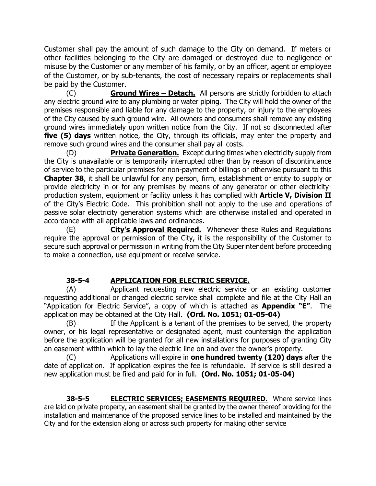Customer shall pay the amount of such damage to the City on demand. If meters or other facilities belonging to the City are damaged or destroyed due to negligence or misuse by the Customer or any member of his family, or by an officer, agent or employee of the Customer, or by sub-tenants, the cost of necessary repairs or replacements shall be paid by the Customer.

(C) **Ground Wires – Detach.** All persons are strictly forbidden to attach any electric ground wire to any plumbing or water piping. The City will hold the owner of the premises responsible and liable for any damage to the property, or injury to the employees of the City caused by such ground wire. All owners and consumers shall remove any existing ground wires immediately upon written notice from the City. If not so disconnected after **five (5) days** written notice, the City, through its officials, may enter the property and remove such ground wires and the consumer shall pay all costs.

(D) **Private Generation.** Except during times when electricity supply from the City is unavailable or is temporarily interrupted other than by reason of discontinuance of service to the particular premises for non-payment of billings or otherwise pursuant to this **Chapter 38**, it shall be unlawful for any person, firm, establishment or entity to supply or provide electricity in or for any premises by means of any generator or other electricityproduction system, equipment or facility unless it has complied with **Article V, Division II** of the City's Electric Code. This prohibition shall not apply to the use and operations of passive solar electricity generation systems which are otherwise installed and operated in accordance with all applicable laws and ordinances.

(E) **City's Approval Required.** Whenever these Rules and Regulations require the approval or permission of the City, it is the responsibility of the Customer to secure such approval or permission in writing from the City Superintendent before proceeding to make a connection, use equipment or receive service.

## **38-5-4 APPLICATION FOR ELECTRIC SERVICE.**

(A) Applicant requesting new electric service or an existing customer requesting additional or changed electric service shall complete and file at the City Hall an "Application for Electric Service", a copy of which is attached as **Appendix "E"**. The application may be obtained at the City Hall. **(Ord. No. 1051; 01-05-04)**

(B) If the Applicant is a tenant of the premises to be served, the property owner, or his legal representative or designated agent, must countersign the application before the application will be granted for all new installations for purposes of granting City an easement within which to lay the electric line on and over the owner's property.

(C) Applications will expire in **one hundred twenty (120) days** after the date of application. If application expires the fee is refundable. If service is still desired a new application must be filed and paid for in full. **(Ord. No. 1051; 01-05-04)**

**38-5-5 ELECTRIC SERVICES; EASEMENTS REQUIRED.** Where service lines are laid on private property, an easement shall be granted by the owner thereof providing for the installation and maintenance of the proposed service lines to be installed and maintained by the City and for the extension along or across such property for making other service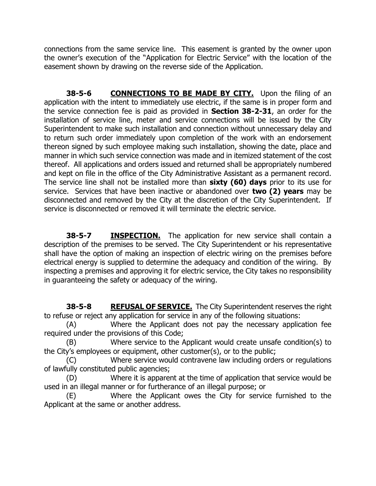connections from the same service line. This easement is granted by the owner upon the owner's execution of the "Application for Electric Service" with the location of the easement shown by drawing on the reverse side of the Application.

**38-5-6 CONNECTIONS TO BE MADE BY CITY.** Upon the filing of an application with the intent to immediately use electric, if the same is in proper form and the service connection fee is paid as provided in **Section 38-2-31**, an order for the installation of service line, meter and service connections will be issued by the City Superintendent to make such installation and connection without unnecessary delay and to return such order immediately upon completion of the work with an endorsement thereon signed by such employee making such installation, showing the date, place and manner in which such service connection was made and in itemized statement of the cost thereof. All applications and orders issued and returned shall be appropriately numbered and kept on file in the office of the City Administrative Assistant as a permanent record. The service line shall not be installed more than **sixty (60) days** prior to its use for service. Services that have been inactive or abandoned over **two (2) years** may be disconnected and removed by the City at the discretion of the City Superintendent. If service is disconnected or removed it will terminate the electric service.

**38-5-7 INSPECTION.** The application for new service shall contain a description of the premises to be served. The City Superintendent or his representative shall have the option of making an inspection of electric wiring on the premises before electrical energy is supplied to determine the adequacy and condition of the wiring. By inspecting a premises and approving it for electric service, the City takes no responsibility in guaranteeing the safety or adequacy of the wiring.

**38-5-8 REFUSAL OF SERVICE.** The City Superintendent reserves the right to refuse or reject any application for service in any of the following situations:

(A) Where the Applicant does not pay the necessary application fee required under the provisions of this Code;

(B) Where service to the Applicant would create unsafe condition(s) to the City's employees or equipment, other customer(s), or to the public;

(C) Where service would contravene law including orders or regulations of lawfully constituted public agencies;

(D) Where it is apparent at the time of application that service would be used in an illegal manner or for furtherance of an illegal purpose; or

(E) Where the Applicant owes the City for service furnished to the Applicant at the same or another address.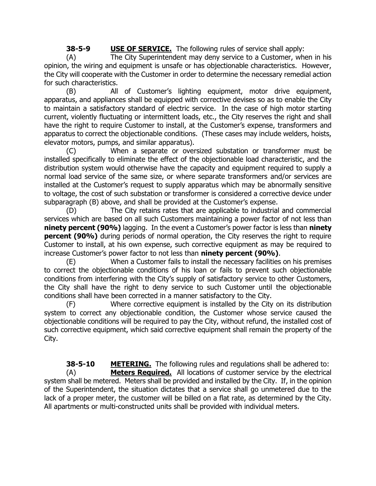**38-5-9 USE OF SERVICE.** The following rules of service shall apply:

(A) The City Superintendent may deny service to a Customer, when in his opinion, the wiring and equipment is unsafe or has objectionable characteristics. However, the City will cooperate with the Customer in order to determine the necessary remedial action for such characteristics.

(B) All of Customer's lighting equipment, motor drive equipment, apparatus, and appliances shall be equipped with corrective devises so as to enable the City to maintain a satisfactory standard of electric service. In the case of high motor starting current, violently fluctuating or intermittent loads, etc., the City reserves the right and shall have the right to require Customer to install, at the Customer's expense, transformers and apparatus to correct the objectionable conditions. (These cases may include welders, hoists, elevator motors, pumps, and similar apparatus).

(C) When a separate or oversized substation or transformer must be installed specifically to eliminate the effect of the objectionable load characteristic, and the distribution system would otherwise have the capacity and equipment required to supply a normal load service of the same size, or where separate transformers and/or services are installed at the Customer's request to supply apparatus which may be abnormally sensitive to voltage, the cost of such substation or transformer is considered a corrective device under subparagraph (B) above, and shall be provided at the Customer's expense.

(D) The City retains rates that are applicable to industrial and commercial services which are based on all such Customers maintaining a power factor of not less than **ninety percent (90%)** lagging. In the event a Customer's power factor is less than **ninety percent (90%)** during periods of normal operation, the City reserves the right to require Customer to install, at his own expense, such corrective equipment as may be required to increase Customer's power factor to not less than **ninety percent (90%)**.

(E) When a Customer fails to install the necessary facilities on his premises to correct the objectionable conditions of his loan or fails to prevent such objectionable conditions from interfering with the City's supply of satisfactory service to other Customers, the City shall have the right to deny service to such Customer until the objectionable conditions shall have been corrected in a manner satisfactory to the City.

(F) Where corrective equipment is installed by the City on its distribution system to correct any objectionable condition, the Customer whose service caused the objectionable conditions will be required to pay the City, without refund, the installed cost of such corrective equipment, which said corrective equipment shall remain the property of the City.

**38-5-10 METERING.** The following rules and regulations shall be adhered to: (A) **Meters Required.** All locations of customer service by the electrical system shall be metered. Meters shall be provided and installed by the City. If, in the opinion of the Superintendent, the situation dictates that a service shall go unmetered due to the lack of a proper meter, the customer will be billed on a flat rate, as determined by the City. All apartments or multi-constructed units shall be provided with individual meters.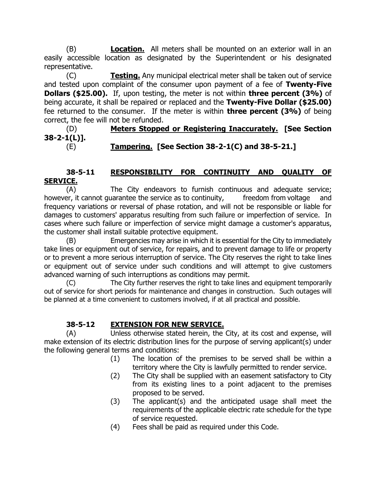(B) **Location.** All meters shall be mounted on an exterior wall in an easily accessible location as designated by the Superintendent or his designated representative.

(C) **Testing.** Any municipal electrical meter shall be taken out of service and tested upon complaint of the consumer upon payment of a fee of **Twenty-Five Dollars (\$25.00).** If, upon testing, the meter is not within **three percent (3%)** of being accurate, it shall be repaired or replaced and the **Twenty-Five Dollar (\$25.00)**  fee returned to the consumer. If the meter is within **three percent (3%)** of being correct, the fee will not be refunded.

(D) **Meters Stopped or Registering Inaccurately. [See Section 38-2-1(L)].** (E) **Tampering. [See Section 38-2-1(C) and 38-5-21.]**

### **38-5-11 RESPONSIBILITY FOR CONTINUITY AND QUALITY OF SERVICE.**

(A) The City endeavors to furnish continuous and adequate service; however, it cannot guarantee the service as to continuity, freedom from voltage and frequency variations or reversal of phase rotation, and will not be responsible or liable for damages to customers' apparatus resulting from such failure or imperfection of service. In cases where such failure or imperfection of service might damage a customer's apparatus, the customer shall install suitable protective equipment.

(B) Emergencies may arise in which it is essential for the City to immediately take lines or equipment out of service, for repairs, and to prevent damage to life or property or to prevent a more serious interruption of service. The City reserves the right to take lines or equipment out of service under such conditions and will attempt to give customers advanced warning of such interruptions as conditions may permit.

(C) The City further reserves the right to take lines and equipment temporarily out of service for short periods for maintenance and changes in construction. Such outages will be planned at a time convenient to customers involved, if at all practical and possible.

## **38-5-12 EXTENSION FOR NEW SERVICE.**

(A) Unless otherwise stated herein, the City, at its cost and expense, will make extension of its electric distribution lines for the purpose of serving applicant(s) under the following general terms and conditions:

- (1) The location of the premises to be served shall be within a territory where the City is lawfully permitted to render service.
- (2) The City shall be supplied with an easement satisfactory to City from its existing lines to a point adjacent to the premises proposed to be served.
- (3) The applicant(s) and the anticipated usage shall meet the requirements of the applicable electric rate schedule for the type of service requested.
- (4) Fees shall be paid as required under this Code.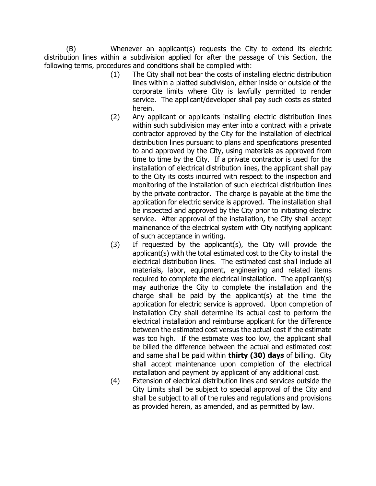(B) Whenever an applicant(s) requests the City to extend its electric distribution lines within a subdivision applied for after the passage of this Section, the following terms, procedures and conditions shall be complied with:

- (1) The City shall not bear the costs of installing electric distribution lines within a platted subdivision, either inside or outside of the corporate limits where City is lawfully permitted to render service. The applicant/developer shall pay such costs as stated herein.
- (2) Any applicant or applicants installing electric distribution lines within such subdivision may enter into a contract with a private contractor approved by the City for the installation of electrical distribution lines pursuant to plans and specifications presented to and approved by the City, using materials as approved from time to time by the City. If a private contractor is used for the installation of electrical distribution lines, the applicant shall pay to the City its costs incurred with respect to the inspection and monitoring of the installation of such electrical distribution lines by the private contractor. The charge is payable at the time the application for electric service is approved. The installation shall be inspected and approved by the City prior to initiating electric service. After approval of the installation, the City shall accept mainenance of the electrical system with City notifying applicant of such acceptance in writing.
- (3) If requested by the applicant(s), the City will provide the applicant(s) with the total estimated cost to the City to install the electrical distribution lines. The estimated cost shall include all materials, labor, equipment, engineering and related items required to complete the electrical installation. The applicant(s) may authorize the City to complete the installation and the charge shall be paid by the applicant(s) at the time the application for electric service is approved. Upon completion of installation City shall determine its actual cost to perform the electrical installation and reimburse applicant for the difference between the estimated cost versus the actual cost if the estimate was too high. If the estimate was too low, the applicant shall be billed the difference between the actual and estimated cost and same shall be paid within **thirty (30) days** of billing. City shall accept maintenance upon completion of the electrical installation and payment by applicant of any additional cost.
- (4) Extension of electrical distribution lines and services outside the City Limits shall be subject to special approval of the City and shall be subject to all of the rules and regulations and provisions as provided herein, as amended, and as permitted by law.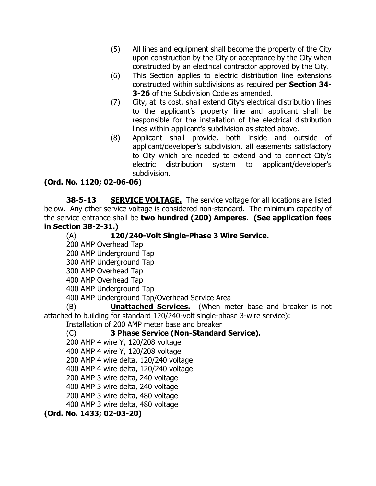- (5) All lines and equipment shall become the property of the City upon construction by the City or acceptance by the City when constructed by an electrical contractor approved by the City.
- (6) This Section applies to electric distribution line extensions constructed within subdivisions as required per **Section 34- 3-26** of the Subdivision Code as amended.
- (7) City, at its cost, shall extend City's electrical distribution lines to the applicant's property line and applicant shall be responsible for the installation of the electrical distribution lines within applicant's subdivision as stated above.
- (8) Applicant shall provide, both inside and outside of applicant/developer's subdivision, all easements satisfactory to City which are needed to extend and to connect City's electric distribution system to applicant/developer's subdivision.

# **(Ord. No. 1120; 02-06-06)**

**38-5-13 SERVICE VOLTAGE.** The service voltage for all locations are listed below. Any other service voltage is considered non-standard. The minimum capacity of the service entrance shall be **two hundred (200) Amperes**. **(See application fees in Section 38-2-31.)**

(A) **120/240-Volt Single-Phase 3 Wire Service.**

200 AMP Overhead Tap

200 AMP Underground Tap

300 AMP Underground Tap

300 AMP Overhead Tap

400 AMP Overhead Tap

400 AMP Underground Tap

400 AMP Underground Tap/Overhead Service Area

(B) **Unattached Services.** (When meter base and breaker is not attached to building for standard 120/240-volt single-phase 3-wire service):

Installation of 200 AMP meter base and breaker

## (C) **3 Phase Service (Non-Standard Service).**

200 AMP 4 wire Y, 120/208 voltage 400 AMP 4 wire Y, 120/208 voltage

200 AMP 4 wire delta, 120/240 voltage

400 AMP 4 wire delta, 120/240 voltage

200 AMP 3 wire delta, 240 voltage

400 AMP 3 wire delta, 240 voltage

200 AMP 3 wire delta, 480 voltage

400 AMP 3 wire delta, 480 voltage

**(Ord. No. 1433; 02-03-20)**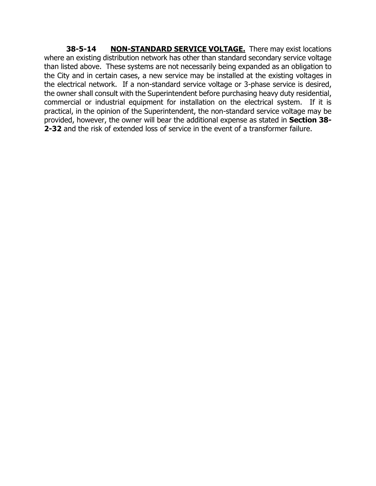**38-5-14 NON-STANDARD SERVICE VOLTAGE.** There may exist locations where an existing distribution network has other than standard secondary service voltage than listed above. These systems are not necessarily being expanded as an obligation to the City and in certain cases, a new service may be installed at the existing voltages in the electrical network. If a non-standard service voltage or 3-phase service is desired, the owner shall consult with the Superintendent before purchasing heavy duty residential, commercial or industrial equipment for installation on the electrical system. If it is practical, in the opinion of the Superintendent, the non-standard service voltage may be provided, however, the owner will bear the additional expense as stated in **Section 38- 2-32** and the risk of extended loss of service in the event of a transformer failure.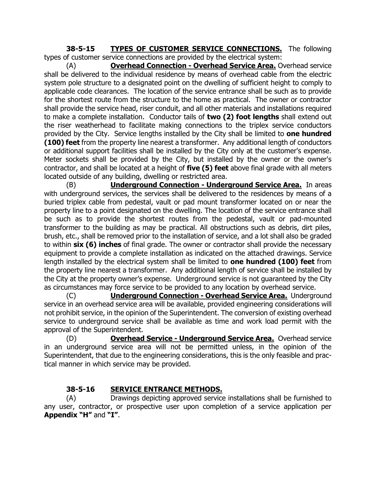**38-5-15 TYPES OF CUSTOMER SERVICE CONNECTIONS.** The following types of customer service connections are provided by the electrical system:

(A) **Overhead Connection - Overhead Service Area.** Overhead service shall be delivered to the individual residence by means of overhead cable from the electric system pole structure to a designated point on the dwelling of sufficient height to comply to applicable code clearances. The location of the service entrance shall be such as to provide for the shortest route from the structure to the home as practical. The owner or contractor shall provide the service head, riser conduit, and all other materials and installations required to make a complete installation. Conductor tails of **two (2) foot lengths** shall extend out the riser weatherhead to facilitate making connections to the triplex service conductors provided by the City. Service lengths installed by the City shall be limited to **one hundred (100) feet** from the property line nearest a transformer. Any additional length of conductors or additional support facilities shall be installed by the City only at the customer's expense. Meter sockets shall be provided by the City, but installed by the owner or the owner's contractor, and shall be located at a height of **five (5) feet** above final grade with all meters located outside of any building, dwelling or restricted area.

(B) **Underground Connection - Underground Service Area.** In areas with underground services, the services shall be delivered to the residences by means of a buried triplex cable from pedestal, vault or pad mount transformer located on or near the property line to a point designated on the dwelling. The location of the service entrance shall be such as to provide the shortest routes from the pedestal, vault or pad-mounted transformer to the building as may be practical. All obstructions such as debris, dirt piles, brush, etc., shall be removed prior to the installation of service, and a lot shall also be graded to within **six (6) inches** of final grade. The owner or contractor shall provide the necessary equipment to provide a complete installation as indicated on the attached drawings. Service length installed by the electrical system shall be limited to **one hundred (100) feet** from the property line nearest a transformer. Any additional length of service shall be installed by the City at the property owner's expense. Underground service is not guaranteed by the City as circumstances may force service to be provided to any location by overhead service.

(C) **Underground Connection - Overhead Service Area.** Underground service in an overhead service area will be available, provided engineering considerations will not prohibit service, in the opinion of the Superintendent. The conversion of existing overhead service to underground service shall be available as time and work load permit with the approval of the Superintendent.

(D) **Overhead Service - Underground Service Area.** Overhead service in an underground service area will not be permitted unless, in the opinion of the Superintendent, that due to the engineering considerations, this is the only feasible and practical manner in which service may be provided.

## **38-5-16 SERVICE ENTRANCE METHODS.**

(A) Drawings depicting approved service installations shall be furnished to any user, contractor, or prospective user upon completion of a service application per **Appendix "H"** and **"I"**.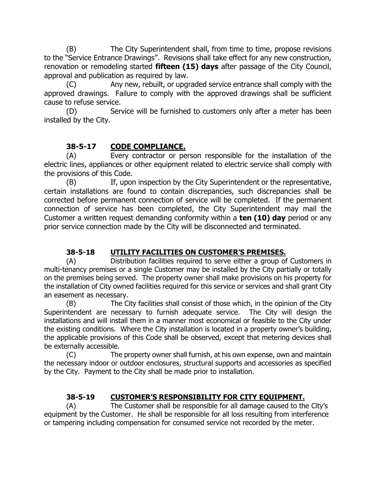(B) The City Superintendent shall, from time to time, propose revisions to the "Service Entrance Drawings". Revisions shall take effect for any new construction, renovation or remodeling started **fifteen (15) days** after passage of the City Council, approval and publication as required by law.

(C) Any new, rebuilt, or upgraded service entrance shall comply with the approved drawings. Failure to comply with the approved drawings shall be sufficient cause to refuse service.

(D) Service will be furnished to customers only after a meter has been installed by the City.

# **38-5-17 CODE COMPLIANCE.**

(A) Every contractor or person responsible for the installation of the electric lines, appliances or other equipment related to electric service shall comply with the provisions of this Code.

(B) If, upon inspection by the City Superintendent or the representative, certain installations are found to contain discrepancies, such discrepancies shall be corrected before permanent connection of service will be completed. If the permanent connection of service has been completed, the City Superintendent may mail the Customer a written request demanding conformity within a **ten (10) day** period or any prior service connection made by the City will be disconnected and terminated.

## **38-5-18 UTILITY FACILITIES ON CUSTOMER'S PREMISES.**

(A) Distribution facilities required to serve either a group of Customers in multi-tenancy premises or a single Customer may be installed by the City partially or totally on the premises being served. The property owner shall make provisions on his property for the installation of City owned facilities required for this service or services and shall grant City an easement as necessary.

(B) The City facilities shall consist of those which, in the opinion of the City Superintendent are necessary to furnish adequate service. The City will design the installations and will install them in a manner most economical or feasible to the City under the existing conditions. Where the City installation is located in a property owner's building, the applicable provisions of this Code shall be observed, except that metering devices shall be externally accessible.

(C) The property owner shall furnish, at his own expense, own and maintain the necessary indoor or outdoor enclosures, structural supports and accessories as specified by the City. Payment to the City shall be made prior to installation.

## **38-5-19 CUSTOMER'S RESPONSIBILITY FOR CITY EQUIPMENT.**

(A) The Customer shall be responsible for all damage caused to the City's equipment by the Customer. He shall be responsible for all loss resulting from interference or tampering including compensation for consumed service not recorded by the meter.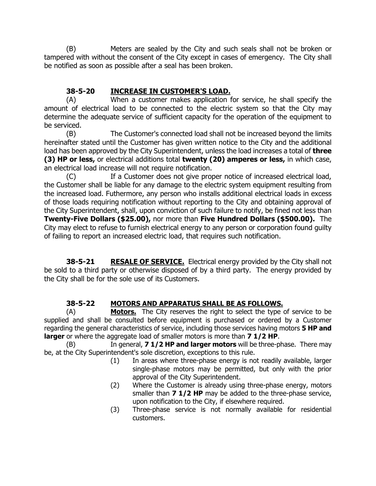(B) Meters are sealed by the City and such seals shall not be broken or tampered with without the consent of the City except in cases of emergency. The City shall be notified as soon as possible after a seal has been broken.

## **38-5-20 INCREASE IN CUSTOMER'S LOAD.**

(A) When a customer makes application for service, he shall specify the amount of electrical load to be connected to the electric system so that the City may determine the adequate service of sufficient capacity for the operation of the equipment to be serviced.

(B) The Customer's connected load shall not be increased beyond the limits hereinafter stated until the Customer has given written notice to the City and the additional load has been approved by the City Superintendent, unless the load increases a total of **three (3) HP or less,** or electrical additions total **twenty (20) amperes or less,** in which case, an electrical load increase will not require notification.

(C) If a Customer does not give proper notice of increased electrical load, the Customer shall be liable for any damage to the electric system equipment resulting from the increased load. Futhermore, any person who installs additional electrical loads in excess of those loads requiring notification without reporting to the City and obtaining approval of the City Superintendent, shall, upon conviction of such failure to notify, be fined not less than **Twenty-Five Dollars (\$25.00),** nor more than **Five Hundred Dollars (\$500.00).** The City may elect to refuse to furnish electrical energy to any person or corporation found guilty of failing to report an increased electric load, that requires such notification.

**38-5-21 RESALE OF SERVICE.** Electrical energy provided by the City shall not be sold to a third party or otherwise disposed of by a third party. The energy provided by the City shall be for the sole use of its Customers.

## **38-5-22 MOTORS AND APPARATUS SHALL BE AS FOLLOWS.**

(A) **Motors.** The City reserves the right to select the type of service to be supplied and shall be consulted before equipment is purchased or ordered by a Customer regarding the general characteristics of service, including those services having motors **5 HP and larger** or where the aggregate load of smaller motors is more than **7 1/2 HP**.

(B) In general, **7 1/2 HP and larger motors** will be three-phase. There may be, at the City Superintendent's sole discretion, exceptions to this rule.

- (1) In areas where three-phase energy is not readily available, larger single-phase motors may be permitted, but only with the prior approval of the City Superintendent.
- (2) Where the Customer is already using three-phase energy, motors smaller than **7 1/2 HP** may be added to the three-phase service, upon notification to the City, if elsewhere required.
- (3) Three-phase service is not normally available for residential customers.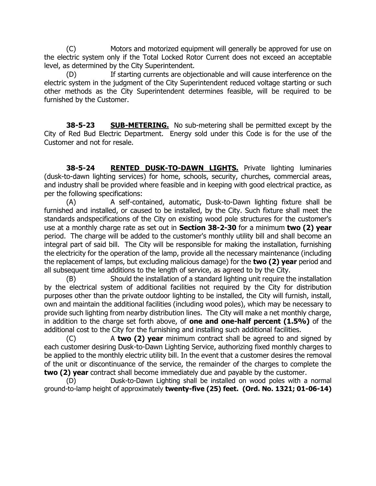(C) Motors and motorized equipment will generally be approved for use on the electric system only if the Total Locked Rotor Current does not exceed an acceptable level, as determined by the City Superintendent.

If starting currents are objectionable and will cause interference on the electric system in the judgment of the City Superintendent reduced voltage starting or such other methods as the City Superintendent determines feasible, will be required to be furnished by the Customer.

**38-5-23 SUB-METERING.** No sub-metering shall be permitted except by the City of Red Bud Electric Department. Energy sold under this Code is for the use of the Customer and not for resale.

**38-5-24 RENTED DUSK-TO-DAWN LIGHTS.** Private lighting luminaries (dusk-to-dawn lighting services) for home, schools, security, churches, commercial areas, and industry shall be provided where feasible and in keeping with good electrical practice, as per the following specifications:

(A) A self-contained, automatic, Dusk-to-Dawn lighting fixture shall be furnished and installed, or caused to be installed, by the City. Such fixture shall meet the standards andspecifications of the City on existing wood pole structures for the customer's use at a monthly charge rate as set out in **Section 38-2-30** for a minimum **two (2) year**  period. The charge will be added to the customer's monthly utility bill and shall become an integral part of said bill. The City will be responsible for making the installation, furnishing the electricity for the operation of the lamp, provide all the necessary maintenance (including the replacement of lamps, but excluding malicious damage) for the **two (2) year** period and all subsequent time additions to the length of service, as agreed to by the City.

(B) Should the installation of a standard lighting unit require the installation by the electrical system of additional facilities not required by the City for distribution purposes other than the private outdoor lighting to be installed, the City will furnish, install, own and maintain the additional facilities (including wood poles), which may be necessary to provide such lighting from nearby distribution lines. The City will make a net monthly charge, in addition to the charge set forth above, of **one and one-half percent (1.5%)** of the additional cost to the City for the furnishing and installing such additional facilities.

(C) A **two (2) year** minimum contract shall be agreed to and signed by each customer desiring Dusk-to-Dawn Lighting Service, authorizing fixed monthly charges to be applied to the monthly electric utility bill. In the event that a customer desires the removal of the unit or discontinuance of the service, the remainder of the charges to complete the **two (2) year** contract shall become immediately due and payable by the customer.

(D) Dusk-to-Dawn Lighting shall be installed on wood poles with a normal ground-to-lamp height of approximately **twenty-five (25) feet. (Ord. No. 1321; 01-06-14)**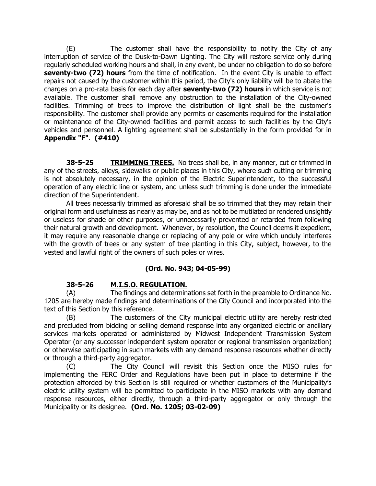(E) The customer shall have the responsibility to notify the City of any interruption of service of the Dusk-to-Dawn Lighting. The City will restore service only during regularly scheduled working hours and shall, in any event, be under no obligation to do so before **seventy-two (72) hours** from the time of notification. In the event City is unable to effect repairs not caused by the customer within this period, the City's only liability will be to abate the charges on a pro-rata basis for each day after **seventy-two (72) hours** in which service is not available. The customer shall remove any obstruction to the installation of the City-owned facilities. Trimming of trees to improve the distribution of light shall be the customer's responsibility. The customer shall provide any permits or easements required for the installation or maintenance of the City-owned facilities and permit access to such facilities by the City's vehicles and personnel. A lighting agreement shall be substantially in the form provided for in **Appendix "F"**. **(#410)**

**38-5-25 TRIMMING TREES.** No trees shall be, in any manner, cut or trimmed in any of the streets, alleys, sidewalks or public places in this City, where such cutting or trimming is not absolutely necessary, in the opinion of the Electric Superintendent, to the successful operation of any electric line or system, and unless such trimming is done under the immediate direction of the Superintendent.

All trees necessarily trimmed as aforesaid shall be so trimmed that they may retain their original form and usefulness as nearly as may be, and as not to be mutilated or rendered unsightly or useless for shade or other purposes, or unnecessarily prevented or retarded from following their natural growth and development. Whenever, by resolution, the Council deems it expedient, it may require any reasonable change or replacing of any pole or wire which unduly interferes with the growth of trees or any system of tree planting in this City, subject, however, to the vested and lawful right of the owners of such poles or wires.

### **(Ord. No. 943; 04-05-99)**

#### **38-5-26 M.I.S.O. REGULATION.**

(A) The findings and determinations set forth in the preamble to Ordinance No. 1205 are hereby made findings and determinations of the City Council and incorporated into the text of this Section by this reference.

(B) The customers of the City municipal electric utility are hereby restricted and precluded from bidding or selling demand response into any organized electric or ancillary services markets operated or administered by Midwest Independent Transmission System Operator (or any successor independent system operator or regional transmission organization) or otherwise participating in such markets with any demand response resources whether directly or through a third-party aggregator.

(C) The City Council will revisit this Section once the MISO rules for implementing the FERC Order and Regulations have been put in place to determine if the protection afforded by this Section is still required or whether customers of the Municipality's electric utility system will be permitted to participate in the MISO markets with any demand response resources, either directly, through a third-party aggregator or only through the Municipality or its designee. **(Ord. No. 1205; 03-02-09)**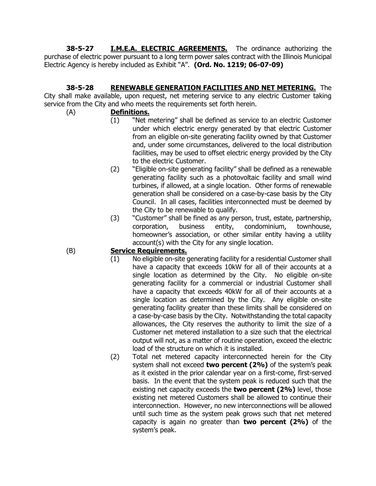**38-5-27 I.M.E.A. ELECTRIC AGREEMENTS.** The ordinance authorizing the purchase of electric power pursuant to a long term power sales contract with the Illinois Municipal Electric Agency is hereby included as Exhibit "A". **(Ord. No. 1219; 06-07-09)**

# **38-5-28 RENEWABLE GENERATION FACILITIES AND NET METERING.** The

City shall make available, upon request, net metering service to any electric Customer taking service from the City and who meets the requirements set forth herein.

- (A) **Definitions.**
	- (1) "Net metering" shall be defined as service to an electric Customer under which electric energy generated by that electric Customer from an eligible on-site generating facility owned by that Customer and, under some circumstances, delivered to the local distribution facilities, may be used to offset electric energy provided by the City to the electric Customer.
	- (2) "Eligible on-site generating facility" shall be defined as a renewable generating facility such as a photovoltaic facility and small wind turbines, if allowed, at a single location. Other forms of renewable generation shall be considered on a case-by-case basis by the City Council. In all cases, facilities interconnected must be deemed by the City to be renewable to qualify.
	- (3) "Customer" shall be fined as any person, trust, estate, partnership, corporation, business entity, condominium, townhouse, homeowner's association, or other similar entity having a utility account(s) with the City for any single location.

### (B) **Service Requirements.**

- (1) No eligible on-site generating facility for a residential Customer shall have a capacity that exceeds 10kW for all of their accounts at a single location as determined by the City. No eligible on-site generating facility for a commercial or industrial Customer shall have a capacity that exceeds 40kW for all of their accounts at a single location as determined by the City. Any eligible on-site generating facility greater than these limits shall be considered on a case-by-case basis by the City. Notwithstanding the total capacity allowances, the City reserves the authority to limit the size of a Customer net metered installation to a size such that the electrical output will not, as a matter of routine operation, exceed the electric load of the structure on which it is installed.
- (2) Total net metered capacity interconnected herein for the City system shall not exceed **two percent (2%)** of the system's peak as it existed in the prior calendar year on a first-come, first-served basis. In the event that the system peak is reduced such that the existing net capacity exceeds the **two percent (2%)** level, those existing net metered Customers shall be allowed to continue their interconnection. However, no new interconnections will be allowed until such time as the system peak grows such that net metered capacity is again no greater than **two percent (2%)** of the system's peak.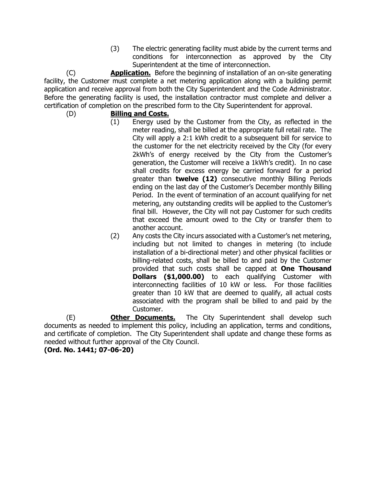(3) The electric generating facility must abide by the current terms and conditions for interconnection as approved by the City Superintendent at the time of interconnection.

(C) **Application.** Before the beginning of installation of an on-site generating facility, the Customer must complete a net metering application along with a building permit application and receive approval from both the City Superintendent and the Code Administrator. Before the generating facility is used, the installation contractor must complete and deliver a certification of completion on the prescribed form to the City Superintendent for approval.

(D) **Billing and Costs.**

- (1) Energy used by the Customer from the City, as reflected in the meter reading, shall be billed at the appropriate full retail rate. The City will apply a 2:1 kWh credit to a subsequent bill for service to the customer for the net electricity received by the City (for every 2kWh's of energy received by the City from the Customer's generation, the Customer will receive a 1kWh's credit). In no case shall credits for excess energy be carried forward for a period greater than **twelve (12)** consecutive monthly Billing Periods ending on the last day of the Customer's December monthly Billing Period. In the event of termination of an account qualifying for net metering, any outstanding credits will be applied to the Customer's final bill. However, the City will not pay Customer for such credits that exceed the amount owed to the City or transfer them to another account.
- (2) Any costs the City incurs associated with a Customer's net metering, including but not limited to changes in metering (to include installation of a bi-directional meter) and other physical facilities or billing-related costs, shall be billed to and paid by the Customer provided that such costs shall be capped at **One Thousand Dollars (\$1,000.00)** to each qualifying Customer with interconnecting facilities of 10 kW or less. For those facilities greater than 10 kW that are deemed to qualify, all actual costs associated with the program shall be billed to and paid by the Customer.

(E) **Other Documents.** The City Superintendent shall develop such documents as needed to implement this policy, including an application, terms and conditions, and certificate of completion. The City Superintendent shall update and change these forms as needed without further approval of the City Council.

**(Ord. No. 1441; 07-06-20)**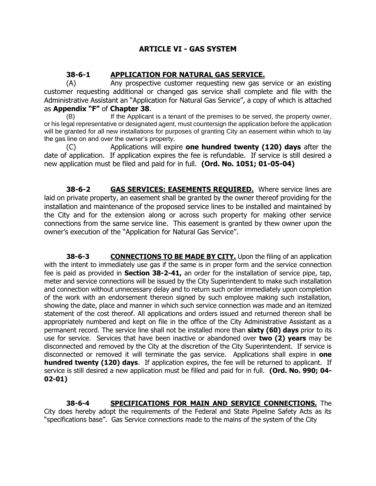#### **ARTICLE VI - GAS SYSTEM**

#### **38-6-1 APPLICATION FOR NATURAL GAS SERVICE.**

(A) Any prospective customer requesting new gas service or an existing customer requesting additional or changed gas service shall complete and file with the Administrative Assistant an "Application for Natural Gas Service", a copy of which is attached as **Appendix "F"** of **Chapter 38**.

(B) If the Applicant is a tenant of the premises to be served, the property owner, or his legal representative or designated agent, must countersign the application before the application will be granted for all new installations for purposes of granting City an easement within which to lay the gas line on and over the owner's property.

(C) Applications will expire **one hundred twenty (120) days** after the date of application. If application expires the fee is refundable. If service is still desired a new application must be filed and paid for in full. **(Ord. No. 1051; 01-05-04)**

**38-6-2 GAS SERVICES: EASEMENTS REQUIRED.** Where service lines are laid on private property, an easement shall be granted by the owner thereof providing for the installation and maintenance of the proposed service lines to be installed and maintained by the City and for the extension along or across such property for making other service connections from the same service line. This easement is granted by thew owner upon the owner's execution of the "Application for Natural Gas Service".

**38-6-3 CONNECTIONS TO BE MADE BY CITY.** Upon the filing of an application with the intent to immediately use gas if the same is in proper form and the service connection fee is paid as provided in **Section 38-2-41,** an order for the installation of service pipe, tap, meter and service connections will be issued by the City Superintendent to make such installation and connection without unnecessary delay and to return such order immediately upon completion of the work with an endorsement thereon signed by such employee making such installation, showing the date, place and manner in which such service connection was made and an itemized statement of the cost thereof. All applications and orders issued and returned thereon shall be appropriately numbered and kept on file in the office of the City Administrative Assistant as a permanent record. The service line shall not be installed more than **sixty (60) days** prior to its use for service. Services that have been inactive or abandoned over **two (2) years** may be disconnected and removed by the City at the discretion of the City Superintendent. If service is disconnected or removed it will terminate the gas service. Applications shall expire in **one hundred twenty (120) days**. If application expires, the fee will be returned to applicant. If service is still desired a new application must be filled and paid for in full. **(Ord. No. 990; 04- 02-01)**

**38-6-4 SPECIFICATIONS FOR MAIN AND SERVICE CONNECTIONS.** The City does hereby adopt the requirements of the Federal and State Pipeline Safety Acts as its "specifications base". Gas Service connections made to the mains of the system of the City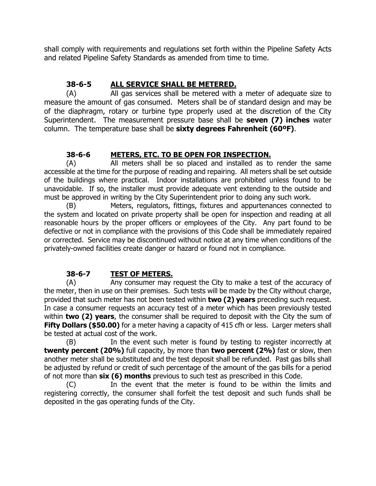shall comply with requirements and regulations set forth within the Pipeline Safety Acts and related Pipeline Safety Standards as amended from time to time.

## **38-6-5 ALL SERVICE SHALL BE METERED.**

(A) All gas services shall be metered with a meter of adequate size to measure the amount of gas consumed. Meters shall be of standard design and may be of the diaphragm, rotary or turbine type properly used at the discretion of the City Superintendent. The measurement pressure base shall be **seven (7) inches** water column. The temperature base shall be **sixty degrees Fahrenheit (60ºF)**.

### **38-6-6 METERS, ETC. TO BE OPEN FOR INSPECTION.**

(A) All meters shall be so placed and installed as to render the same accessible at the time for the purpose of reading and repairing. All meters shall be set outside of the buildings where practical. Indoor installations are prohibited unless found to be unavoidable. If so, the installer must provide adequate vent extending to the outside and must be approved in writing by the City Superintendent prior to doing any such work.

(B) Meters, regulators, fittings, fixtures and appurtenances connected to the system and located on private property shall be open for inspection and reading at all reasonable hours by the proper officers or employees of the City. Any part found to be defective or not in compliance with the provisions of this Code shall be immediately repaired or corrected. Service may be discontinued without notice at any time when conditions of the privately-owned facilities create danger or hazard or found not in compliance.

## **38-6-7 TEST OF METERS.**

(A) Any consumer may request the City to make a test of the accuracy of the meter, then in use on their premises. Such tests will be made by the City without charge, provided that such meter has not been tested within **two (2) years** preceding such request. In case a consumer requests an accuracy test of a meter which has been previously tested within **two (2) years**, the consumer shall be required to deposit with the City the sum of **Fifty Dollars (\$50.00)** for a meter having a capacity of 415 cfh or less. Larger meters shall be tested at actual cost of the work.

(B) In the event such meter is found by testing to register incorrectly at **twenty percent (20%)** full capacity, by more than **two percent (2%)** fast or slow, then another meter shall be substituted and the test deposit shall be refunded. Past gas bills shall be adjusted by refund or credit of such percentage of the amount of the gas bills for a period of not more than **six (6) months** previous to such test as prescribed in this Code.

(C) In the event that the meter is found to be within the limits and registering correctly, the consumer shall forfeit the test deposit and such funds shall be deposited in the gas operating funds of the City.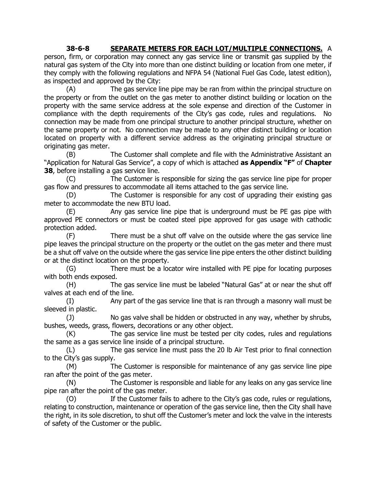#### **38-6-8 SEPARATE METERS FOR EACH LOT/MULTIPLE CONNECTIONS.** A

person, firm, or corporation may connect any gas service line or transmit gas supplied by the natural gas system of the City into more than one distinct building or location from one meter, if they comply with the following regulations and NFPA 54 (National Fuel Gas Code, latest edition), as inspected and approved by the City:

(A) The gas service line pipe may be ran from within the principal structure on the property or from the outlet on the gas meter to another distinct building or location on the property with the same service address at the sole expense and direction of the Customer in compliance with the depth requirements of the City's gas code, rules and regulations. No connection may be made from one principal structure to another principal structure, whether on the same property or not. No connection may be made to any other distinct building or location located on property with a different service address as the originating principal structure or originating gas meter.

(B) The Customer shall complete and file with the Administrative Assistant an "Application for Natural Gas Service", a copy of which is attached **as Appendix "F"** of **Chapter 38**, before installing a gas service line.

(C) The Customer is responsible for sizing the gas service line pipe for proper gas flow and pressures to accommodate all items attached to the gas service line.

(D) The Customer is responsible for any cost of upgrading their existing gas meter to accommodate the new BTU load.

(E) Any gas service line pipe that is underground must be PE gas pipe with approved PE connectors or must be coated steel pipe approved for gas usage with cathodic protection added.

(F) There must be a shut off valve on the outside where the gas service line pipe leaves the principal structure on the property or the outlet on the gas meter and there must be a shut off valve on the outside where the gas service line pipe enters the other distinct building or at the distinct location on the property.

(G) There must be a locator wire installed with PE pipe for locating purposes with both ends exposed.

(H) The gas service line must be labeled "Natural Gas" at or near the shut off valves at each end of the line.

(I) Any part of the gas service line that is ran through a masonry wall must be sleeved in plastic.

(J) No gas valve shall be hidden or obstructed in any way, whether by shrubs, bushes, weeds, grass, flowers, decorations or any other object.

(K) The gas service line must be tested per city codes, rules and regulations the same as a gas service line inside of a principal structure.

(L) The gas service line must pass the 20 lb Air Test prior to final connection to the City's gas supply.

(M) The Customer is responsible for maintenance of any gas service line pipe ran after the point of the gas meter.

(N) The Customer is responsible and liable for any leaks on any gas service line pipe ran after the point of the gas meter.

(O) If the Customer fails to adhere to the City's gas code, rules or regulations, relating to construction, maintenance or operation of the gas service line, then the City shall have the right, in its sole discretion, to shut off the Customer's meter and lock the valve in the interests of safety of the Customer or the public.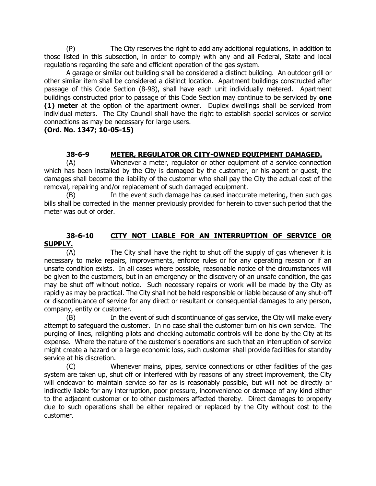(P) The City reserves the right to add any additional regulations, in addition to those listed in this subsection, in order to comply with any and all Federal, State and local regulations regarding the safe and efficient operation of the gas system.

A garage or similar out building shall be considered a distinct building. An outdoor grill or other similar item shall be considered a distinct location. Apartment buildings constructed after passage of this Code Section (8-98), shall have each unit individually metered. Apartment buildings constructed prior to passage of this Code Section may continue to be serviced by **one (1) meter** at the option of the apartment owner. Duplex dwellings shall be serviced from individual meters. The City Council shall have the right to establish special services or service connections as may be necessary for large users.

#### **(Ord. No. 1347; 10-05-15)**

#### **38-6-9 METER, REGULATOR OR CITY-OWNED EQUIPMENT DAMAGED.**

(A) Whenever a meter, regulator or other equipment of a service connection which has been installed by the City is damaged by the customer, or his agent or guest, the damages shall become the liability of the customer who shall pay the City the actual cost of the removal, repairing and/or replacement of such damaged equipment.

(B) In the event such damage has caused inaccurate metering, then such gas bills shall be corrected in the manner previously provided for herein to cover such period that the meter was out of order.

#### **38-6-10 CITY NOT LIABLE FOR AN INTERRUPTION OF SERVICE OR SUPPLY.**

(A) The City shall have the right to shut off the supply of gas whenever it is necessary to make repairs, improvements, enforce rules or for any operating reason or if an unsafe condition exists. In all cases where possible, reasonable notice of the circumstances will be given to the customers, but in an emergency or the discovery of an unsafe condition, the gas may be shut off without notice. Such necessary repairs or work will be made by the City as rapidly as may be practical. The City shall not be held responsible or liable because of any shut-off or discontinuance of service for any direct or resultant or consequential damages to any person, company, entity or customer.

(B) In the event of such discontinuance of gas service, the City will make every attempt to safeguard the customer. In no case shall the customer turn on his own service. The purging of lines, relighting pilots and checking automatic controls will be done by the City at its expense. Where the nature of the customer's operations are such that an interruption of service might create a hazard or a large economic loss, such customer shall provide facilities for standby service at his discretion.

(C) Whenever mains, pipes, service connections or other facilities of the gas system are taken up, shut off or interfered with by reasons of any street improvement, the City will endeavor to maintain service so far as is reasonably possible, but will not be directly or indirectly liable for any interruption, poor pressure, inconvenience or damage of any kind either to the adjacent customer or to other customers affected thereby. Direct damages to property due to such operations shall be either repaired or replaced by the City without cost to the customer.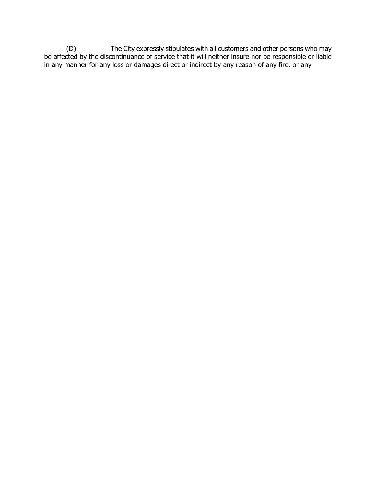(D) The City expressly stipulates with all customers and other persons who may be affected by the discontinuance of service that it will neither insure nor be responsible or liable in any manner for any loss or damages direct or indirect by any reason of any fire, or any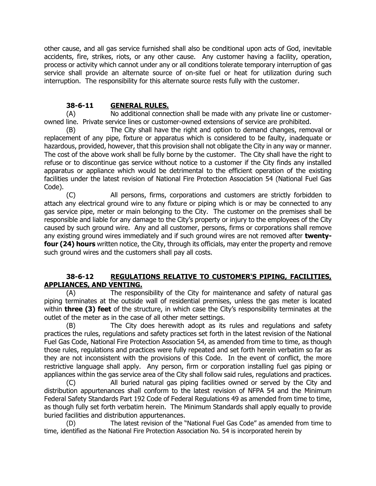other cause, and all gas service furnished shall also be conditional upon acts of God, inevitable accidents, fire, strikes, riots, or any other cause. Any customer having a facility, operation, process or activity which cannot under any or all conditions tolerate temporary interruption of gas service shall provide an alternate source of on-site fuel or heat for utilization during such interruption. The responsibility for this alternate source rests fully with the customer.

#### **38-6-11 GENERAL RULES.**

(A) No additional connection shall be made with any private line or customerowned line. Private service lines or customer-owned extensions of service are prohibited.

(B) The City shall have the right and option to demand changes, removal or replacement of any pipe, fixture or apparatus which is considered to be faulty, inadequate or hazardous, provided, however, that this provision shall not obligate the City in any way or manner. The cost of the above work shall be fully borne by the customer. The City shall have the right to refuse or to discontinue gas service without notice to a customer if the City finds any installed apparatus or appliance which would be detrimental to the efficient operation of the existing facilities under the latest revision of National Fire Protection Association 54 (National Fuel Gas Code).

(C) All persons, firms, corporations and customers are strictly forbidden to attach any electrical ground wire to any fixture or piping which is or may be connected to any gas service pipe, meter or main belonging to the City. The customer on the premises shall be responsible and liable for any damage to the City's property or injury to the employees of the City caused by such ground wire. Any and all customer, persons, firms or corporations shall remove any existing ground wires immediately and if such ground wires are not removed after **twentyfour (24) hours** written notice, the City, through its officials, may enter the property and remove such ground wires and the customers shall pay all costs.

#### **38-6-12 REGULATIONS RELATIVE TO CUSTOMER'S PIPING, FACILITIES, APPLIANCES, AND VENTING.**

(A) The responsibility of the City for maintenance and safety of natural gas piping terminates at the outside wall of residential premises, unless the gas meter is located within **three (3) feet** of the structure, in which case the City's responsibility terminates at the outlet of the meter as in the case of all other meter settings.

(B) The City does herewith adopt as its rules and regulations and safety practices the rules, regulations and safety practices set forth in the latest revision of the National Fuel Gas Code, National Fire Protection Association 54, as amended from time to time, as though those rules, regulations and practices were fully repeated and set forth herein verbatim so far as they are not inconsistent with the provisions of this Code. In the event of conflict, the more restrictive language shall apply. Any person, firm or corporation installing fuel gas piping or appliances within the gas service area of the City shall follow said rules, regulations and practices.

(C) All buried natural gas piping facilities owned or served by the City and distribution appurtenances shall conform to the latest revision of NFPA 54 and the Minimum Federal Safety Standards Part 192 Code of Federal Regulations 49 as amended from time to time, as though fully set forth verbatim herein. The Minimum Standards shall apply equally to provide buried facilities and distribution appurtenances.

(D) The latest revision of the "National Fuel Gas Code" as amended from time to time, identified as the National Fire Protection Association No. 54 is incorporated herein by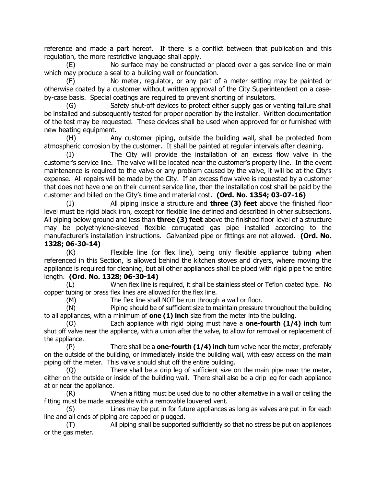reference and made a part hereof. If there is a conflict between that publication and this regulation, the more restrictive language shall apply.

(E) No surface may be constructed or placed over a gas service line or main which may produce a seal to a building wall or foundation.

(F) No meter, regulator, or any part of a meter setting may be painted or otherwise coated by a customer without written approval of the City Superintendent on a caseby-case basis. Special coatings are required to prevent shorting of insulators.

(G) Safety shut-off devices to protect either supply gas or venting failure shall be installed and subsequently tested for proper operation by the installer. Written documentation of the test may be requested. These devices shall be used when approved for or furnished with new heating equipment.

(H) Any customer piping, outside the building wall, shall be protected from atmospheric corrosion by the customer. It shall be painted at regular intervals after cleaning.

(I) The City will provide the installation of an excess flow valve in the customer's service line. The valve will be located near the customer's property line. In the event maintenance is required to the valve or any problem caused by the valve, it will be at the City's expense. All repairs will be made by the City. If an excess flow valve is requested by a customer that does not have one on their current service line, then the installation cost shall be paid by the customer and billed on the City's time and material cost. **(Ord. No. 1354; 03-07-16)**

(J) All piping inside a structure and **three (3) feet** above the finished floor level must be rigid black iron, except for flexible line defined and described in other subsections. All piping below ground and less than **three (3) feet** above the finished floor level of a structure may be polyethylene-sleeved flexible corrugated gas pipe installed according to the manufacturer's installation instructions. Galvanized pipe or fittings are not allowed. **(Ord. No. 1328; 06-30-14)**

(K) Flexible line (or flex line), being only flexible appliance tubing when referenced in this Section, is allowed behind the kitchen stoves and dryers, where moving the appliance is required for cleaning, but all other appliances shall be piped with rigid pipe the entire length. **(Ord. No. 1328; 06-30-14)**

(L) When flex line is required, it shall be stainless steel or Teflon coated type. No copper tubing or brass flex lines are allowed for the flex line.

(M) The flex line shall NOT be run through a wall or floor.

(N) Piping should be of sufficient size to maintain pressure throughout the building to all appliances, with a minimum of **one (1) inch** size from the meter into the building.

(O) Each appliance with rigid piping must have a **one-fourth (1/4) inch** turn shut off valve near the appliance, with a union after the valve, to allow for removal or replacement of the appliance.

(P) There shall be a **one-fourth (1/4) inch** turn valve near the meter, preferably on the outside of the building, or immediately inside the building wall, with easy access on the main piping off the meter. This valve should shut off the entire building.

(Q) There shall be a drip leg of sufficient size on the main pipe near the meter, either on the outside or inside of the building wall. There shall also be a drip leg for each appliance at or near the appliance.

(R) When a fitting must be used due to no other alternative in a wall or ceiling the fitting must be made accessible with a removable louvered vent.

(S) Lines may be put in for future appliances as long as valves are put in for each line and all ends of piping are capped or plugged.

(T) All piping shall be supported sufficiently so that no stress be put on appliances or the gas meter.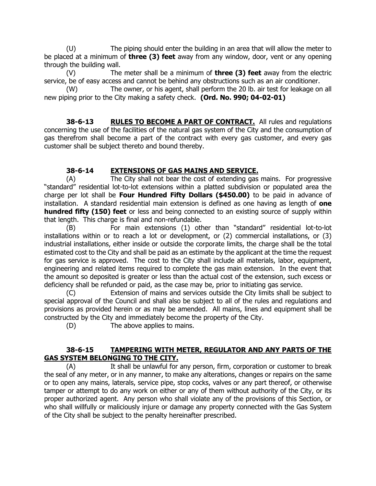(U) The piping should enter the building in an area that will allow the meter to be placed at a minimum of **three (3) feet** away from any window, door, vent or any opening through the building wall.

(V) The meter shall be a minimum of **three (3) feet** away from the electric service, be of easy access and cannot be behind any obstructions such as an air conditioner.

(W) The owner, or his agent, shall perform the 20 lb. air test for leakage on all new piping prior to the City making a safety check. **(Ord. No. 990; 04-02-01)**

**38-6-13 RULES TO BECOME A PART OF CONTRACT.** All rules and regulations concerning the use of the facilities of the natural gas system of the City and the consumption of gas therefrom shall become a part of the contract with every gas customer, and every gas customer shall be subject thereto and bound thereby.

#### **38-6-14 EXTENSIONS OF GAS MAINS AND SERVICE.**

(A) The City shall not bear the cost of extending gas mains. For progressive "standard" residential lot-to-lot extensions within a platted subdivision or populated area the charge per lot shall be **Four Hundred Fifty Dollars (\$450.00)** to be paid in advance of installation. A standard residential main extension is defined as one having as length of **one hundred fifty (150) feet** or less and being connected to an existing source of supply within that length. This charge is final and non-refundable.

(B) For main extensions (1) other than "standard" residential lot-to-lot installations within or to reach a lot or development, or (2) commercial installations, or (3) industrial installations, either inside or outside the corporate limits, the charge shall be the total estimated cost to the City and shall be paid as an estimate by the applicant at the time the request for gas service is approved. The cost to the City shall include all materials, labor, equipment, engineering and related items required to complete the gas main extension. In the event that the amount so deposited is greater or less than the actual cost of the extension, such excess or deficiency shall be refunded or paid, as the case may be, prior to initiating gas service.

Extension of mains and services outside the City limits shall be subject to special approval of the Council and shall also be subject to all of the rules and regulations and provisions as provided herein or as may be amended. All mains, lines and equipment shall be constructed by the City and immediately become the property of the City.

(D) The above applies to mains.

#### **38-6-15 TAMPERING WITH METER, REGULATOR AND ANY PARTS OF THE GAS SYSTEM BELONGING TO THE CITY.**

(A) It shall be unlawful for any person, firm, corporation or customer to break the seal of any meter, or in any manner, to make any alterations, changes or repairs on the same or to open any mains, laterals, service pipe, stop cocks, valves or any part thereof, or otherwise tamper or attempt to do any work on either or any of them without authority of the City, or its proper authorized agent. Any person who shall violate any of the provisions of this Section, or who shall willfully or maliciously injure or damage any property connected with the Gas System of the City shall be subject to the penalty hereinafter prescribed.